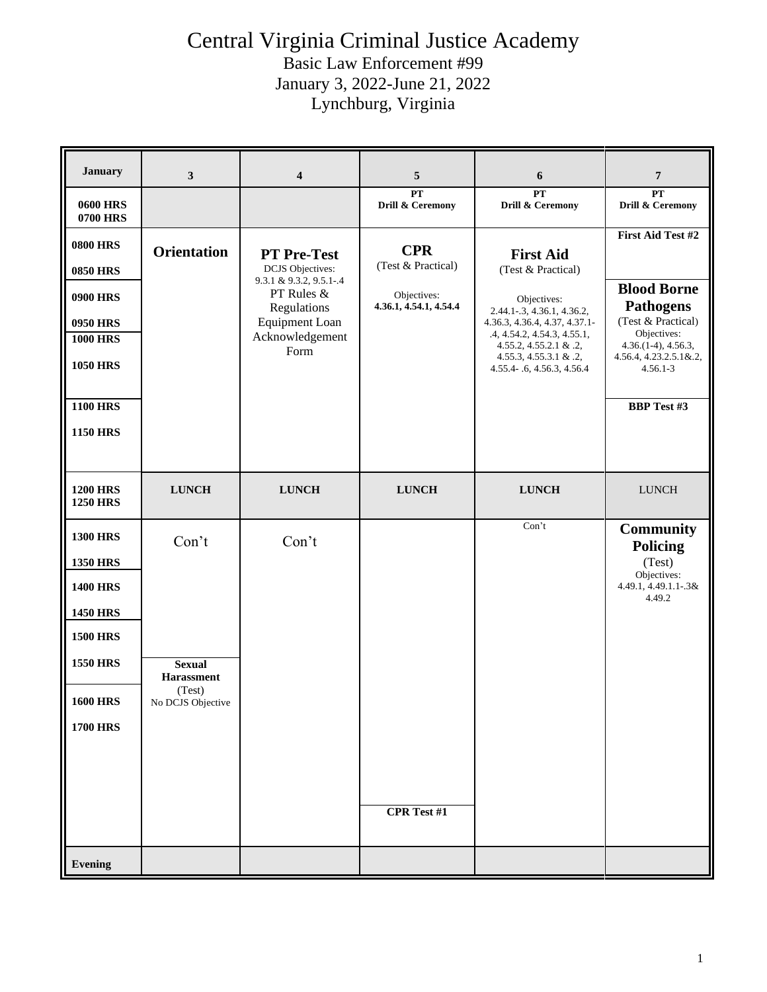#### Central Virginia Criminal Justice Academy Basic Law Enforcement #99

January 3, 2022-June 21, 2022 Lynchburg, Virginia

| <b>0600 HRS</b>                                                                                                                                                 |                                                                     | $\overline{\mathbf{4}}$                                                                                                                            | 5                                                                         | 6                                                                                                                                                                                                                                      | $\overline{7}$                                                                                                                                                                           |
|-----------------------------------------------------------------------------------------------------------------------------------------------------------------|---------------------------------------------------------------------|----------------------------------------------------------------------------------------------------------------------------------------------------|---------------------------------------------------------------------------|----------------------------------------------------------------------------------------------------------------------------------------------------------------------------------------------------------------------------------------|------------------------------------------------------------------------------------------------------------------------------------------------------------------------------------------|
| <b>0700 HRS</b>                                                                                                                                                 |                                                                     |                                                                                                                                                    | PT<br>Drill & Ceremony                                                    | <b>PT</b><br>Drill & Ceremony                                                                                                                                                                                                          | PT<br>Drill & Ceremony                                                                                                                                                                   |
| <b>0800 HRS</b><br><b>0850 HRS</b><br><b>0900 HRS</b><br><b>0950 HRS</b><br><b>1000 HRS</b><br><b>1050 HRS</b><br><b>1100 HRS</b><br><b>1150 HRS</b>            | <b>Orientation</b>                                                  | <b>PT Pre-Test</b><br><b>DCJS</b> Objectives:<br>9.3.1 & 9.3.2, 9.5.1-.4<br>PT Rules &<br>Regulations<br>Equipment Loan<br>Acknowledgement<br>Form | <b>CPR</b><br>(Test & Practical)<br>Objectives:<br>4.36.1, 4.54.1, 4.54.4 | <b>First Aid</b><br>(Test & Practical)<br>Objectives:<br>2.44.1-.3, 4.36.1, 4.36.2,<br>4.36.3, 4.36.4, 4.37, 4.37.1-<br>.4, 4.54.2, 4.54.3, 4.55.1,<br>4.55.2, 4.55.2.1 & .2,<br>4.55.3, 4.55.3.1 & .2,<br>4.55.4 - .6, 4.56.3, 4.56.4 | First Aid Test #2<br><b>Blood Borne</b><br><b>Pathogens</b><br>(Test & Practical)<br>Objectives:<br>$4.36(1-4), 4.56.3,$<br>4.56.4, 4.23.2.5.1&.2,<br>$4.56.1 - 3$<br><b>BBP</b> Test #3 |
| <b>1200 HRS</b><br><b>1250 HRS</b>                                                                                                                              | <b>LUNCH</b>                                                        | <b>LUNCH</b>                                                                                                                                       | <b>LUNCH</b>                                                              | <b>LUNCH</b>                                                                                                                                                                                                                           | <b>LUNCH</b>                                                                                                                                                                             |
| <b>1300 HRS</b><br><b>1350 HRS</b><br><b>1400 HRS</b><br><b>1450 HRS</b><br><b>1500 HRS</b><br><b>1550 HRS</b><br><b>1600 HRS</b><br><b>1700 HRS</b><br>Evening | Con't<br><b>Sexual</b><br>Harassment<br>(Test)<br>No DCJS Objective | Con't                                                                                                                                              | <b>CPR</b> Test #1                                                        | Con't                                                                                                                                                                                                                                  | <b>Community</b><br><b>Policing</b><br>(Test)<br>Objectives:<br>4.49.1, 4.49.1.1-.3&<br>4.49.2                                                                                           |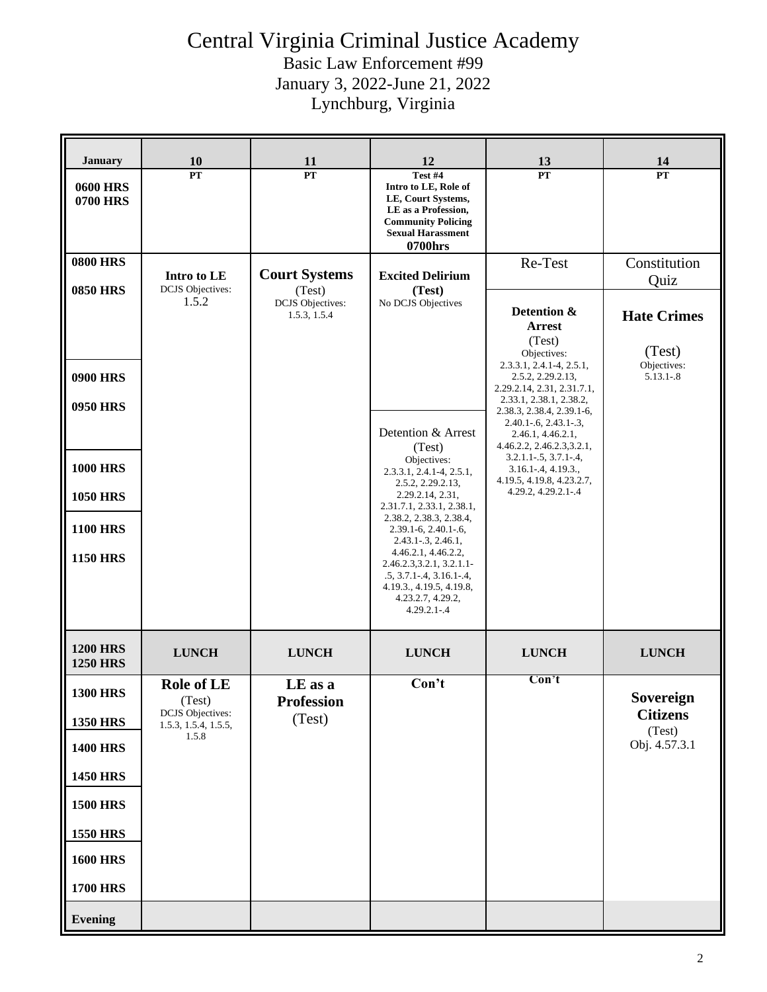Basic Law Enforcement #99 January 3, 2022-June 21, 2022

Lynchburg, Virginia

| <b>January</b>                     | 10                                                                             | 11                                      | 12                                                                                                                                                                             | 13                                                                                                                                                                                               | 14                                                          |
|------------------------------------|--------------------------------------------------------------------------------|-----------------------------------------|--------------------------------------------------------------------------------------------------------------------------------------------------------------------------------|--------------------------------------------------------------------------------------------------------------------------------------------------------------------------------------------------|-------------------------------------------------------------|
| <b>0600 HRS</b><br><b>0700 HRS</b> | <b>PT</b>                                                                      | PT                                      | Test #4<br>Intro to LE, Role of<br>LE, Court Systems,<br>LE as a Profession,<br><b>Community Policing</b><br><b>Sexual Harassment</b><br>0700hrs                               | PT                                                                                                                                                                                               | PT                                                          |
| <b>0800 HRS</b><br><b>0850 HRS</b> | Intro to LE<br><b>DCJS</b> Objectives:                                         | <b>Court Systems</b><br>(Test)          | <b>Excited Delirium</b><br>(Test)                                                                                                                                              | Re-Test                                                                                                                                                                                          | Constitution<br>Quiz                                        |
| <b>0900 HRS</b>                    | 1.5.2                                                                          | <b>DCJS</b> Objectives:<br>1.5.3, 1.5.4 | No DCJS Objectives                                                                                                                                                             | Detention &<br><b>Arrest</b><br>(Test)<br>Objectives:<br>2.3.3.1, 2.4.1-4, 2.5.1,<br>2.5.2, 2.29.2.13,                                                                                           | <b>Hate Crimes</b><br>(Test)<br>Objectives:<br>$5.13.1 - 8$ |
| <b>0950 HRS</b>                    |                                                                                |                                         | Detention & Arrest<br>(Test)<br>Objectives:                                                                                                                                    | 2.29.2.14, 2.31, 2.31.7.1,<br>2.33.1, 2.38.1, 2.38.2,<br>2.38.3, 2.38.4, 2.39.1-6,<br>$2.40.1 - 6, 2.43.1 - 3,$<br>2.46.1, 4.46.2.1,<br>4.46.2.2, 2.46.2.3,3.2.1,<br>$3.2.1.1 - .5, 3.7.1 - .4,$ |                                                             |
| <b>1000 HRS</b><br><b>1050 HRS</b> |                                                                                |                                         | $2.3.3.1, 2.4.1-4, 2.5.1,$<br>2.5.2, 2.29.2.13,<br>2.29.2.14, 2.31,                                                                                                            | $3.16.1 - 4, 4.19.3.$<br>4.19.5, 4.19.8, 4.23.2.7,<br>4.29.2, 4.29.2.1-.4                                                                                                                        |                                                             |
| <b>1100 HRS</b>                    |                                                                                |                                         | 2.31.7.1, 2.33.1, 2.38.1,<br>2.38.2, 2.38.3, 2.38.4,<br>$2.39.1 - 6, 2.40.1 - 6,$                                                                                              |                                                                                                                                                                                                  |                                                             |
| <b>1150 HRS</b>                    |                                                                                |                                         | $2.43.1 - 3, 2.46.1,$<br>4.46.2.1, 4.46.2.2,<br>2.46.2.3,3.2.1, 3.2.1.1-<br>$.5, 3.7.1 - .4, 3.16.1 - .4,$<br>4.19.3., 4.19.5, 4.19.8,<br>4.23.2.7, 4.29.2,<br>$4.29.2.1 - .4$ |                                                                                                                                                                                                  |                                                             |
| <b>1200 HRS</b><br><b>1250 HRS</b> | <b>LUNCH</b>                                                                   | <b>LUNCH</b>                            | <b>LUNCH</b>                                                                                                                                                                   | <b>LUNCH</b>                                                                                                                                                                                     | <b>LUNCH</b>                                                |
| <b>1300 HRS</b><br><b>1350 HRS</b> | <b>Role of LE</b><br>(Test)<br><b>DCJS</b> Objectives:<br>1.5.3, 1.5.4, 1.5.5, | LE as a<br><b>Profession</b><br>(Test)  | Con't                                                                                                                                                                          | Con't                                                                                                                                                                                            | Sovereign<br><b>Citizens</b><br>(Test)                      |
| <b>1400 HRS</b>                    | 1.5.8                                                                          |                                         |                                                                                                                                                                                |                                                                                                                                                                                                  | Obj. 4.57.3.1                                               |
| <b>1450 HRS</b>                    |                                                                                |                                         |                                                                                                                                                                                |                                                                                                                                                                                                  |                                                             |
| <b>1500 HRS</b><br><b>1550 HRS</b> |                                                                                |                                         |                                                                                                                                                                                |                                                                                                                                                                                                  |                                                             |
| <b>1600 HRS</b>                    |                                                                                |                                         |                                                                                                                                                                                |                                                                                                                                                                                                  |                                                             |
| <b>1700 HRS</b>                    |                                                                                |                                         |                                                                                                                                                                                |                                                                                                                                                                                                  |                                                             |
| Evening                            |                                                                                |                                         |                                                                                                                                                                                |                                                                                                                                                                                                  |                                                             |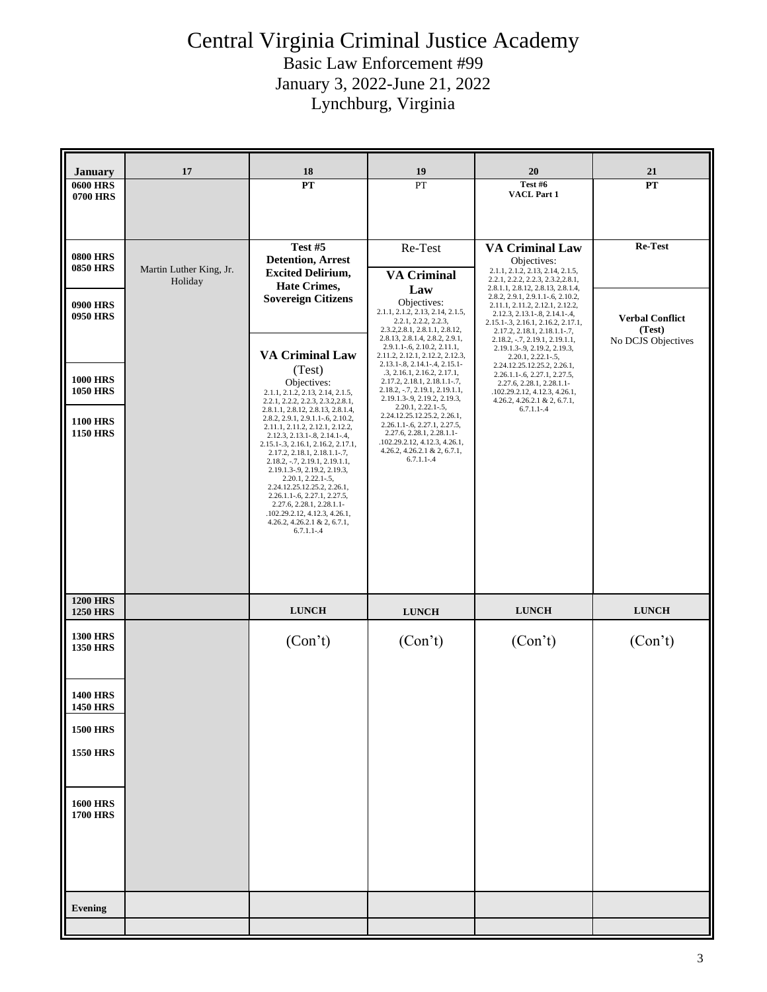| <b>January</b>                     | 17                      | 18                                                                                                        | 19                                                                                              | 20                                                                                                           | 21                           |
|------------------------------------|-------------------------|-----------------------------------------------------------------------------------------------------------|-------------------------------------------------------------------------------------------------|--------------------------------------------------------------------------------------------------------------|------------------------------|
| <b>0600 HRS</b><br>0700 HRS        |                         | ${\bf PT}$                                                                                                | PT                                                                                              | Test #6<br>VACL Part 1                                                                                       | PT                           |
|                                    |                         |                                                                                                           |                                                                                                 |                                                                                                              |                              |
|                                    |                         | Test #5                                                                                                   | Re-Test                                                                                         | <b>VA Criminal Law</b>                                                                                       | Re-Test                      |
| <b>0800 HRS</b><br><b>0850 HRS</b> | Martin Luther King, Jr. | <b>Detention</b> , Arrest<br><b>Excited Delirium,</b>                                                     | <b>VA Criminal</b>                                                                              | Objectives:<br>2.1.1, 2.1.2, 2.13, 2.14, 2.1.5,                                                              |                              |
|                                    | Holiday                 | <b>Hate Crimes,</b><br><b>Sovereign Citizens</b>                                                          | Law<br>Objectives:                                                                              | 2.2.1, 2.2.2, 2.2.3, 2.3.2, 2.8.1,<br>2.8.1.1, 2.8.12, 2.8.13, 2.8.1.4,<br>2.8.2, 2.9.1, 2.9.1.1-.6, 2.10.2, |                              |
| <b>0900 HRS</b><br><b>0950 HRS</b> |                         |                                                                                                           | 2.1.1, 2.1.2, 2.13, 2.14, 2.1.5,<br>2.2.1, 2.2.2, 2.2.3,                                        | 2.11.1, 2.11.2, 2.12.1, 2.12.2,<br>2.12.3, 2.13.1-.8, 2.14.1-.4,<br>2.15.1-.3, 2.16.1, 2.16.2, 2.17.1,       | <b>Verbal Conflict</b>       |
|                                    |                         |                                                                                                           | 2.3.2, 2.8.1, 2.8.1.1, 2.8.12,<br>2.8.13, 2.8.1.4, 2.8.2, 2.9.1,<br>2.9.1.1-.6, 2.10.2, 2.11.1, | 2.17.2, 2.18.1, 2.18.1.1-.7,<br>2.18.2, -.7, 2.19.1, 2.19.1.1,<br>2.19.1.3-.9, 2.19.2, 2.19.3,               | (Test)<br>No DCJS Objectives |
|                                    |                         | <b>VA Criminal Law</b><br>(Test)                                                                          | 2.11.2, 2.12.1, 2.12.2, 2.12.3,<br>2.13.1-.8, 2.14.1-.4, 2.15.1-<br>.3, 2.16.1, 2.16.2, 2.17.1, | $2.20.1, 2.22.1 - 5,$<br>2.24.12.25.12.25.2, 2.26.1,<br>2.26.1.1-.6, 2.27.1, 2.27.5,                         |                              |
| <b>1000 HRS</b><br><b>1050 HRS</b> |                         | Objectives:<br>2.1.1, 2.1.2, 2.13, 2.14, 2.1.5,<br>2.2.1, 2.2.2, 2.2.3, 2.3.2, 2.8.1,                     | 2.17.2, 2.18.1, 2.18.1.1-.7,<br>2.18.2, -.7, 2.19.1, 2.19.1.1,<br>2.19.1.3-.9, 2.19.2, 2.19.3,  | 2.27.6, 2.28.1, 2.28.1.1-<br>.102.29.2.12, 4.12.3, 4.26.1,<br>4.26.2, 4.26.2.1 & 2, 6.7.1,                   |                              |
| <b>1100 HRS</b>                    |                         | 2.8.1.1, 2.8.12, 2.8.13, 2.8.1.4,<br>2.8.2, 2.9.1, 2.9.1.1-.6, 2.10.2,<br>2.11.1, 2.11.2, 2.12.1, 2.12.2, | $2.20.1, 2.22.1 - .5,$<br>2.24.12.25.12.25.2, 2.26.1,<br>$2.26.1.1 - 6, 2.27.1, 2.27.5,$        | $6.7.1.1 - .4$                                                                                               |                              |
| <b>1150 HRS</b>                    |                         | 2.12.3, 2.13.1-.8, 2.14.1-.4,<br>2.15.1-.3, 2.16.1, 2.16.2, 2.17.1,<br>2.17.2, 2.18.1, 2.18.1.1-.7,       | 2.27.6, 2.28.1, 2.28.1.1-<br>.102.29.2.12, 4.12.3, 4.26.1,<br>4.26.2, 4.26.2.1 & 2, 6.7.1,      |                                                                                                              |                              |
|                                    |                         | 2.18.2, -.7, 2.19.1, 2.19.1.1,<br>2.19.1.3-.9, 2.19.2, 2.19.3,<br>2.20.1, 2.22.1-.5,                      | $6.7.1.1 - .4$                                                                                  |                                                                                                              |                              |
|                                    |                         | 2.24.12.25.12.25.2, 2.26.1,<br>$2.26.1.1 - 6$ , $2.27.1$ , $2.27.5$ ,<br>2.27.6, 2.28.1, 2.28.1.1-        |                                                                                                 |                                                                                                              |                              |
|                                    |                         | .102.29.2.12, 4.12.3, 4.26.1,<br>$4.26.2, 4.26.2.1 \& 2, 6.7.1,$                                          |                                                                                                 |                                                                                                              |                              |
|                                    |                         | $6.7.1.1 - .4$                                                                                            |                                                                                                 |                                                                                                              |                              |
|                                    |                         |                                                                                                           |                                                                                                 |                                                                                                              |                              |
| <b>1200 HRS</b>                    |                         |                                                                                                           |                                                                                                 |                                                                                                              |                              |
| <b>1250 HRS</b>                    |                         | <b>LUNCH</b>                                                                                              | <b>LUNCH</b>                                                                                    | <b>LUNCH</b>                                                                                                 | <b>LUNCH</b>                 |
| <b>1300 HRS</b><br><b>1350 HRS</b> |                         | (Con't)                                                                                                   | (Con't)                                                                                         | (Con't)                                                                                                      | (Con't)                      |
|                                    |                         |                                                                                                           |                                                                                                 |                                                                                                              |                              |
| <b>1400 HRS</b>                    |                         |                                                                                                           |                                                                                                 |                                                                                                              |                              |
| <b>1450 HRS</b><br><b>1500 HRS</b> |                         |                                                                                                           |                                                                                                 |                                                                                                              |                              |
| <b>1550 HRS</b>                    |                         |                                                                                                           |                                                                                                 |                                                                                                              |                              |
|                                    |                         |                                                                                                           |                                                                                                 |                                                                                                              |                              |
| <b>1600 HRS</b>                    |                         |                                                                                                           |                                                                                                 |                                                                                                              |                              |
| <b>1700 HRS</b>                    |                         |                                                                                                           |                                                                                                 |                                                                                                              |                              |
|                                    |                         |                                                                                                           |                                                                                                 |                                                                                                              |                              |
|                                    |                         |                                                                                                           |                                                                                                 |                                                                                                              |                              |
|                                    |                         |                                                                                                           |                                                                                                 |                                                                                                              |                              |
| <b>Evening</b>                     |                         |                                                                                                           |                                                                                                 |                                                                                                              |                              |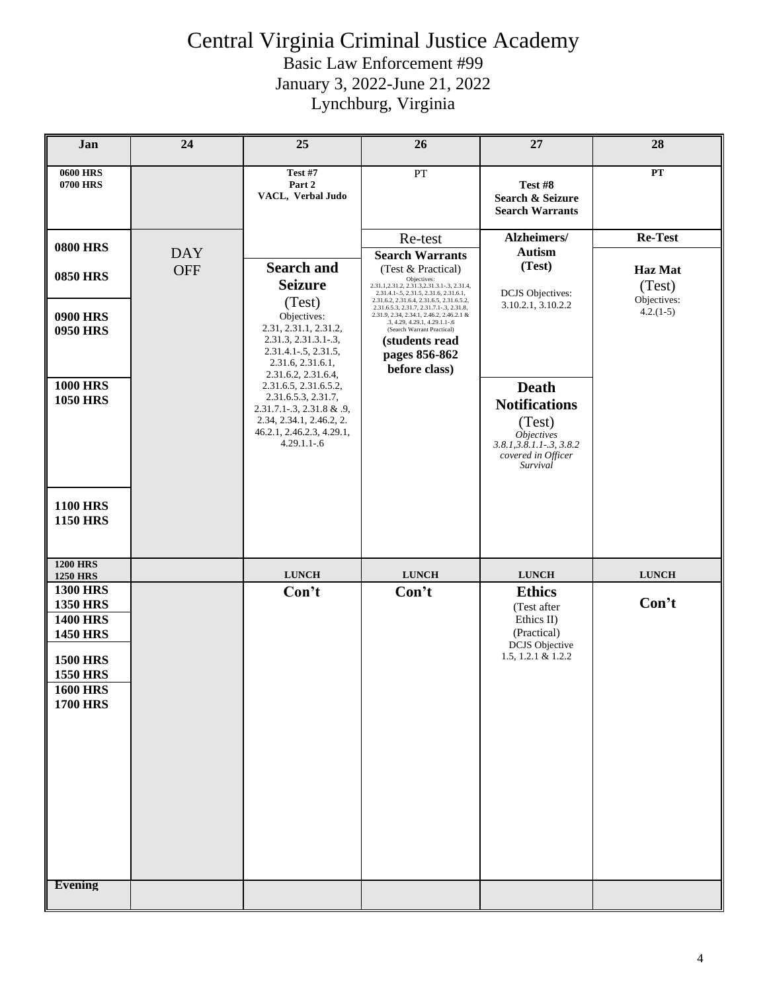### Central Virginia Criminal Justice Academy Basic Law Enforcement #99

January 3, 2022-June 21, 2022

Lynchburg, Virginia

| Jan                                                                                                                                                  | 24         | 25                                                                                                                                                         | 26                                                                                                                                                                                                                                                   | 27                                                                                                                                          | 28                        |
|------------------------------------------------------------------------------------------------------------------------------------------------------|------------|------------------------------------------------------------------------------------------------------------------------------------------------------------|------------------------------------------------------------------------------------------------------------------------------------------------------------------------------------------------------------------------------------------------------|---------------------------------------------------------------------------------------------------------------------------------------------|---------------------------|
| <b>0600 HRS</b><br><b>0700 HRS</b>                                                                                                                   |            | <b>Test #7</b><br>Part 2<br>VACL, Verbal Judo                                                                                                              | ${\cal PT}$                                                                                                                                                                                                                                          | Test #8<br>Search & Seizure<br><b>Search Warrants</b>                                                                                       | ${\bf PT}$                |
| <b>0800 HRS</b>                                                                                                                                      | <b>DAY</b> |                                                                                                                                                            | Re-test<br><b>Search Warrants</b>                                                                                                                                                                                                                    | Alzheimers/<br><b>Autism</b>                                                                                                                | Re-Test                   |
| <b>0850 HRS</b>                                                                                                                                      | <b>OFF</b> | <b>Search and</b><br><b>Seizure</b>                                                                                                                        | $\left(\text{Test}~\&~\text{Practical}\right) \label{eq:optimal}$<br>2.31.1, 2.31.2, 2.31.3, 2.31.3.1-.3, 2.31.4,<br>2.31.4.1-.5, 2.31.5, 2.31.6, 2.31.6.1,                                                                                          | (Test)<br><b>DCJS</b> Objectives:                                                                                                           | <b>Haz</b> Mat<br>(Test)  |
| <b>0900 HRS</b><br><b>0950 HRS</b>                                                                                                                   |            | (Test)<br>Objectives:<br>2.31, 2.31.1, 2.31.2,<br>2.31.3, 2.31.3.1-.3,<br>$2.31.4.1 - 5, 2.31.5,$<br>2.31.6, 2.31.6.1,<br>2.31.6.2, 2.31.6.4,              | 2.31.6.2, 2.31.6.4, 2.31.6.5, 2.31.6.5.2,<br>2.31.6.5.3, 2.31.7, 2.31.7.1-.3, 2.31.8,<br>2.31.9, 2.34, 2.34.1, 2.46.2, 2.46.2.1 &<br>.3, 4.29, 4.29.1, 4.29.1.1-.6<br>(Search Warrant Practical)<br>(students read<br>pages 856-862<br>before class) | 3.10.2.1, 3.10.2.2                                                                                                                          | Objectives:<br>$4.2(1-5)$ |
| <b>1000 HRS</b><br><b>1050 HRS</b>                                                                                                                   |            | 2.31.6.5, 2.31.6.5.2,<br>2.31.6.5.3, 2.31.7,<br>$2.31.7.1 - 3$ , $2.31.8$ & .9,<br>2.34, 2.34.1, 2.46.2, 2.<br>46.2.1, 2.46.2.3, 4.29.1,<br>$4.29.1.1 - 6$ |                                                                                                                                                                                                                                                      | <b>Death</b><br><b>Notifications</b><br>(Test)<br><i><b>Objectives</b></i><br>$3.8.1, 3.8.1, 1-.3, 3.8.2$<br>covered in Officer<br>Survival |                           |
| <b>1100 HRS</b><br><b>1150 HRS</b>                                                                                                                   |            |                                                                                                                                                            |                                                                                                                                                                                                                                                      |                                                                                                                                             |                           |
| <b>1200 HRS</b><br><b>1250 HRS</b>                                                                                                                   |            | <b>LUNCH</b>                                                                                                                                               | <b>LUNCH</b>                                                                                                                                                                                                                                         | <b>LUNCH</b>                                                                                                                                | <b>LUNCH</b>              |
| <b>1300 HRS</b><br><b>1350 HRS</b><br><b>1400 HRS</b><br><b>1450 HRS</b><br><b>1500 HRS</b><br><b>1550 HRS</b><br><b>1600 HRS</b><br><b>1700 HRS</b> |            | Con't                                                                                                                                                      | Con't                                                                                                                                                                                                                                                | <b>Ethics</b><br>(Test after<br>Ethics II)<br>(Practical)<br><b>DCJS</b> Objective<br>1.5, 1.2.1 & 1.2.2                                    | Con't                     |
| <b>Evening</b>                                                                                                                                       |            |                                                                                                                                                            |                                                                                                                                                                                                                                                      |                                                                                                                                             |                           |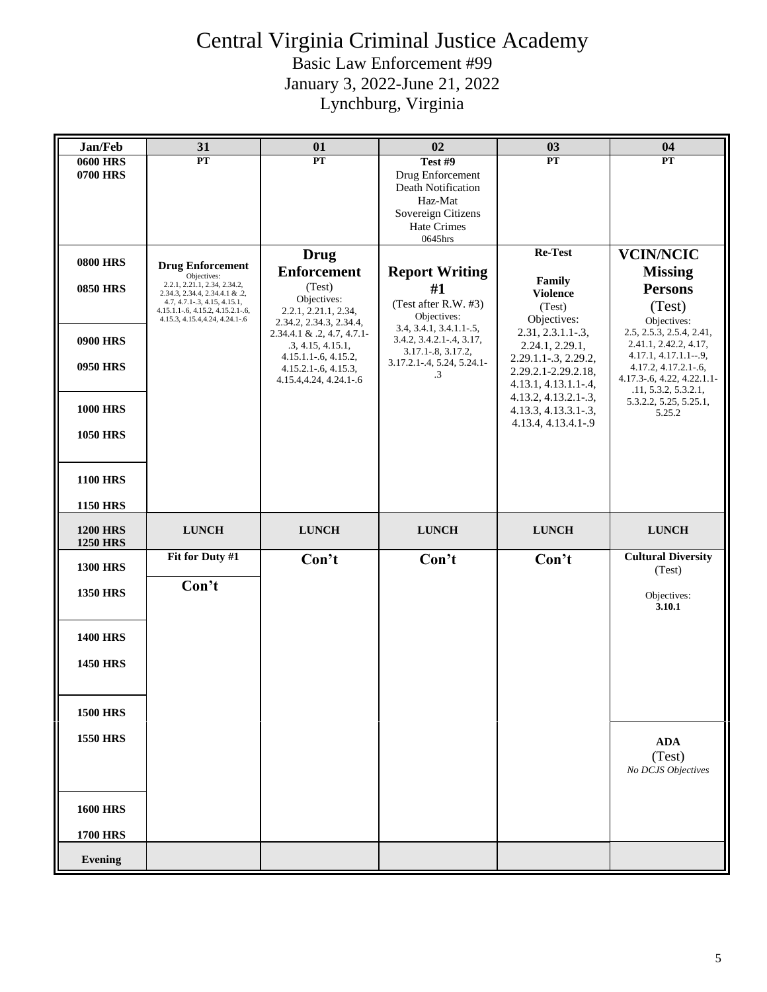| Jan/Feb                                                                                     | 31                                                                                                                                                                                                               | 01                                                                                                                                                                                                                                                  | 02                                                                                                                                                                                  | 03                                                                                                                                                                                                                                                        | 04                                                                                                                                                                                                                                                                               |
|---------------------------------------------------------------------------------------------|------------------------------------------------------------------------------------------------------------------------------------------------------------------------------------------------------------------|-----------------------------------------------------------------------------------------------------------------------------------------------------------------------------------------------------------------------------------------------------|-------------------------------------------------------------------------------------------------------------------------------------------------------------------------------------|-----------------------------------------------------------------------------------------------------------------------------------------------------------------------------------------------------------------------------------------------------------|----------------------------------------------------------------------------------------------------------------------------------------------------------------------------------------------------------------------------------------------------------------------------------|
| <b>0600 HRS</b><br>0700 HRS                                                                 | $\overline{\mathbf{PT}}$                                                                                                                                                                                         | $\overline{\mathbf{PT}}$                                                                                                                                                                                                                            | Test #9<br>Drug Enforcement<br>Death Notification<br>Haz-Mat<br>Sovereign Citizens<br><b>Hate Crimes</b><br>0645hrs                                                                 | $\overline{PT}$                                                                                                                                                                                                                                           | PT                                                                                                                                                                                                                                                                               |
| <b>0800 HRS</b><br><b>0850 HRS</b><br><b>0900 HRS</b><br><b>0950 HRS</b><br><b>1000 HRS</b> | <b>Drug Enforcement</b><br>Objectives:<br>2.2.1, 2.21.1, 2.34, 2.34.2,<br>2.34.3, 2.34.4, 2.34.4.1 & .2,<br>4.7, 4.7.1-.3, 4.15, 4.15.1,<br>4.15.1.1-.6, 4.15.2, 4.15.2.1-.6,<br>4.15.3, 4.15.4, 4.24, 4.24.1-.6 | <b>Drug</b><br><b>Enforcement</b><br>(Test)<br>Objectives:<br>2.2.1, 2.21.1, 2.34,<br>2.34.2, 2.34.3, 2.34.4,<br>$2.34.4.1 \& 0.2, 4.7, 4.7.1$<br>.3, 4.15, 4.15.1,<br>$4.15.1.1 - 6, 4.15.2,$<br>$4.15.2.1 - 6, 4.15.3,$<br>4.15.4,4.24, 4.24.1-.6 | <b>Report Writing</b><br>#1<br>(Test after R.W. #3)<br>Objectives:<br>3.4, 3.4.1, 3.4.1.1-.5,<br>3.4.2, 3.4.2.1-.4, 3.17,<br>3.17.1-.8, 3.17.2,<br>3.17.2.1-.4, 5.24, 5.24.1-<br>.3 | Re-Test<br>Family<br><b>Violence</b><br>(Test)<br>Objectives:<br>$2.31, 2.3.1.1-.3,$<br>2.24.1, 2.29.1,<br>2.29.1.1-.3, 2.29.2,<br>2.29.2.1-2.29.2.18,<br>$4.13.1, 4.13.1.1 - .4,$<br>4.13.2, 4.13.2.1-.3,<br>4.13.3, 4.13.3.1-.3,<br>4.13.4, 4.13.4.1-.9 | <b>VCIN/NCIC</b><br><b>Missing</b><br><b>Persons</b><br>(Test)<br>Objectives:<br>2.5, 2.5.3, 2.5.4, 2.41,<br>2.41.1, 2.42.2, 4.17,<br>$4.17.1, 4.17.1.1-.9,$<br>4.17.2, 4.17.2.1-.6,<br>$4.17.3 - 6, 4.22, 4.22.1.1$<br>.11, 5.3.2, 5.3.2.1,<br>5.3.2.2, 5.25, 5.25.1,<br>5.25.2 |
| <b>1050 HRS</b><br><b>1100 HRS</b><br><b>1150 HRS</b>                                       |                                                                                                                                                                                                                  |                                                                                                                                                                                                                                                     |                                                                                                                                                                                     |                                                                                                                                                                                                                                                           |                                                                                                                                                                                                                                                                                  |
| <b>1200 HRS</b><br><b>1250 HRS</b>                                                          | <b>LUNCH</b>                                                                                                                                                                                                     | <b>LUNCH</b>                                                                                                                                                                                                                                        | <b>LUNCH</b>                                                                                                                                                                        | <b>LUNCH</b>                                                                                                                                                                                                                                              | <b>LUNCH</b>                                                                                                                                                                                                                                                                     |
| <b>1300 HRS</b><br><b>1350 HRS</b>                                                          | Fit for Duty #1<br>Con't                                                                                                                                                                                         | Con't                                                                                                                                                                                                                                               | Con't                                                                                                                                                                               | Con't                                                                                                                                                                                                                                                     | <b>Cultural Diversity</b><br>(Test)<br>Objectives:<br>3.10.1                                                                                                                                                                                                                     |
| <b>1400 HRS</b><br><b>1450 HRS</b>                                                          |                                                                                                                                                                                                                  |                                                                                                                                                                                                                                                     |                                                                                                                                                                                     |                                                                                                                                                                                                                                                           |                                                                                                                                                                                                                                                                                  |
| <b>1500 HRS</b><br><b>1550 HRS</b><br><b>1600 HRS</b>                                       |                                                                                                                                                                                                                  |                                                                                                                                                                                                                                                     |                                                                                                                                                                                     |                                                                                                                                                                                                                                                           | $\bf{ADA}$<br>(Test)<br>No DCJS Objectives                                                                                                                                                                                                                                       |
| <b>1700 HRS</b><br><b>Evening</b>                                                           |                                                                                                                                                                                                                  |                                                                                                                                                                                                                                                     |                                                                                                                                                                                     |                                                                                                                                                                                                                                                           |                                                                                                                                                                                                                                                                                  |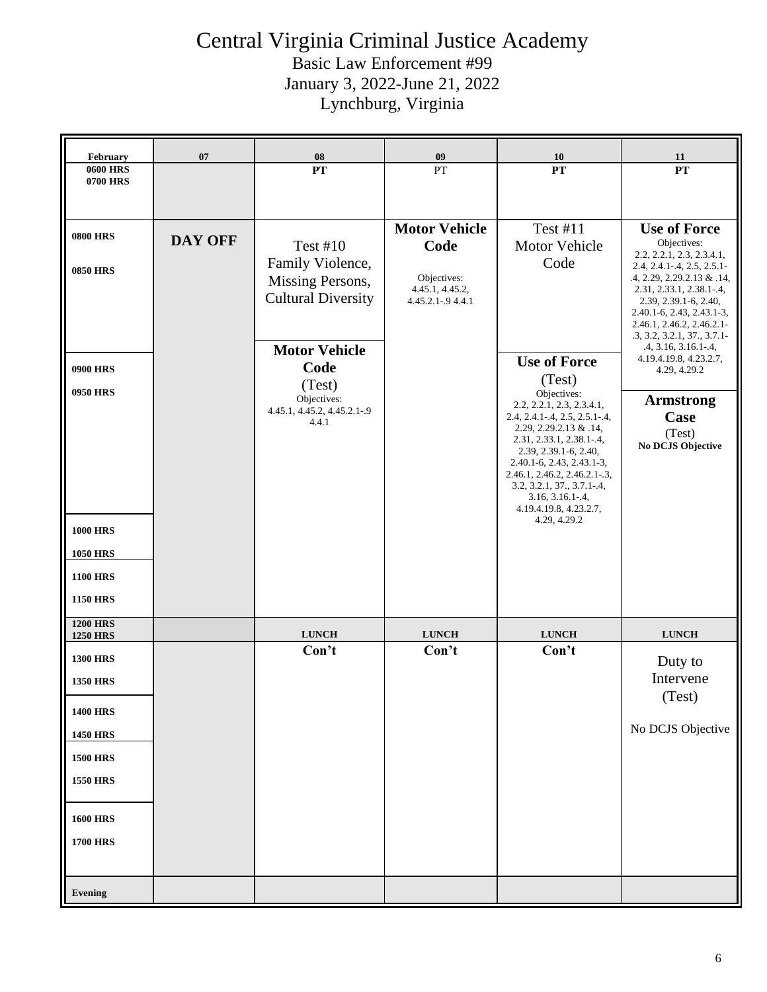| PT<br>PT<br>PT<br>$\overline{\mathbf{PT}}$<br><b>0600 HRS</b><br>0700 HRS<br><b>Motor Vehicle</b><br><b>Test #11</b><br><b>0800 HRS</b><br><b>DAY OFF</b><br>Objectives:<br><b>Test #10</b><br>Motor Vehicle<br>Code<br>Family Violence,<br>Code<br><b>0850 HRS</b><br>Objectives:<br>Missing Persons,<br>4.45.1, 4.45.2,<br><b>Cultural Diversity</b><br>4.45.2.1-.9 4.4.1<br><b>Motor Vehicle</b><br><b>Use of Force</b><br>Code<br><b>0900 HRS</b><br>4.29, 4.29.2<br>(Test)<br>(Test)<br><b>0950 HRS</b><br>Objectives:<br>Objectives:<br>2.2, 2.2.1, 2.3, 2.3.4.1,<br>4.45.1, 4.45.2, 4.45.2.1-.9<br>Case<br>2.4, 2.4.1-.4, 2.5, 2.5.1-.4,<br>4.4.1<br>2.29, 2.29.2.13 & .14,<br>(Test)<br>2.31, 2.33.1, 2.38.1-.4,<br>2.39, 2.39.1-6, 2.40,<br>2.40.1-6, 2.43, 2.43.1-3,<br>2.46.1, 2.46.2, 2.46.2.1-.3,<br>$3.2, 3.2.1, 37., 3.7.1-.4,$<br>$3.16, 3.16.1 - .4,$<br>4.19.4.19.8, 4.23.2.7,<br>4.29, 4.29.2<br><b>1000 HRS</b><br><b>1050 HRS</b><br><b>1100 HRS</b><br><b>1150 HRS</b><br><b>1200 HRS</b><br><b>LUNCH</b><br><b>LUNCH</b><br><b>LUNCH</b><br><b>LUNCH</b><br><b>1250 HRS</b><br>Con't<br>Con't<br>Con't<br><b>1300 HRS</b><br>Duty to<br>Intervene<br><b>1350 HRS</b><br>(Test)<br><b>1400 HRS</b><br><b>1450 HRS</b><br><b>1500 HRS</b><br><b>1550 HRS</b> | February | 07 | 08 | 09 | <b>10</b> | 11                                                                                                                                                                                                                                                                                                                                                    |
|-----------------------------------------------------------------------------------------------------------------------------------------------------------------------------------------------------------------------------------------------------------------------------------------------------------------------------------------------------------------------------------------------------------------------------------------------------------------------------------------------------------------------------------------------------------------------------------------------------------------------------------------------------------------------------------------------------------------------------------------------------------------------------------------------------------------------------------------------------------------------------------------------------------------------------------------------------------------------------------------------------------------------------------------------------------------------------------------------------------------------------------------------------------------------------------------------------------------------------------------------------------------------------------|----------|----|----|----|-----------|-------------------------------------------------------------------------------------------------------------------------------------------------------------------------------------------------------------------------------------------------------------------------------------------------------------------------------------------------------|
|                                                                                                                                                                                                                                                                                                                                                                                                                                                                                                                                                                                                                                                                                                                                                                                                                                                                                                                                                                                                                                                                                                                                                                                                                                                                                   |          |    |    |    |           |                                                                                                                                                                                                                                                                                                                                                       |
|                                                                                                                                                                                                                                                                                                                                                                                                                                                                                                                                                                                                                                                                                                                                                                                                                                                                                                                                                                                                                                                                                                                                                                                                                                                                                   |          |    |    |    |           |                                                                                                                                                                                                                                                                                                                                                       |
|                                                                                                                                                                                                                                                                                                                                                                                                                                                                                                                                                                                                                                                                                                                                                                                                                                                                                                                                                                                                                                                                                                                                                                                                                                                                                   |          |    |    |    |           | <b>Use of Force</b><br>2.2, 2.2.1, 2.3, 2.3.4.1,<br>2.4, 2.4.1-.4, 2.5, 2.5.1-<br>.4, 2.29, 2.29.2.13 & .14,<br>2.31, 2.33.1, 2.38.1-.4,<br>2.39, 2.39.1-6, 2.40,<br>2.40.1-6, 2.43, 2.43.1-3,<br>2.46.1, 2.46.2, 2.46.2.1-<br>.3, 3.2, 3.2.1, 37., 3.7.1-<br>.4, 3.16, 3.16.1-.4,<br>4.19.4.19.8, 4.23.2.7,<br><b>Armstrong</b><br>No DCJS Objective |
|                                                                                                                                                                                                                                                                                                                                                                                                                                                                                                                                                                                                                                                                                                                                                                                                                                                                                                                                                                                                                                                                                                                                                                                                                                                                                   |          |    |    |    |           |                                                                                                                                                                                                                                                                                                                                                       |
|                                                                                                                                                                                                                                                                                                                                                                                                                                                                                                                                                                                                                                                                                                                                                                                                                                                                                                                                                                                                                                                                                                                                                                                                                                                                                   |          |    |    |    |           |                                                                                                                                                                                                                                                                                                                                                       |
| <b>1600 HRS</b><br><b>1700 HRS</b><br><b>Evening</b>                                                                                                                                                                                                                                                                                                                                                                                                                                                                                                                                                                                                                                                                                                                                                                                                                                                                                                                                                                                                                                                                                                                                                                                                                              |          |    |    |    |           | No DCJS Objective                                                                                                                                                                                                                                                                                                                                     |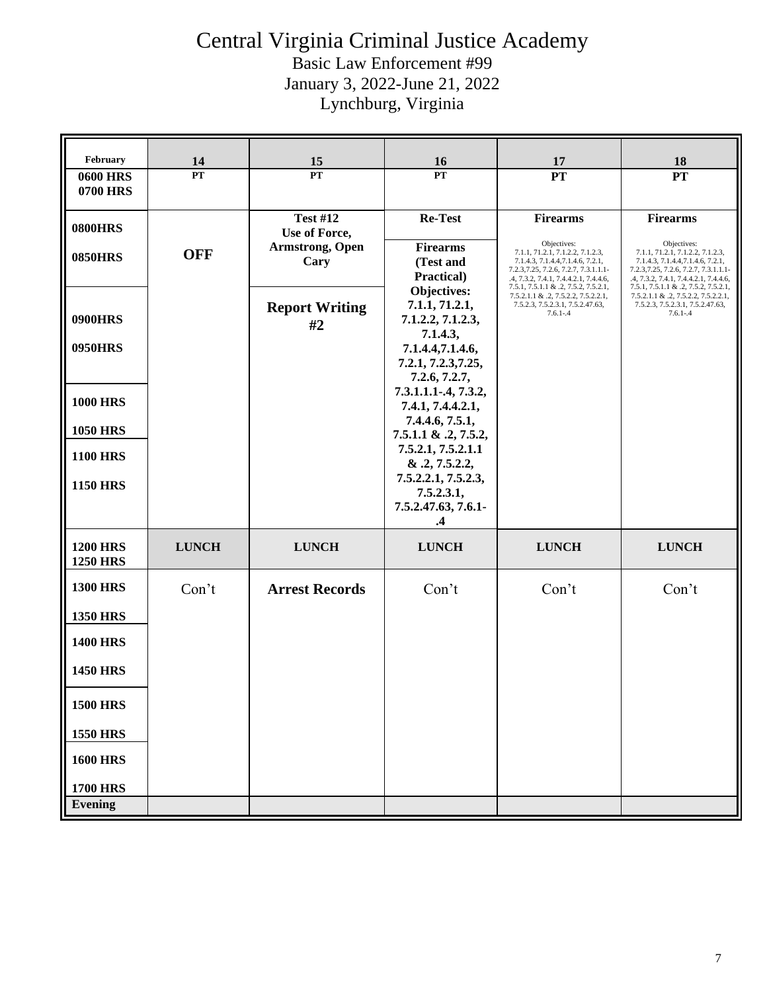| February                           | 14           | 15                               | 16                                                                    | 17                                                                                                                                                                                                             | 18                                                                                                                                                                                                             |
|------------------------------------|--------------|----------------------------------|-----------------------------------------------------------------------|----------------------------------------------------------------------------------------------------------------------------------------------------------------------------------------------------------------|----------------------------------------------------------------------------------------------------------------------------------------------------------------------------------------------------------------|
| <b>0600 HRS</b><br><b>0700 HRS</b> | PT           | PT                               | <b>PT</b>                                                             | <b>PT</b>                                                                                                                                                                                                      | <b>PT</b>                                                                                                                                                                                                      |
| <b>0800HRS</b>                     |              | <b>Test #12</b><br>Use of Force, | <b>Re-Test</b>                                                        | <b>Firearms</b>                                                                                                                                                                                                | <b>Firearms</b>                                                                                                                                                                                                |
| <b>0850HRS</b>                     | <b>OFF</b>   | <b>Armstrong, Open</b><br>Cary   | <b>Firearms</b><br>(Test and<br>Practical)                            | Objectives:<br>7.1.1, 71.2.1, 7.1.2.2, 7.1.2.3,<br>7.1.4.3, 7.1.4.4, 7.1.4.6, 7.2.1,<br>7.2.3, 7.25, 7.2.6, 7.2.7, 7.3.1.1.1-<br>.4, 7.3.2, 7.4.1, 7.4.4.2.1, 7.4.4.6,<br>7.5.1, 7.5.1.1 & .2, 7.5.2, 7.5.2.1, | Objectives:<br>7.1.1, 71.2.1, 7.1.2.2, 7.1.2.3,<br>7.1.4.3, 7.1.4.4, 7.1.4.6, 7.2.1,<br>7.2.3, 7.25, 7.2.6, 7.2.7, 7.3.1.1.1-<br>.4, 7.3.2, 7.4.1, 7.4.4.2.1, 7.4.4.6,<br>7.5.1, 7.5.1.1 & .2, 7.5.2, 7.5.2.1, |
| <b>0900HRS</b>                     |              | <b>Report Writing</b><br>#2      | Objectives:<br>7.1.1, 71.2.1,<br>7.1.2.2, 7.1.2.3,<br>7.1.4.3,        | 7.5.2.1.1 & .2, 7.5.2.2, 7.5.2.2.1,<br>7.5.2.3, 7.5.2.3.1, 7.5.2.47.63,<br>$7.6.1 - .4$                                                                                                                        | 7.5.2.1.1 & .2, 7.5.2.2, 7.5.2.2.1,<br>7.5.2.3, 7.5.2.3.1, 7.5.2.47.63,<br>$7.6.1 - .4$                                                                                                                        |
| <b>0950HRS</b>                     |              |                                  | 7.1.4.4,7.1.4.6,<br>7.2.1, 7.2.3, 7.25,<br>7.2.6, 7.2.7,              |                                                                                                                                                                                                                |                                                                                                                                                                                                                |
| <b>1000 HRS</b>                    |              |                                  | 7.3.1.1.1-.4, 7.3.2,<br>7.4.1, 7.4.4.2.1,                             |                                                                                                                                                                                                                |                                                                                                                                                                                                                |
| <b>1050 HRS</b>                    |              |                                  | 7.4.4.6, 7.5.1,<br>7.5.1.1 & .2, 7.5.2,                               |                                                                                                                                                                                                                |                                                                                                                                                                                                                |
| <b>1100 HRS</b>                    |              |                                  | 7.5.2.1, 7.5.2.1.1<br>& 0.2, 7.5.2.2,                                 |                                                                                                                                                                                                                |                                                                                                                                                                                                                |
| <b>1150 HRS</b>                    |              |                                  | 7.5.2.2.1, 7.5.2.3,<br>7.5.2.3.1,<br>7.5.2.47.63, 7.6.1-<br>$\cdot$ 4 |                                                                                                                                                                                                                |                                                                                                                                                                                                                |
| <b>1200 HRS</b><br><b>1250 HRS</b> | <b>LUNCH</b> | <b>LUNCH</b>                     | <b>LUNCH</b>                                                          | <b>LUNCH</b>                                                                                                                                                                                                   | <b>LUNCH</b>                                                                                                                                                                                                   |
| <b>1300 HRS</b>                    | Con't        | <b>Arrest Records</b>            | Con't                                                                 | Con't                                                                                                                                                                                                          | Con't                                                                                                                                                                                                          |
| <b>1350 HRS</b>                    |              |                                  |                                                                       |                                                                                                                                                                                                                |                                                                                                                                                                                                                |
| <b>1400 HRS</b>                    |              |                                  |                                                                       |                                                                                                                                                                                                                |                                                                                                                                                                                                                |
| <b>1450 HRS</b>                    |              |                                  |                                                                       |                                                                                                                                                                                                                |                                                                                                                                                                                                                |
| <b>1500 HRS</b>                    |              |                                  |                                                                       |                                                                                                                                                                                                                |                                                                                                                                                                                                                |
| <b>1550 HRS</b>                    |              |                                  |                                                                       |                                                                                                                                                                                                                |                                                                                                                                                                                                                |
| <b>1600 HRS</b>                    |              |                                  |                                                                       |                                                                                                                                                                                                                |                                                                                                                                                                                                                |
| <b>1700 HRS</b>                    |              |                                  |                                                                       |                                                                                                                                                                                                                |                                                                                                                                                                                                                |
| <b>Evening</b>                     |              |                                  |                                                                       |                                                                                                                                                                                                                |                                                                                                                                                                                                                |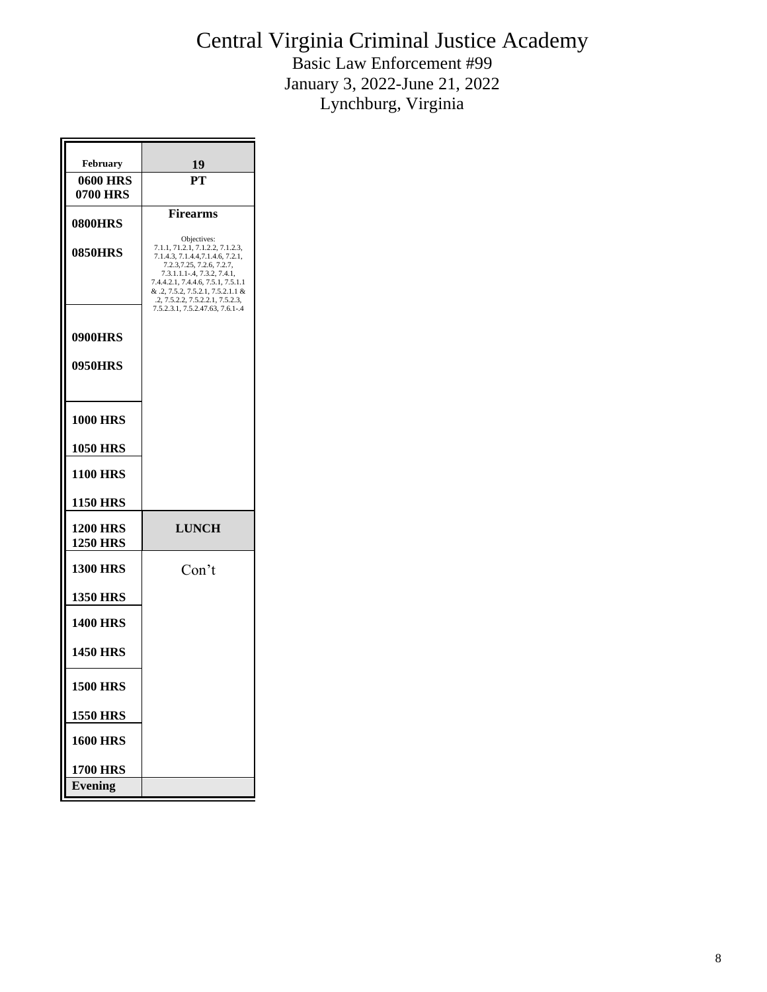| <b>February</b>             | 19                                                                                                                 |
|-----------------------------|--------------------------------------------------------------------------------------------------------------------|
| <b>0600 HRS</b><br>0700 HRS | PТ                                                                                                                 |
| <b>0800HRS</b>              | <b>Firearms</b>                                                                                                    |
| <b>0850HRS</b>              | Objectives:<br>7.1.1, 71.2.1, 7.1.2.2, 7.1.2.3,<br>7.1.4.3, 7.1.4.4, 7.1.4.6, 7.2.1,<br>7.2.3, 7.25, 7.2.6, 7.2.7, |
|                             | 7.3.1.1.1-.4, 7.3.2, 7.4.1,<br>7.4.4.2.1, 7.4.4.6, 7.5.1, 7.5.1.1<br>& .2, 7.5.2, 7.5.2.1, 7.5.2.1.1 &             |
|                             | .2, 7.5.2.2, 7.5.2.2.1, 7.5.2.3,<br>7.5.2.3.1, 7.5.2.47.63, 7.6.1-.4                                               |
| 0900HRS                     |                                                                                                                    |
| 0950HRS                     |                                                                                                                    |
|                             |                                                                                                                    |
| <b>1000 HRS</b>             |                                                                                                                    |
| <b>1050 HRS</b>             |                                                                                                                    |
| <b>1100 HRS</b>             |                                                                                                                    |
| 1150 HRS                    |                                                                                                                    |
| <b>1200 HRS</b><br>1250 HRS | <b>LUNCH</b>                                                                                                       |
| <b>1300 HRS</b>             | Con't                                                                                                              |
| <b>1350 HRS</b>             |                                                                                                                    |
| <b>1400 HRS</b>             |                                                                                                                    |
| <b>1450 HRS</b>             |                                                                                                                    |
| <b>1500 HRS</b>             |                                                                                                                    |
| <b>1550 HRS</b>             |                                                                                                                    |
| <b>1600 HRS</b>             |                                                                                                                    |
| <b>1700 HRS</b>             |                                                                                                                    |
| Evening                     |                                                                                                                    |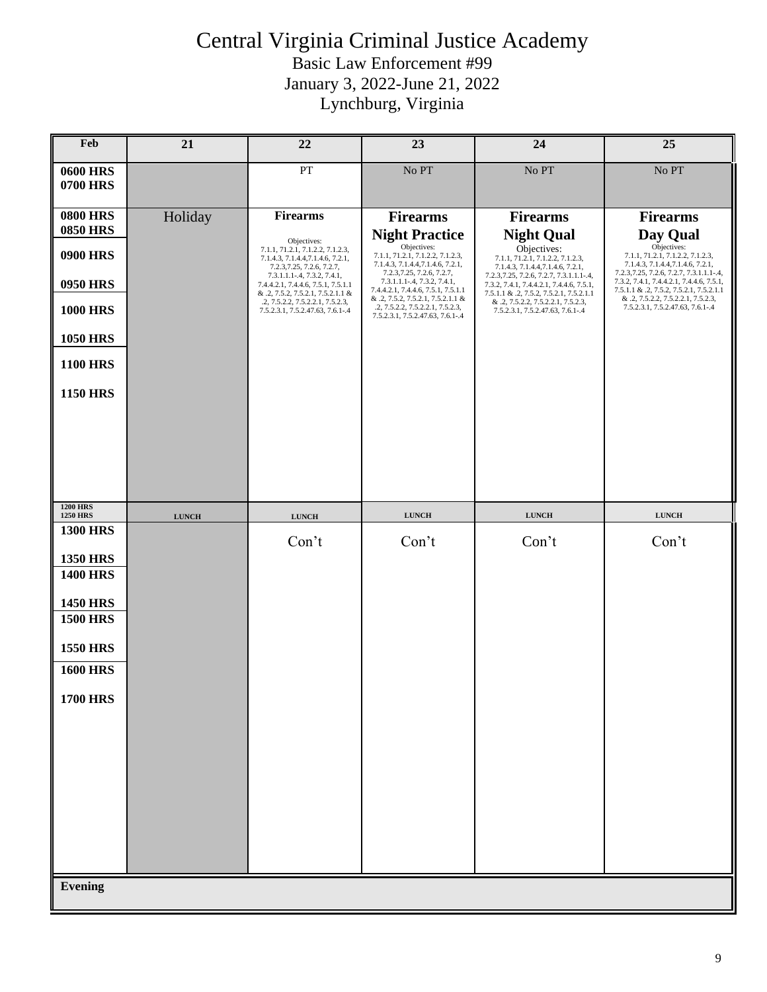| Feb                                | 21           | 22                                                                                                                 | 23                                                                                                                                          | 24                                                                                                                              | 25                                                                                                                                           |
|------------------------------------|--------------|--------------------------------------------------------------------------------------------------------------------|---------------------------------------------------------------------------------------------------------------------------------------------|---------------------------------------------------------------------------------------------------------------------------------|----------------------------------------------------------------------------------------------------------------------------------------------|
| <b>0600 HRS</b><br><b>0700 HRS</b> |              | PT                                                                                                                 | No PT                                                                                                                                       | No PT                                                                                                                           | No PT                                                                                                                                        |
| <b>0800 HRS</b><br><b>0850 HRS</b> | Holiday      | <b>Firearms</b>                                                                                                    | <b>Firearms</b>                                                                                                                             | <b>Firearms</b>                                                                                                                 | <b>Firearms</b>                                                                                                                              |
| <b>0900 HRS</b>                    |              | Objectives:<br>7.1.1, 71.2.1, 7.1.2.2, 7.1.2.3,<br>7.1.4.3, 7.1.4.4, 7.1.4.6, 7.2.1,<br>7.2.3, 7.25, 7.2.6, 7.2.7, | <b>Night Practice</b><br>Objectives:<br>7.1.1, 71.2.1, 7.1.2.2, 7.1.2.3,<br>7.1.4.3, 7.1.4.4, 7.1.4.6, 7.2.1,<br>7.2.3, 7.25, 7.2.6, 7.2.7, | <b>Night Qual</b><br>Objectives:<br>7.1.1, 71.2.1, 7.1.2.2, 7.1.2.3,<br>7.1.4.3, 7.1.4.4, 7.1.4.6, 7.2.1,                       | Day Qual<br>Objectives:<br>7.1.1, 71.2.1, 7.1.2.2, 7.1.2.3,<br>7.1.4.3, 7.1.4.4, 7.1.4.6, 7.2.1,<br>7.2.3, 7.25, 7.2.6, 7.2.7, 7.3.1.1.1-.4, |
| <b>0950 HRS</b>                    |              | 7.3.1.1.1-.4, 7.3.2, 7.4.1,<br>7.4.4.2.1, 7.4.4.6, 7.5.1, 7.5.1.1<br>& .2, 7.5.2, 7.5.2.1, 7.5.2.1.1 &             | 7.3.1.1.1-.4, 7.3.2, 7.4.1,<br>7.4.4.2.1, 7.4.4.6, 7.5.1, 7.5.1.1                                                                           | 7.2.3, 7.25, 7.2.6, 7.2.7, 7.3.1.1.1-.4,<br>7.3.2, 7.4.1, 7.4.4.2.1, 7.4.4.6, 7.5.1,<br>7.5.1.1 & .2, 7.5.2, 7.5.2.1, 7.5.2.1.1 | 7.3.2, 7.4.1, 7.4.4.2.1, 7.4.4.6, 7.5.1,<br>7.5.1.1 & .2, 7.5.2, 7.5.2.1, 7.5.2.1.1                                                          |
| <b>1000 HRS</b>                    |              | .2, 7.5.2.2, 7.5.2.2.1, 7.5.2.3,<br>7.5.2.3.1, 7.5.2.47.63, 7.6.1-.4                                               | & .2, 7.5.2, 7.5.2.1, 7.5.2.1.1 &<br>.2, 7.5.2.2, 7.5.2.2.1, 7.5.2.3,<br>7.5.2.3.1, 7.5.2.47.63, 7.6.1-.4                                   | & .2, 7.5.2.2, 7.5.2.2.1, 7.5.2.3,<br>7.5.2.3.1, 7.5.2.47.63, 7.6.1-.4                                                          | & .2, 7.5.2.2, 7.5.2.2.1, 7.5.2.3,<br>7.5.2.3.1, 7.5.2.47.63, 7.6.1-.4                                                                       |
| <b>1050 HRS</b>                    |              |                                                                                                                    |                                                                                                                                             |                                                                                                                                 |                                                                                                                                              |
| <b>1100 HRS</b>                    |              |                                                                                                                    |                                                                                                                                             |                                                                                                                                 |                                                                                                                                              |
| <b>1150 HRS</b>                    |              |                                                                                                                    |                                                                                                                                             |                                                                                                                                 |                                                                                                                                              |
|                                    |              |                                                                                                                    |                                                                                                                                             |                                                                                                                                 |                                                                                                                                              |
| <b>1200 HRS</b><br><b>1250 HRS</b> | <b>LUNCH</b> | <b>LUNCH</b>                                                                                                       | <b>LUNCH</b>                                                                                                                                | <b>LUNCH</b>                                                                                                                    | <b>LUNCH</b>                                                                                                                                 |
| <b>1300 HRS</b><br><b>1350 HRS</b> |              | Con't                                                                                                              | Con't                                                                                                                                       | Con't                                                                                                                           | Con't                                                                                                                                        |
| <b>1400 HRS</b>                    |              |                                                                                                                    |                                                                                                                                             |                                                                                                                                 |                                                                                                                                              |
| <b>1450 HRS</b>                    |              |                                                                                                                    |                                                                                                                                             |                                                                                                                                 |                                                                                                                                              |
| <b>1500 HRS</b>                    |              |                                                                                                                    |                                                                                                                                             |                                                                                                                                 |                                                                                                                                              |
| <b>1550 HRS</b>                    |              |                                                                                                                    |                                                                                                                                             |                                                                                                                                 |                                                                                                                                              |
| <b>1600 HRS</b>                    |              |                                                                                                                    |                                                                                                                                             |                                                                                                                                 |                                                                                                                                              |
| <b>1700 HRS</b>                    |              |                                                                                                                    |                                                                                                                                             |                                                                                                                                 |                                                                                                                                              |
|                                    |              |                                                                                                                    |                                                                                                                                             |                                                                                                                                 |                                                                                                                                              |
|                                    |              |                                                                                                                    |                                                                                                                                             |                                                                                                                                 |                                                                                                                                              |
|                                    |              |                                                                                                                    |                                                                                                                                             |                                                                                                                                 |                                                                                                                                              |
|                                    |              |                                                                                                                    |                                                                                                                                             |                                                                                                                                 |                                                                                                                                              |
|                                    |              |                                                                                                                    |                                                                                                                                             |                                                                                                                                 |                                                                                                                                              |
|                                    |              |                                                                                                                    |                                                                                                                                             |                                                                                                                                 |                                                                                                                                              |
| <b>Evening</b>                     |              |                                                                                                                    |                                                                                                                                             |                                                                                                                                 |                                                                                                                                              |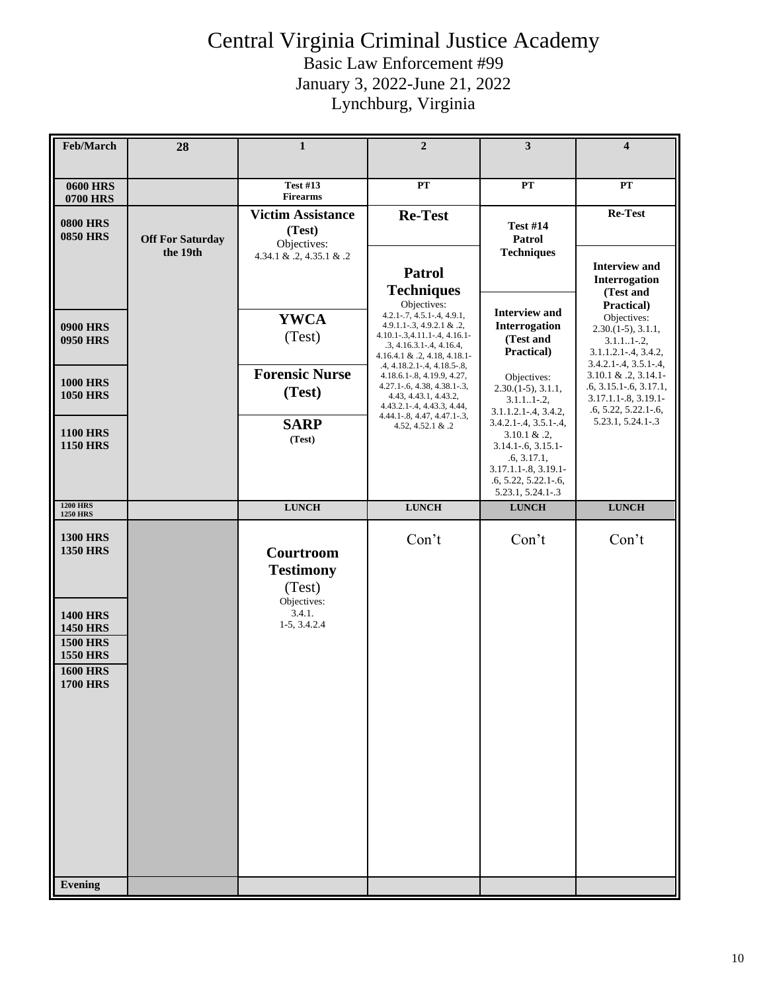| Feb/March                                                                                                                                                       | 28                                  | 1                                                                                  | $\overline{2}$                                                                                                                                                                                          | 3                                                                                                                                                             | $\overline{\mathbf{4}}$                                                                                                                                   |
|-----------------------------------------------------------------------------------------------------------------------------------------------------------------|-------------------------------------|------------------------------------------------------------------------------------|---------------------------------------------------------------------------------------------------------------------------------------------------------------------------------------------------------|---------------------------------------------------------------------------------------------------------------------------------------------------------------|-----------------------------------------------------------------------------------------------------------------------------------------------------------|
| <b>0600 HRS</b>                                                                                                                                                 |                                     | <b>Test #13</b><br><b>Firearms</b>                                                 | PT                                                                                                                                                                                                      | <b>PT</b>                                                                                                                                                     | <b>PT</b>                                                                                                                                                 |
| 0700 HRS<br><b>0800 HRS</b><br><b>0850 HRS</b>                                                                                                                  | <b>Off For Saturday</b><br>the 19th | <b>Victim Assistance</b><br>(Test)<br>Objectives:<br>4.34.1 & .2, 4.35.1 & .2      | <b>Re-Test</b><br><b>Patrol</b>                                                                                                                                                                         | <b>Test #14</b><br>Patrol<br><b>Techniques</b>                                                                                                                | Re-Test<br><b>Interview and</b>                                                                                                                           |
| <b>0900 HRS</b><br><b>0950 HRS</b>                                                                                                                              |                                     | <b>YWCA</b><br>(Test)                                                              | <b>Techniques</b><br>Objectives:<br>$4.2.1 - 7, 4.5.1 - 4, 4.9.1,$<br>4.9.1.1-.3, 4.9.2.1 & .2,<br>$4.10.1 - 3, 4.11.1 - 4, 4.16.1 -$<br>$.3, 4.16.3.1 - .4, 4.16.4,$<br>$4.16.4.1 \& .2, 4.18, 4.18.1$ | <b>Interview and</b><br>Interrogation<br>(Test and<br>Practical)                                                                                              | Interrogation<br>(Test and<br>Practical)<br>Objectives:<br>$2.30(1-5), 3.1.1,$<br>$3.1.11-.2,$<br>$3.1.1.2.1 - .4, 3.4.2,$<br>$3.4.2.1 - .4, 3.5.1 - .4,$ |
| <b>1000 HRS</b><br><b>1050 HRS</b>                                                                                                                              |                                     | <b>Forensic Nurse</b><br>(Test)                                                    | .4, 4.18.2.1-.4, 4.18.5-.8,<br>$4.18.6.1 - 8, 4.19.9, 4.27,$<br>$4.27.1 - 6, 4.38, 4.38.1 - 3,$<br>4.43, 4.43.1, 4.43.2,<br>$4.43.2.1 - .4, 4.43.3, 4.44,$<br>$4.44.1 - 8, 4.47, 4.47.1 - 3,$           | Objectives:<br>$2.30(1-5), 3.1.1,$<br>$3.1.11-.2,$<br>$3.1.1.2.1 - .4, 3.4.2,$                                                                                | $3.10.1 \& .2, 3.14.1$<br>$.6, 3.15.1 - .6, 3.17.1,$<br>3.17.1.1-.8, 3.19.1-<br>$.6, 5.22, 5.22.1 - .6,$                                                  |
| <b>1100 HRS</b><br><b>1150 HRS</b>                                                                                                                              |                                     | <b>SARP</b><br>(Test)                                                              | 4.52, 4.52.1 & .2                                                                                                                                                                                       | $3.4.2.1 - 4, 3.5.1 - 4,$<br>$3.10.1 \& .2$<br>$3.14.1 - 6, 3.15.1 -$<br>.6, 3.17.1,<br>3.17.1.1-.8, 3.19.1-<br>$.6, 5.22, 5.22.1 - .6,$<br>5.23.1, 5.24.1-.3 | 5.23.1, 5.24.1-.3                                                                                                                                         |
| <b>1200 HRS</b><br><b>1250 HRS</b>                                                                                                                              |                                     | <b>LUNCH</b>                                                                       | <b>LUNCH</b>                                                                                                                                                                                            | <b>LUNCH</b>                                                                                                                                                  | <b>LUNCH</b>                                                                                                                                              |
| <b>1300 HRS</b><br><b>1350 HRS</b><br><b>1400 HRS</b><br><b>1450 HRS</b><br><b>1500 HRS</b><br><b>1550 HRS</b><br><b>1600 HRS</b><br><b>1700 HRS</b><br>Evening |                                     | Courtroom<br><b>Testimony</b><br>(Test)<br>Objectives:<br>3.4.1.<br>$1-5, 3.4.2.4$ | Con't                                                                                                                                                                                                   | Con't                                                                                                                                                         | Con't                                                                                                                                                     |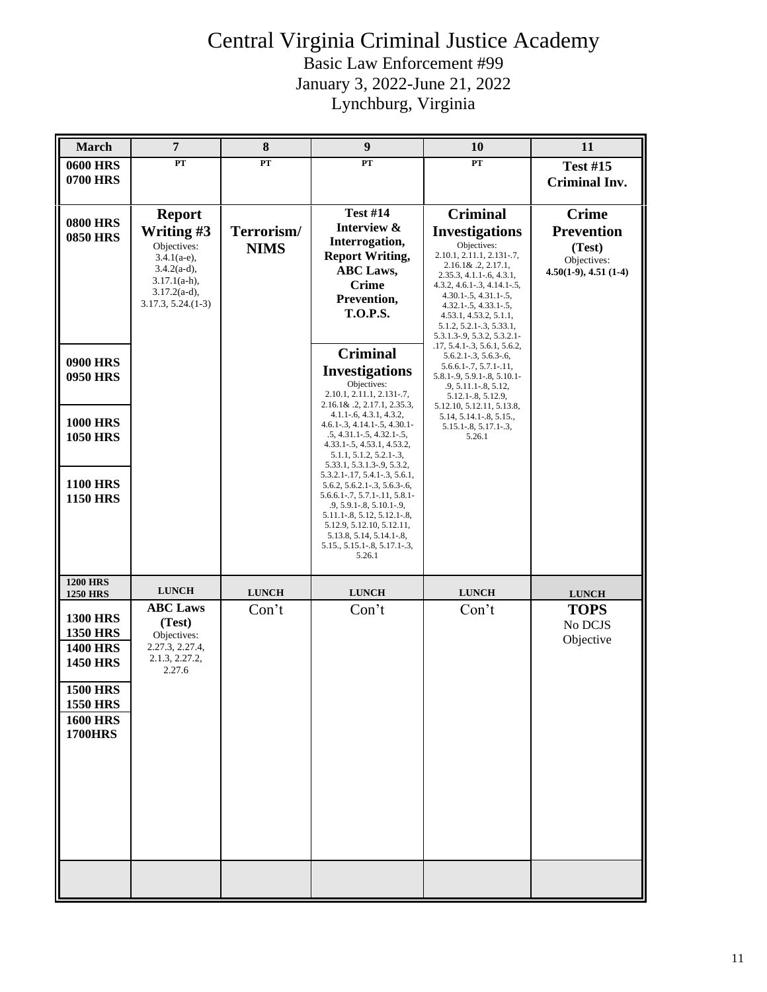| <b>March</b>                       | $\overline{7}$                          | 8            | $\boldsymbol{9}$                                                         | <b>10</b>                                                        | 11                                    |
|------------------------------------|-----------------------------------------|--------------|--------------------------------------------------------------------------|------------------------------------------------------------------|---------------------------------------|
| <b>0600 HRS</b>                    | PT                                      | ${\bf PT}$   | PT                                                                       | ${\bf PT}$                                                       | <b>Test #15</b>                       |
| <b>0700 HRS</b>                    |                                         |              |                                                                          |                                                                  | <b>Criminal Inv.</b>                  |
|                                    |                                         |              |                                                                          |                                                                  |                                       |
| <b>0800 HRS</b>                    | <b>Report</b>                           |              | <b>Test #14</b>                                                          | <b>Criminal</b>                                                  | <b>Crime</b>                          |
| <b>0850 HRS</b>                    | Writing #3                              | Terrorism/   | Interview &                                                              | <b>Investigations</b>                                            | <b>Prevention</b>                     |
|                                    | Objectives:                             | <b>NIMS</b>  | Interrogation,<br><b>Report Writing,</b>                                 | Objectives:<br>2.10.1, 2.11.1, 2.131-.7,                         | (Test)                                |
|                                    | $3.4.1(a-e)$ ,<br>$3.4.2(a-d),$         |              | <b>ABC</b> Laws,                                                         | $2.16.1\& .2, 2.17.1,$                                           | Objectives:<br>$4.50(1-9), 4.51(1-4)$ |
|                                    | $3.17.1(a-h)$ ,                         |              | <b>Crime</b>                                                             | $2.35.3, 4.1.1 - 6, 4.3.1,$<br>$4.3.2, 4.6.1 - .3, 4.14.1 - .5,$ |                                       |
|                                    | $3.17.2(a-d),$<br>$3.17.3, 5.24. (1-3)$ |              | Prevention,                                                              | $4.30.1 - .5, 4.31.1 - .5,$<br>$4.32.1 - 5, 4.33.1 - 5,$         |                                       |
|                                    |                                         |              | <b>T.O.P.S.</b>                                                          | 4.53.1, 4.53.2, 5.1.1,                                           |                                       |
|                                    |                                         |              |                                                                          | 5.1.2, 5.2.1 - .3, 5.33.1,<br>5.3.1.3-.9, 5.3.2, 5.3.2.1-        |                                       |
|                                    |                                         |              | <b>Criminal</b>                                                          | $.17, 5.4.1 - .3, 5.6.1, 5.6.2,$<br>$5.6.2.1 - .3, 5.6.3 - .6,$  |                                       |
| <b>0900 HRS</b><br><b>0950 HRS</b> |                                         |              | <b>Investigations</b>                                                    | $5.6.6.1 - .7, 5.7.1 - .11,$<br>5.8.1-.9, 5.9.1-.8, 5.10.1-      |                                       |
|                                    |                                         |              | Objectives:                                                              | $.9, 5.11.1 - .8, 5.12,$                                         |                                       |
|                                    |                                         |              | 2.10.1, 2.11.1, 2.131-.7,<br>$2.16.1\& 0.2, 2.17.1, 2.35.3,$             | 5.12.1-.8, 5.12.9,<br>5.12.10, 5.12.11, 5.13.8,                  |                                       |
| <b>1000 HRS</b>                    |                                         |              | $4.1.1 - 6, 4.3.1, 4.3.2,$<br>$4.6.1 - .3, 4.14.1 - .5, 4.30.1 -$        | 5.14, 5.14.1 - .8, 5.15.,<br>$5.15.1 - 8, 5.17.1 - 3,$           |                                       |
| <b>1050 HRS</b>                    |                                         |              | $.5, 4.31.1-.5, 4.32.1-.5,$<br>4.33.1-.5, 4.53.1, 4.53.2,                | 5.26.1                                                           |                                       |
|                                    |                                         |              | $5.1.1, 5.1.2, 5.2.1-.3,$                                                |                                                                  |                                       |
|                                    |                                         |              | 5.33.1, 5.3.1.3-.9, 5.3.2,<br>$5.3.2.1 - 17, 5.4.1 - 3, 5.6.1$           |                                                                  |                                       |
| <b>1100 HRS</b><br><b>1150 HRS</b> |                                         |              | 5.6.2, 5.6.2.1 - . 3, 5.6.3 - . 6,<br>$5.6.6.1 - .7, 5.7.1 - .11, 5.8.1$ |                                                                  |                                       |
|                                    |                                         |              | $.9, 5.9.1 - .8, 5.10.1 - .9,$<br>5.11.1-.8, 5.12, 5.12.1-.8,            |                                                                  |                                       |
|                                    |                                         |              | 5.12.9, 5.12.10, 5.12.11,                                                |                                                                  |                                       |
|                                    |                                         |              | 5.13.8, 5.14, 5.14.1-.8,<br>5.15., 5.15.1-.8, 5.17.1-.3,                 |                                                                  |                                       |
|                                    |                                         |              | 5.26.1                                                                   |                                                                  |                                       |
| <b>1200 HRS</b>                    |                                         |              |                                                                          |                                                                  |                                       |
| <b>1250 HRS</b>                    | <b>LUNCH</b>                            | <b>LUNCH</b> | <b>LUNCH</b>                                                             | <b>LUNCH</b>                                                     | <b>LUNCH</b>                          |
| <b>1300 HRS</b>                    | <b>ABC Laws</b>                         | Con't        | Con't                                                                    | Con't                                                            | <b>TOPS</b>                           |
| <b>1350 HRS</b>                    | (Test)<br>Objectives:                   |              |                                                                          |                                                                  | No DCJS                               |
| <b>1400 HRS</b>                    | 2.27.3, 2.27.4,                         |              |                                                                          |                                                                  | Objective                             |
| <b>1450 HRS</b>                    | 2.1.3, 2.27.2,<br>2.27.6                |              |                                                                          |                                                                  |                                       |
| <b>1500 HRS</b>                    |                                         |              |                                                                          |                                                                  |                                       |
| <b>1550 HRS</b>                    |                                         |              |                                                                          |                                                                  |                                       |
| <b>1600 HRS</b>                    |                                         |              |                                                                          |                                                                  |                                       |
| <b>1700HRS</b>                     |                                         |              |                                                                          |                                                                  |                                       |
|                                    |                                         |              |                                                                          |                                                                  |                                       |
|                                    |                                         |              |                                                                          |                                                                  |                                       |
|                                    |                                         |              |                                                                          |                                                                  |                                       |
|                                    |                                         |              |                                                                          |                                                                  |                                       |
|                                    |                                         |              |                                                                          |                                                                  |                                       |
|                                    |                                         |              |                                                                          |                                                                  |                                       |
|                                    |                                         |              |                                                                          |                                                                  |                                       |
|                                    |                                         |              |                                                                          |                                                                  |                                       |
|                                    |                                         |              |                                                                          |                                                                  |                                       |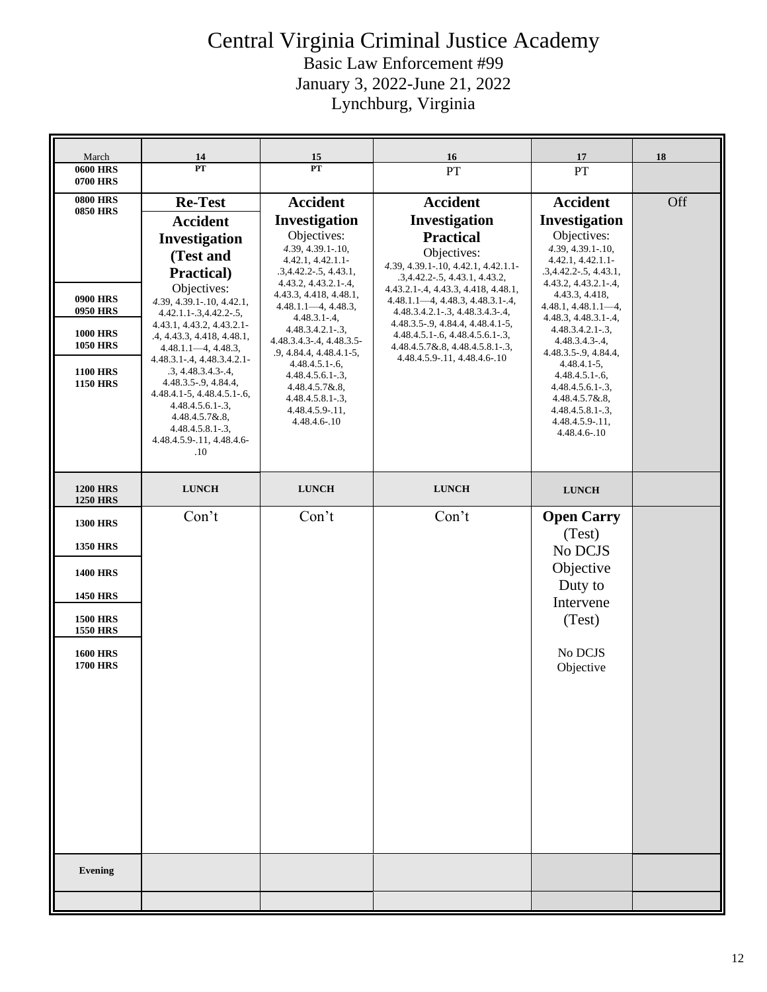| March                                                                                                                                                                   | 14                                                                                                                                                                                                                                                                                                                                                                                                                                                                       | 15                                                                                                                                                                                                                                                                                                                                                                                                                                 | 16                                                                                                                                                                                                                                                                                                                                                                                                                      | 17                                                                                                                                                                                                                                                                                                                                                                                                                                     | 18  |
|-------------------------------------------------------------------------------------------------------------------------------------------------------------------------|--------------------------------------------------------------------------------------------------------------------------------------------------------------------------------------------------------------------------------------------------------------------------------------------------------------------------------------------------------------------------------------------------------------------------------------------------------------------------|------------------------------------------------------------------------------------------------------------------------------------------------------------------------------------------------------------------------------------------------------------------------------------------------------------------------------------------------------------------------------------------------------------------------------------|-------------------------------------------------------------------------------------------------------------------------------------------------------------------------------------------------------------------------------------------------------------------------------------------------------------------------------------------------------------------------------------------------------------------------|----------------------------------------------------------------------------------------------------------------------------------------------------------------------------------------------------------------------------------------------------------------------------------------------------------------------------------------------------------------------------------------------------------------------------------------|-----|
| <b>0600 HRS</b><br>0700 HRS                                                                                                                                             | PT                                                                                                                                                                                                                                                                                                                                                                                                                                                                       | PT                                                                                                                                                                                                                                                                                                                                                                                                                                 | PT                                                                                                                                                                                                                                                                                                                                                                                                                      | PT                                                                                                                                                                                                                                                                                                                                                                                                                                     |     |
| <b>0800 HRS</b><br><b>0850 HRS</b><br><b>0900 HRS</b><br><b>0950 HRS</b><br><b>1000 HRS</b><br><b>1050 HRS</b><br><b>1100 HRS</b><br><b>1150 HRS</b>                    | <b>Re-Test</b><br><b>Accident</b><br>Investigation<br>(Test and<br>Practical)<br>Objectives:<br>4.39, 4.39.1-.10, 4.42.1,<br>$4.42.1.1 - 3, 4.42.2 - 5,$<br>4.43.1, 4.43.2, 4.43.2.1-<br>.4, 4.43.3, 4.418, 4.48.1,<br>$4.48.1.1 - 4, 4.48.3,$<br>$4.48.3.1 - .4, 4.48.3.4.2.1$<br>.3, 4.48.3.4.3.4,<br>$4.48.3.5 - 9, 4.84.4,$<br>$4.48.4.1 - 5, 4.48.4.5.1 - 6,$<br>$4.48.4.5.6.1-.3,$<br>4.48.4.5.7&.8,<br>$4.48.4.5.8.1-.3,$<br>4.48.4.5.9-.11, 4.48.4.6-<br>$.10\,$ | <b>Accident</b><br>Investigation<br>Objectives:<br>4.39, 4.39.1-.10,<br>4.42.1, 4.42.1.1<br>$.3,4.42.2-.5, 4.43.1,$<br>$4.43.2, 4.43.2.1-.4,$<br>4.43.3, 4.418, 4.48.1,<br>$4.48.1.1 - 4, 4.48.3,$<br>$4.48.3.1 - .4,$<br>$4.48.3.4.2.1-.3,$<br>4.48.3.4.3 - .4, 4.48.3.5 -<br>$.9, 4.84.4, 4.48.4.1-5,$<br>$4.48.4.5.1 - 6,$<br>$4.48.4.5.6.1-.3,$<br>$4.48.4.5.7\&8.8,$<br>$4.48.4.5.8.1-.3,$<br>4.48.4.5.9-.11,<br>4.48.4.6-.10 | <b>Accident</b><br>Investigation<br><b>Practical</b><br>Objectives:<br>4.39, 4.39.1-.10, 4.42.1, 4.42.1.1-<br>.3,4.42.2-.5, 4.43.1, 4.43.2,<br>4.43.2.1 - .4, 4.43.3, 4.418, 4.48.1,<br>$4.48.1.1 - 4, 4.48.3, 4.48.3.1 - 4,$<br>$4.48.3.4.2.1 - .3, 4.48.3.4.3 - .4,$<br>4.48.3.5 - 9, 4.84.4, 4.48.4.1 - 5,<br>$4.48.4.5.1 - 6, 4.48.4.5.6.1 - 3,$<br>4.48.4.5.7&.8, 4.48.4.5.8.1-.3,<br>4.48.4.5.9-.11, 4.48.4.6-.10 | <b>Accident</b><br>Investigation<br>Objectives:<br>4.39, 4.39.1-.10,<br>4.42.1, 4.42.1.1<br>$.3,4.42.2-.5, 4.43.1,$<br>$4.43.2, 4.43.2.1-.4,$<br>4.43.3, 4.418,<br>$4.48.1, 4.48.1.1 - 4,$<br>4.48.3, 4.48.3.1-.4,<br>4.48.3.4.2.1-.3,<br>$4.48.3.4.3 - .4,$<br>$4.48.3.5 - 9, 4.84.4,$<br>$4.48.4.1 - 5$ ,<br>$4.48.4.5.1 - 6$ ,<br>4.48.4.5.6.1-.3,<br>$4.48.4.5.7\&.8,$<br>$4.48.4.5.8.1-.3,$<br>$4.48.4.5.9 - 11,$<br>4.48.4.6-.10 | Off |
| <b>1200 HRS</b>                                                                                                                                                         | <b>LUNCH</b>                                                                                                                                                                                                                                                                                                                                                                                                                                                             | <b>LUNCH</b>                                                                                                                                                                                                                                                                                                                                                                                                                       | <b>LUNCH</b>                                                                                                                                                                                                                                                                                                                                                                                                            | <b>LUNCH</b>                                                                                                                                                                                                                                                                                                                                                                                                                           |     |
| <b>1250 HRS</b><br><b>1300 HRS</b><br><b>1350 HRS</b><br><b>1400 HRS</b><br><b>1450 HRS</b><br><b>1500 HRS</b><br><b>1550 HRS</b><br><b>1600 HRS</b><br><b>1700 HRS</b> | Con't                                                                                                                                                                                                                                                                                                                                                                                                                                                                    | Con't                                                                                                                                                                                                                                                                                                                                                                                                                              | Con't                                                                                                                                                                                                                                                                                                                                                                                                                   | <b>Open Carry</b><br>(Test)<br>No DCJS<br>Objective<br>Duty to<br>Intervene<br>(Test)<br>No DCJS<br>Objective                                                                                                                                                                                                                                                                                                                          |     |
| Evening                                                                                                                                                                 |                                                                                                                                                                                                                                                                                                                                                                                                                                                                          |                                                                                                                                                                                                                                                                                                                                                                                                                                    |                                                                                                                                                                                                                                                                                                                                                                                                                         |                                                                                                                                                                                                                                                                                                                                                                                                                                        |     |
|                                                                                                                                                                         |                                                                                                                                                                                                                                                                                                                                                                                                                                                                          |                                                                                                                                                                                                                                                                                                                                                                                                                                    |                                                                                                                                                                                                                                                                                                                                                                                                                         |                                                                                                                                                                                                                                                                                                                                                                                                                                        |     |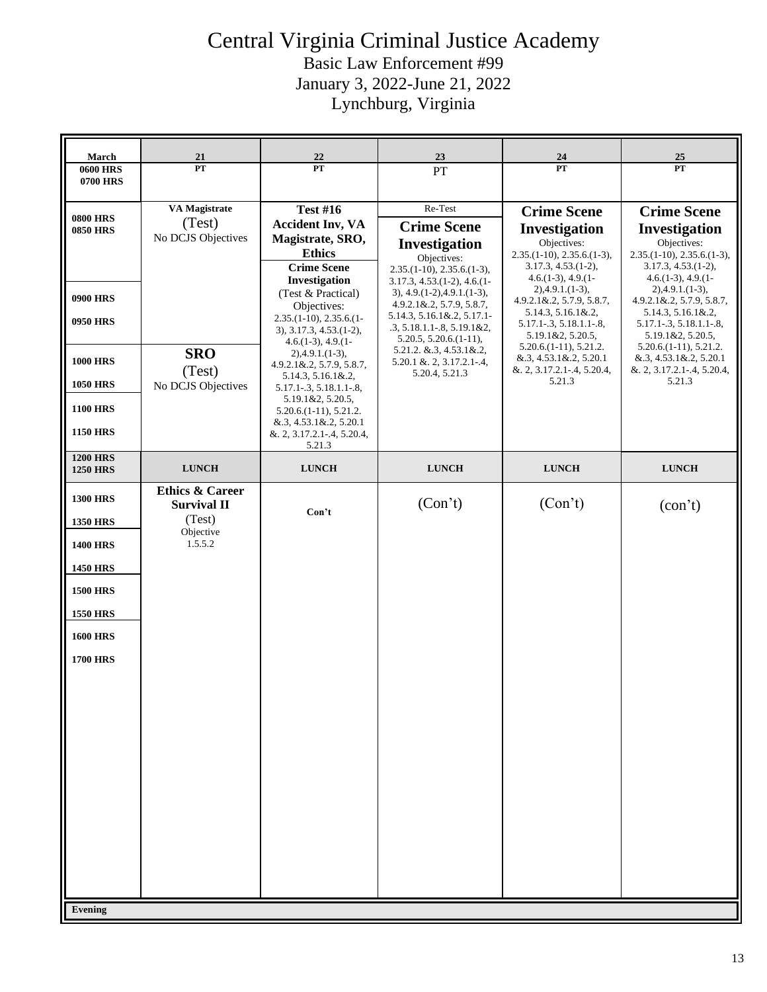| March                              | 21                         | 22                                                    | <u>23</u>                                                         | 24                                                    | 25                                                      |
|------------------------------------|----------------------------|-------------------------------------------------------|-------------------------------------------------------------------|-------------------------------------------------------|---------------------------------------------------------|
| <b>0600 HRS</b>                    | $\overline{\mathbf{PT}}$   | $\overline{\mathbf{PT}}$                              | $\overline{PT}$                                                   | $\overline{PT}$                                       | $\overline{PT}$                                         |
| <b>0700 HRS</b>                    |                            |                                                       |                                                                   |                                                       |                                                         |
|                                    | VA Magistrate              | <b>Test #16</b>                                       | Re-Test                                                           | <b>Crime Scene</b>                                    | <b>Crime Scene</b>                                      |
| <b>0800 HRS</b><br><b>0850 HRS</b> | (Test)                     | <b>Accident Inv, VA</b>                               | <b>Crime Scene</b>                                                | Investigation                                         | Investigation                                           |
|                                    | No DCJS Objectives         | Magistrate, SRO,<br><b>Ethics</b>                     | Investigation                                                     | Objectives:                                           | Objectives:                                             |
|                                    |                            | <b>Crime Scene</b>                                    | Objectives:<br>$2.35(1-10), 2.35.6(1-3),$                         | $2.35(1-10), 2.35.6(1-3),$<br>$3.17.3, 4.53. (1-2),$  | $2.35(1-10), 2.35.6(1-3),$<br>$3.17.3, 4.53. (1-2),$    |
|                                    |                            | Investigation                                         | $3.17.3, 4.53. (1-2), 4.6. (1-$                                   | $4.6(1-3), 4.9(1-$<br>$2),4.9.1.(1-3),$               | $4.6(1-3), 4.9(1-$<br>$2)$ , 4.9.1.(1-3),               |
| <b>0900 HRS</b>                    |                            | (Test & Practical)<br>Objectives:                     | $3)$ , 4.9.(1-2), 4.9.1.(1-3),<br>$4.9.2.1 \& 0.2, 5.7.9, 5.8.7,$ | 4.9.2.1&.2, 5.7.9, 5.8.7,                             | $4.9.2.1 \& 0.2, 5.7.9, 5.8.7,$                         |
| <b>0950 HRS</b>                    |                            | $2.35(1-10), 2.35.6(1-$                               | 5.14.3, 5.16.1&.2, 5.17.1-<br>$.3, 5.18.1.1 - 8, 5.19.1 \& 2,$    | $5.14.3, 5.16.1\&2.$<br>$5.17.1 - .3, 5.18.1.1 - .8,$ | $5.14.3, 5.16.1\&2.2,$<br>$5.17.1 - .3, 5.18.1.1 - .8,$ |
|                                    |                            | $3)$ , $3.17.3$ , $4.53(1-2)$ ,<br>$4.6(1-3), 4.9(1-$ | $5.20.5, 5.20.6(1-11),$                                           | 5.19.1&2, 5.20.5,                                     | $5.19.1 \& 2, 5.20.5$                                   |
| <b>1000 HRS</b>                    | <b>SRO</b>                 | $2)$ , 4.9.1.(1-3),                                   | 5.21.2. &.3, 4.53.1&.2,<br>$5.20.1$ & $2, 3.17.2.1 - .4$ ,        | $5.20.6(1-11), 5.21.2.$<br>$\&.3, 4.53.1\&.2, 5.20.1$ | $5.20.6(1-11), 5.21.2.$<br>$\&.3, 4.53.1\&.2, 5.20.1$   |
|                                    | (Test)                     | 4.9.2.1&.2, 5.7.9, 5.8.7,<br>5.14.3, 5.16.1&.2,       | 5.20.4, 5.21.3                                                    | &. 2, 3.17.2.1-.4, 5.20.4,<br>5.21.3                  | $& 2, 3.17.2.1 - .4, 5.20.4,$<br>5.21.3                 |
| <b>1050 HRS</b>                    | No DCJS Objectives         | $5.17.1 - .3, 5.18.1.1 - .8,$<br>5.19.1&2, 5.20.5,    |                                                                   |                                                       |                                                         |
| <b>1100 HRS</b>                    |                            | $5.20.6(1-11), 5.21.2.$                               |                                                                   |                                                       |                                                         |
| <b>1150 HRS</b>                    |                            | &.3, 4.53.1&.2, 5.20.1<br>&. 2, 3.17.2.1-.4, 5.20.4,  |                                                                   |                                                       |                                                         |
| <b>1200 HRS</b>                    |                            | 5.21.3                                                |                                                                   |                                                       |                                                         |
| <b>1250 HRS</b>                    | <b>LUNCH</b>               | <b>LUNCH</b>                                          | <b>LUNCH</b>                                                      | <b>LUNCH</b>                                          | <b>LUNCH</b>                                            |
| <b>1300 HRS</b>                    | <b>Ethics &amp; Career</b> |                                                       |                                                                   |                                                       |                                                         |
|                                    | <b>Survival II</b>         | Con't                                                 | (Con't)                                                           | (Con't)                                               | (con't)                                                 |
| <b>1350 HRS</b>                    | (Test)<br>Objective        |                                                       |                                                                   |                                                       |                                                         |
| <b>1400 HRS</b>                    | 1.5.5.2                    |                                                       |                                                                   |                                                       |                                                         |
| <b>1450 HRS</b>                    |                            |                                                       |                                                                   |                                                       |                                                         |
| <b>1500 HRS</b>                    |                            |                                                       |                                                                   |                                                       |                                                         |
| <b>1550 HRS</b>                    |                            |                                                       |                                                                   |                                                       |                                                         |
|                                    |                            |                                                       |                                                                   |                                                       |                                                         |
| <b>1600 HRS</b>                    |                            |                                                       |                                                                   |                                                       |                                                         |
| <b>1700 HRS</b>                    |                            |                                                       |                                                                   |                                                       |                                                         |
|                                    |                            |                                                       |                                                                   |                                                       |                                                         |
|                                    |                            |                                                       |                                                                   |                                                       |                                                         |
|                                    |                            |                                                       |                                                                   |                                                       |                                                         |
|                                    |                            |                                                       |                                                                   |                                                       |                                                         |
|                                    |                            |                                                       |                                                                   |                                                       |                                                         |
|                                    |                            |                                                       |                                                                   |                                                       |                                                         |
|                                    |                            |                                                       |                                                                   |                                                       |                                                         |
|                                    |                            |                                                       |                                                                   |                                                       |                                                         |
|                                    |                            |                                                       |                                                                   |                                                       |                                                         |
|                                    |                            |                                                       |                                                                   |                                                       |                                                         |
|                                    |                            |                                                       |                                                                   |                                                       |                                                         |
|                                    |                            |                                                       |                                                                   |                                                       |                                                         |
| <b>Evening</b>                     |                            |                                                       |                                                                   |                                                       |                                                         |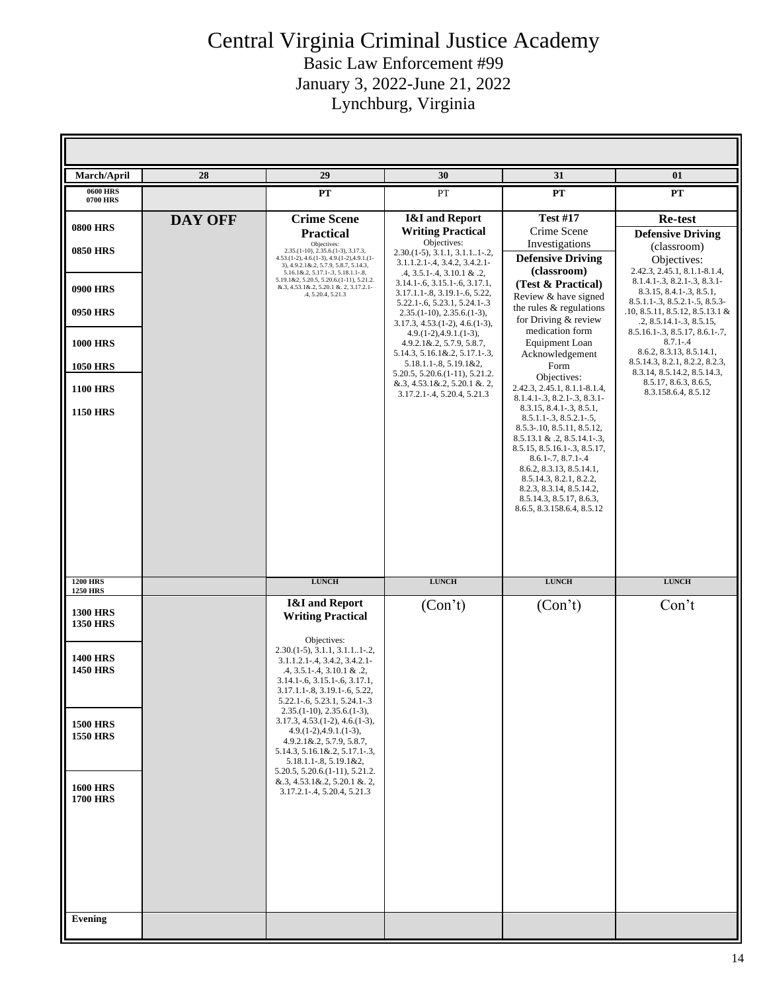| March/April                                           | 28             | 29                                                                                                                                                                                                                                       | 30                                                                                                                                                                                                        | 31                                                                                                                                                                                                                                                                                                                                                                                                          | 01                                                                                                                                                                                            |
|-------------------------------------------------------|----------------|------------------------------------------------------------------------------------------------------------------------------------------------------------------------------------------------------------------------------------------|-----------------------------------------------------------------------------------------------------------------------------------------------------------------------------------------------------------|-------------------------------------------------------------------------------------------------------------------------------------------------------------------------------------------------------------------------------------------------------------------------------------------------------------------------------------------------------------------------------------------------------------|-----------------------------------------------------------------------------------------------------------------------------------------------------------------------------------------------|
| <b>0600 HRS</b><br>0700 HRS                           |                | PT                                                                                                                                                                                                                                       | PT                                                                                                                                                                                                        | PT                                                                                                                                                                                                                                                                                                                                                                                                          | PT                                                                                                                                                                                            |
| <b>0800 HRS</b><br><b>0850 HRS</b>                    | <b>DAY OFF</b> | <b>Crime</b> Scene<br><b>Practical</b><br>Objectives:<br>$2.35(1-10), 2.35.6(1-3), 3.17.3,$<br>4.53.(1-2), 4.6.(1-3), 4.9.(1-2), 4.9.1.(1-<br>3), 4.9.2.1 &.2, 5.7.9, 5.8.7, 5.14.3,                                                     | <b>I&amp;I</b> and Report<br><b>Writing Practical</b><br>Objectives:<br>$2.30(1-5), 3.1.1, 3.1.1.1-2,$<br>$3.1.1.2.1 - .4, 3.4.2, 3.4.2.1 -$                                                              | <b>Test #17</b><br>Crime Scene<br>Investigations<br><b>Defensive Driving</b>                                                                                                                                                                                                                                                                                                                                | Re-test<br><b>Defensive Driving</b><br>(classroom)<br>Objectives:                                                                                                                             |
| <b>0900 HRS</b><br><b>0950 HRS</b>                    |                | 5.16.1&.2, 5.17.1-.3, 5.18.1.1-.8,<br>5.19.1&2, 5.20.5, 5.20.6.(1-11), 5.21.2.<br>&.3, 4.53.1&.2, 5.20.1 &.2, 3.17.2.1-<br>.4, 5.20.4, 5.21.3                                                                                            | $.4, 3.5.1 - .4, 3.10.1 \& .2,$<br>$3.14.1 - 6, 3.15.1 - 6, 3.17.1,$<br>3.17.1.1-.8, 3.19.1-.6, 5.22,<br>5.22.1-.6, 5.23.1, 5.24.1-.3<br>$2.35(1-10), 2.35.6(1-3),$<br>$3.17.3, 4.53. (1-2), 4.6. (1-3),$ | (classroom)<br>(Test & Practical)<br>Review & have signed<br>the rules & regulations<br>for Driving & review                                                                                                                                                                                                                                                                                                | 2.42.3, 2.45.1, 8.1.1-8.1.4,<br>8.1.4.1-.3, 8.2.1-.3, 8.3.1-<br>8.3.15, 8.4.1-.3, 8.5.1,<br>8.5.1.1-.3, 8.5.2.1-.5, 8.5.3-<br>$.10, 8.5.11, 8.5.12, 8.5.13.1$ &<br>.2, 8.5.14.1 - .3, 8.5.15, |
| <b>1000 HRS</b><br><b>1050 HRS</b>                    |                |                                                                                                                                                                                                                                          | $4.9(1-2), 4.9(1(1-3)),$<br>$4.9.2.1 \& 0.2, 5.7.9, 5.8.7,$<br>$5.14.3, 5.16.1\&2.2, 5.17.1-.3,$<br>$5.18.1.1 - 8, 5.19.1 \& 2,$<br>5.20.5, 5.20.6. (1-11), 5.21.2.                                       | medication form<br>Equipment Loan<br>Acknowledgement<br>Form<br>Objectives:                                                                                                                                                                                                                                                                                                                                 | 8.5.16.1-.3, 8.5.17, 8.6.1-.7,<br>$8.7.1 - .4$<br>8.6.2, 8.3.13, 8.5.14.1,<br>8.5.14.3, 8.2.1, 8.2.2, 8.2.3,<br>8.3.14, 8.5.14.2, 8.5.14.3,<br>8.5.17, 8.6.3, 8.6.5,                          |
| <b>1100 HRS</b><br><b>1150 HRS</b>                    |                |                                                                                                                                                                                                                                          | $& 3, 4.53.1 \& 2, 5.20.1 \& 2,$<br>3.17.2.1 - .4, 5.20.4, 5.21.3                                                                                                                                         | 2.42.3, 2.45.1, 8.1.1-8.1.4,<br>$8.1.4.1 - .3, 8.2.1 - .3, 8.3.1 -$<br>8.3.15, 8.4.1 - .3, 8.5.1,<br>$8.5.1.1 - .3, 8.5.2.1 - .5,$<br>8.5.3-.10, 8.5.11, 8.5.12,<br>$8.5.13.1 \& .2, 8.5.14.1-.3,$<br>8.5.15, 8.5.16.1-.3, 8.5.17,<br>$8.6.1 - .7, 8.7.1 - .4$<br>8.6.2, 8.3.13, 8.5.14.1,<br>8.5.14.3, 8.2.1, 8.2.2,<br>8.2.3, 8.3.14, 8.5.14.2,<br>8.5.14.3, 8.5.17, 8.6.3,<br>8.6.5, 8.3.158.6.4, 8.5.12 | 8.3.158.6.4, 8.5.12                                                                                                                                                                           |
| <b>1200 HRS</b>                                       |                | <b>LUNCH</b>                                                                                                                                                                                                                             | ${\bf LUNCH}$                                                                                                                                                                                             | ${\bf LUNCH}$                                                                                                                                                                                                                                                                                                                                                                                               | <b>LUNCH</b>                                                                                                                                                                                  |
| <b>1250 HRS</b><br><b>1300 HRS</b><br><b>1350 HRS</b> |                | <b>I&amp;I</b> and Report<br><b>Writing Practical</b><br>Objectives:                                                                                                                                                                     | (Con't)                                                                                                                                                                                                   | (Con't)                                                                                                                                                                                                                                                                                                                                                                                                     | Con't                                                                                                                                                                                         |
| <b>1400 HRS</b><br><b>1450 HRS</b>                    |                | $2.30(1-5), 3.1.1, 3.1.11-.2,$<br>3.1.1.2.1-.4, 3.4.2, 3.4.2.1-<br>$.4, 3.5.1 - .4, 3.10.1 \& .2,$<br>$3.14.1 - .6, 3.15.1 - .6, 3.17.1,$<br>3.17.1.1-.8, 3.19.1-.6, 5.22,<br>5.22.1-.6, 5.23.1, 5.24.1-.3<br>$2.35(1-10), 2.35.6(1-3),$ |                                                                                                                                                                                                           |                                                                                                                                                                                                                                                                                                                                                                                                             |                                                                                                                                                                                               |
| <b>1500 HRS</b><br><b>1550 HRS</b>                    |                | $3.17.3, 4.53. (1-2), 4.6. (1-3),$<br>$4.9(1-2), 4.9(1-3),$<br>4.9.2.1&.2, 5.7.9, 5.8.7,<br>$5.14.3, 5.16.1\&2, 5.17.1-.3,$<br>$5.18.1.1 - 8, 5.19.1 \& 2,$<br>$5.20.5, 5.20.6(1-11), 5.21.2.$                                           |                                                                                                                                                                                                           |                                                                                                                                                                                                                                                                                                                                                                                                             |                                                                                                                                                                                               |
| <b>1600 HRS</b><br><b>1700 HRS</b>                    |                | $\&.3, 4.53.1\&.2, 5.20.1\&.2,$<br>3.17.2.1-.4, 5.20.4, 5.21.3                                                                                                                                                                           |                                                                                                                                                                                                           |                                                                                                                                                                                                                                                                                                                                                                                                             |                                                                                                                                                                                               |
| Evening                                               |                |                                                                                                                                                                                                                                          |                                                                                                                                                                                                           |                                                                                                                                                                                                                                                                                                                                                                                                             |                                                                                                                                                                                               |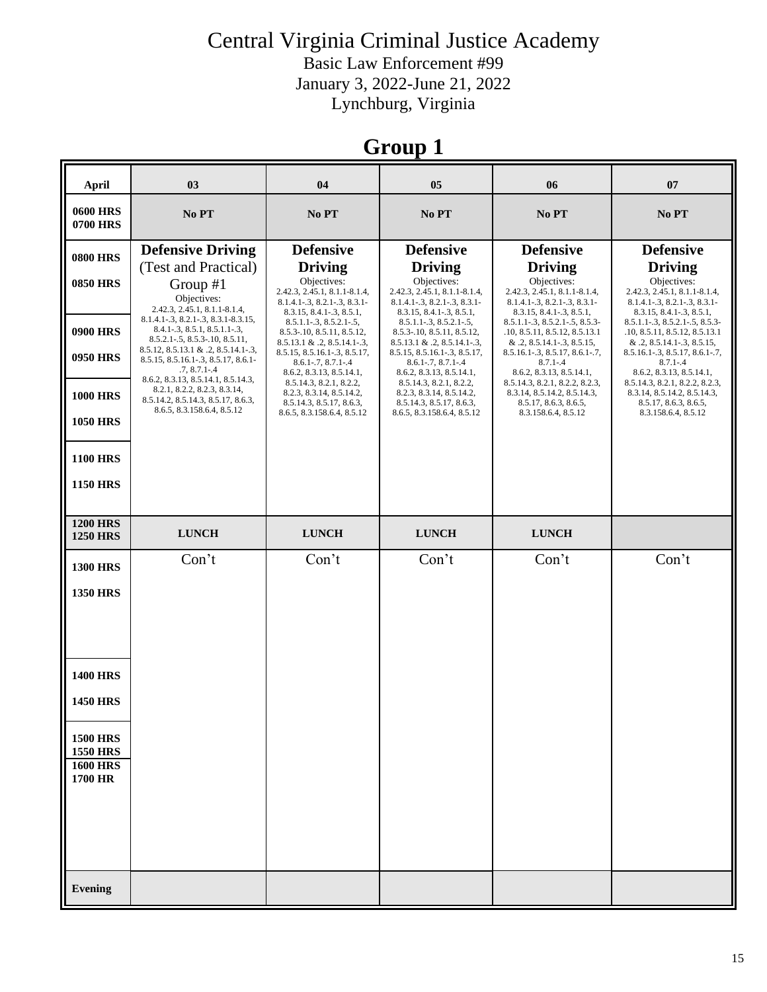Basic Law Enforcement #99 January 3, 2022-June 21, 2022 Lynchburg, Virginia

## **Group 1**

| April                                                                    | 0 <sub>3</sub>                                                                                                                                                                                                                                              | 04                                                                                                                                                                                                                  | 05                                                                                                                                                                                                           | 06                                                                                                                                                                                                              | 07                                                                                                                                                                                                              |
|--------------------------------------------------------------------------|-------------------------------------------------------------------------------------------------------------------------------------------------------------------------------------------------------------------------------------------------------------|---------------------------------------------------------------------------------------------------------------------------------------------------------------------------------------------------------------------|--------------------------------------------------------------------------------------------------------------------------------------------------------------------------------------------------------------|-----------------------------------------------------------------------------------------------------------------------------------------------------------------------------------------------------------------|-----------------------------------------------------------------------------------------------------------------------------------------------------------------------------------------------------------------|
| <b>0600 HRS</b><br><b>0700 HRS</b>                                       | No PT                                                                                                                                                                                                                                                       | No PT                                                                                                                                                                                                               | No PT                                                                                                                                                                                                        | No PT                                                                                                                                                                                                           | No PT                                                                                                                                                                                                           |
| <b>0800 HRS</b><br><b>0850 HRS</b>                                       | <b>Defensive Driving</b><br>(Test and Practical)<br>Group #1<br>Objectives:                                                                                                                                                                                 | <b>Defensive</b><br><b>Driving</b><br>Objectives:<br>2.42.3, 2.45.1, 8.1.1-8.1.4,<br>8.1.4.1-.3, 8.2.1-.3, 8.3.1-                                                                                                   | <b>Defensive</b><br><b>Driving</b><br>Objectives:<br>2.42.3, 2.45.1, 8.1.1-8.1.4,<br>8.1.4.1-.3, 8.2.1-.3, 8.3.1-                                                                                            | <b>Defensive</b><br><b>Driving</b><br>Objectives:<br>2.42.3, 2.45.1, 8.1.1-8.1.4,<br>8.1.4.1-.3, 8.2.1-.3, 8.3.1-                                                                                               | <b>Defensive</b><br><b>Driving</b><br>Objectives:<br>2.42.3, 2.45.1, 8.1.1-8.1.4,<br>8.1.4.1-.3, 8.2.1-.3, 8.3.1-                                                                                               |
| <b>0900 HRS</b><br><b>0950 HRS</b>                                       | 2.42.3, 2.45.1, 8.1.1-8.1.4,<br>8.1.4.1 - . 3, 8.2.1 - . 3, 8.3.1 - 8.3.15,<br>$8.4.1 - .3, 8.5.1, 8.5.1.1 - .3,$<br>$8.5.2.1 - .5, 8.5.3 - .10, 8.5.11,$<br>8.5.12, 8.5.13.1 & .2, 8.5.14.1-.3,<br>8.5.15, 8.5.16.1-.3, 8.5.17, 8.6.1-<br>$.7, 8.7.1 - .4$ | 8.3.15, 8.4.1 - . 3, 8.5.1,<br>$8.5.1.1 - .3, 8.5.2.1 - .5,$<br>8.5.3-10, 8.5.11, 8.5.12,<br>$8.5.13.1 \& .2, 8.5.14.1-.3,$<br>8.5.15, 8.5.16.1-.3, 8.5.17,<br>$8.6.1 - .7, 8.7.1 - .4$<br>8.6.2, 8.3.13, 8.5.14.1, | 8.3.15, 8.4.1-.3, 8.5.1,<br>$8.5.1.1-.3, 8.5.2.1-.5,$<br>8.5.3-10, 8.5.11, 8.5.12,<br>$8.5.13.1 \& .2, 8.5.14.1-.3,$<br>8.5.15, 8.5.16.1-.3, 8.5.17,<br>$8.6.1 - .7, 8.7.1 - .4$<br>8.6.2, 8.3.13, 8.5.14.1, | 8.3.15, 8.4.1-.3, 8.5.1,<br>8.5.1.1-.3, 8.5.2.1-.5, 8.5.3-<br>.10, 8.5.11, 8.5.12, 8.5.13.1<br>$& .2, 8.5.14.1-.3, 8.5.15,$<br>$8.5.16.1 - .3, 8.5.17, 8.6.1 - .7,$<br>$8.7.1 - .4$<br>8.6.2, 8.3.13, 8.5.14.1, | 8.3.15, 8.4.1-.3, 8.5.1,<br>8.5.1.1-.3, 8.5.2.1-.5, 8.5.3-<br>.10, 8.5.11, 8.5.12, 8.5.13.1<br>$& .2, 8.5.14.1-.3, 8.5.15,$<br>$8.5.16.1 - .3, 8.5.17, 8.6.1 - .7,$<br>$8.7.1 - .4$<br>8.6.2, 8.3.13, 8.5.14.1, |
| <b>1000 HRS</b><br><b>1050 HRS</b>                                       | 8.6.2, 8.3.13, 8.5.14.1, 8.5.14.3,<br>8.2.1, 8.2.2, 8.2.3, 8.3.14,<br>8.5.14.2, 8.5.14.3, 8.5.17, 8.6.3,<br>8.6.5, 8.3.158.6.4, 8.5.12                                                                                                                      | 8.5.14.3, 8.2.1, 8.2.2,<br>8.2.3, 8.3.14, 8.5.14.2,<br>8.5.14.3, 8.5.17, 8.6.3,<br>8.6.5, 8.3.158.6.4, 8.5.12                                                                                                       | 8.5.14.3, 8.2.1, 8.2.2,<br>8.2.3, 8.3.14, 8.5.14.2,<br>8.5.14.3, 8.5.17, 8.6.3,<br>8.6.5, 8.3.158.6.4, 8.5.12                                                                                                | 8.5.14.3, 8.2.1, 8.2.2, 8.2.3,<br>8.3.14, 8.5.14.2, 8.5.14.3,<br>8.5.17, 8.6.3, 8.6.5,<br>8.3.158.6.4, 8.5.12                                                                                                   | 8.5.14.3, 8.2.1, 8.2.2, 8.2.3,<br>8.3.14, 8.5.14.2, 8.5.14.3,<br>8.5.17, 8.6.3, 8.6.5,<br>8.3.158.6.4, 8.5.12                                                                                                   |
| <b>1100 HRS</b><br><b>1150 HRS</b>                                       |                                                                                                                                                                                                                                                             |                                                                                                                                                                                                                     |                                                                                                                                                                                                              |                                                                                                                                                                                                                 |                                                                                                                                                                                                                 |
| <b>1200 HRS</b><br><b>1250 HRS</b>                                       | <b>LUNCH</b>                                                                                                                                                                                                                                                | <b>LUNCH</b>                                                                                                                                                                                                        | <b>LUNCH</b>                                                                                                                                                                                                 | <b>LUNCH</b>                                                                                                                                                                                                    |                                                                                                                                                                                                                 |
| <b>1300 HRS</b><br><b>1350 HRS</b>                                       | Con't                                                                                                                                                                                                                                                       | Con't                                                                                                                                                                                                               | Con't                                                                                                                                                                                                        | Con't                                                                                                                                                                                                           | Con't                                                                                                                                                                                                           |
| <b>1400 HRS</b><br><b>1450 HRS</b><br><b>1500 HRS</b><br><b>1550 HRS</b> |                                                                                                                                                                                                                                                             |                                                                                                                                                                                                                     |                                                                                                                                                                                                              |                                                                                                                                                                                                                 |                                                                                                                                                                                                                 |
| <b>1600 HRS</b><br>1700 HR                                               |                                                                                                                                                                                                                                                             |                                                                                                                                                                                                                     |                                                                                                                                                                                                              |                                                                                                                                                                                                                 |                                                                                                                                                                                                                 |
| Evening                                                                  |                                                                                                                                                                                                                                                             |                                                                                                                                                                                                                     |                                                                                                                                                                                                              |                                                                                                                                                                                                                 |                                                                                                                                                                                                                 |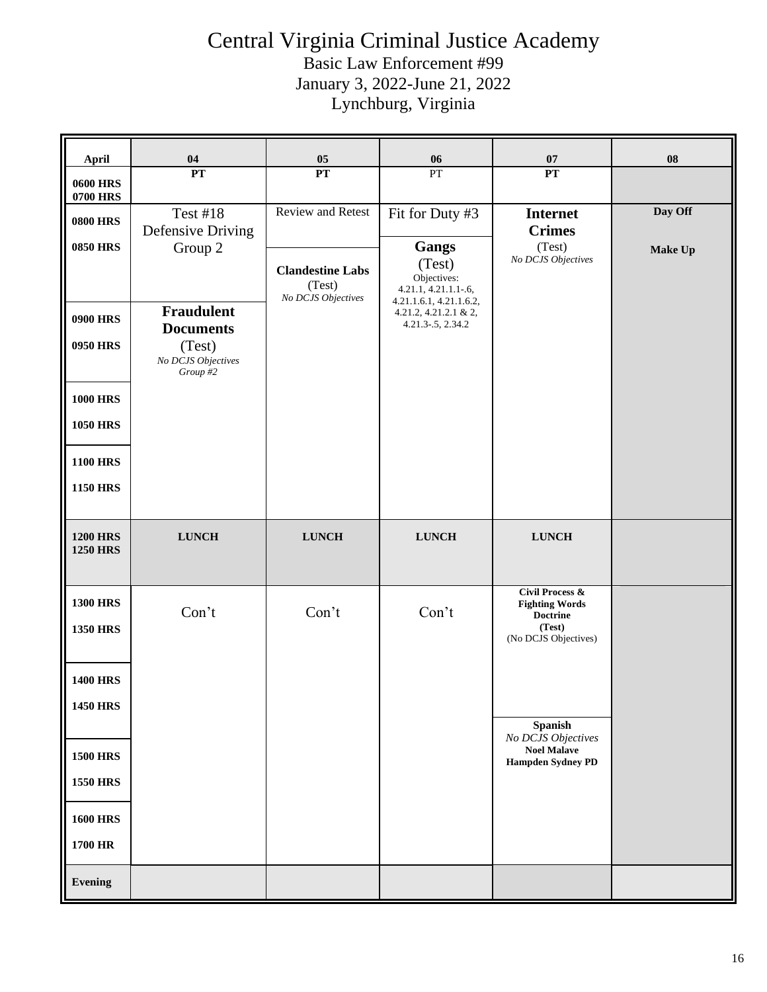### Central Virginia Criminal Justice Academy Basic Law Enforcement #99

January 3, 2022-June 21, 2022

Lynchburg, Virginia

| <b>April</b>                                                                                | 04                                                                                                                                          | 05                                                                                  | 06                                                                                                                                                         | 07                                                                                                       | 08                        |
|---------------------------------------------------------------------------------------------|---------------------------------------------------------------------------------------------------------------------------------------------|-------------------------------------------------------------------------------------|------------------------------------------------------------------------------------------------------------------------------------------------------------|----------------------------------------------------------------------------------------------------------|---------------------------|
| <b>0600 HRS</b><br><b>0700 HRS</b>                                                          | PT                                                                                                                                          | PT                                                                                  | PT                                                                                                                                                         | PT                                                                                                       |                           |
| <b>0800 HRS</b><br><b>0850 HRS</b><br><b>0900 HRS</b><br>0950 HRS<br><b>1000 HRS</b>        | <b>Test #18</b><br><b>Defensive Driving</b><br>Group 2<br><b>Fraudulent</b><br><b>Documents</b><br>(Test)<br>No DCJS Objectives<br>Group #2 | <b>Review and Retest</b><br><b>Clandestine Labs</b><br>(Test)<br>No DCJS Objectives | Fit for Duty #3<br><b>Gangs</b><br>(Test)<br>Objectives:<br>$4.21.1, 4.21.1.1-6,$<br>4.21.1.6.1, 4.21.1.6.2,<br>4.21.2, 4.21.2.1 & 2,<br>4.21.3-.5, 2.34.2 | <b>Internet</b><br><b>Crimes</b><br>(Test)<br>No DCJS Objectives                                         | Day Off<br><b>Make Up</b> |
| <b>1050 HRS</b><br><b>1100 HRS</b><br><b>1150 HRS</b>                                       |                                                                                                                                             |                                                                                     |                                                                                                                                                            |                                                                                                          |                           |
| <b>1200 HRS</b><br><b>1250 HRS</b>                                                          | <b>LUNCH</b>                                                                                                                                | <b>LUNCH</b>                                                                        | <b>LUNCH</b>                                                                                                                                               | ${\bf LUNCH}$                                                                                            |                           |
| <b>1300 HRS</b><br><b>1350 HRS</b>                                                          | Con't                                                                                                                                       | Con't                                                                               | Con't                                                                                                                                                      | <b>Civil Process &amp;</b><br><b>Fighting Words</b><br><b>Doctrine</b><br>(Test)<br>(No DCJS Objectives) |                           |
| <b>1400 HRS</b><br><b>1450 HRS</b><br><b>1500 HRS</b><br><b>1550 HRS</b><br><b>1600 HRS</b> |                                                                                                                                             |                                                                                     |                                                                                                                                                            | <b>Spanish</b><br>No DCJS Objectives<br><b>Noel Malave</b><br><b>Hampden Sydney PD</b>                   |                           |
| 1700 HR<br><b>Evening</b>                                                                   |                                                                                                                                             |                                                                                     |                                                                                                                                                            |                                                                                                          |                           |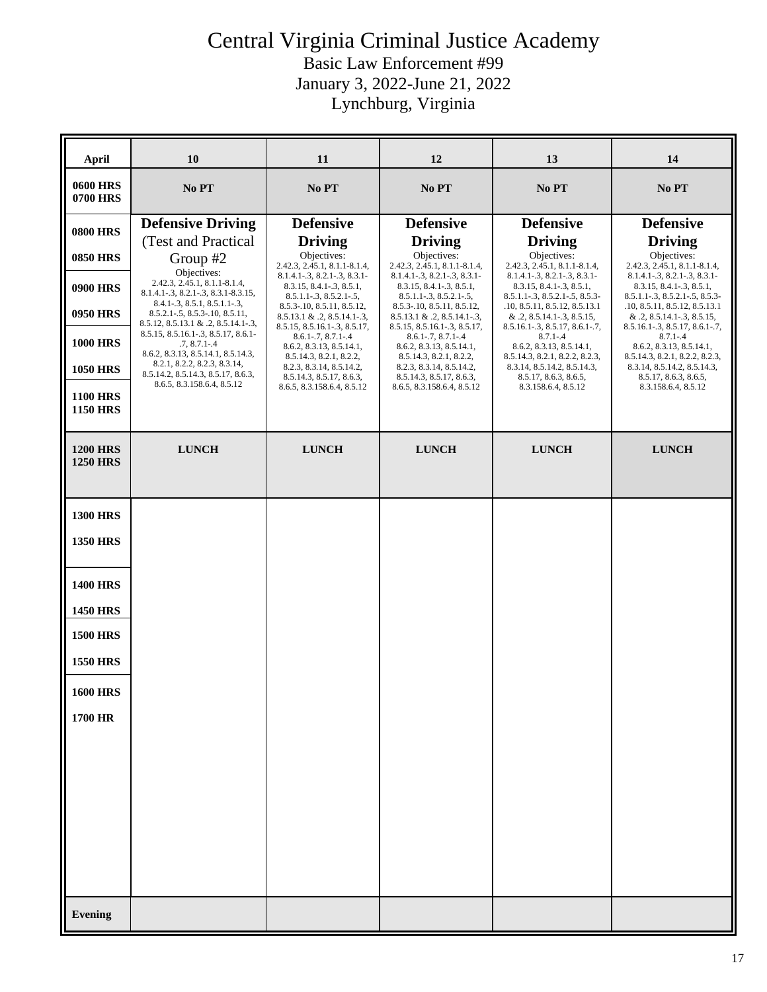| April                              | 10                                                                                                              | 11                                                                                               | 12                                                                                           | 13                                                                                         | 14                                                                                                |
|------------------------------------|-----------------------------------------------------------------------------------------------------------------|--------------------------------------------------------------------------------------------------|----------------------------------------------------------------------------------------------|--------------------------------------------------------------------------------------------|---------------------------------------------------------------------------------------------------|
| <b>0600 HRS</b><br><b>0700 HRS</b> | No PT                                                                                                           | No PT                                                                                            | No PT                                                                                        | No PT                                                                                      | No PT                                                                                             |
| <b>0800 HRS</b>                    | <b>Defensive Driving</b><br>(Test and Practical                                                                 | <b>Defensive</b><br><b>Driving</b>                                                               | <b>Defensive</b><br><b>Driving</b>                                                           | <b>Defensive</b><br><b>Driving</b>                                                         | <b>Defensive</b><br><b>Driving</b>                                                                |
| <b>0850 HRS</b>                    | Group #2                                                                                                        | Objectives:<br>2.42.3, 2.45.1, 8.1.1-8.1.4,                                                      | Objectives:<br>2.42.3, 2.45.1, 8.1.1-8.1.4,                                                  | Objectives:<br>2.42.3, 2.45.1, 8.1.1-8.1.4,                                                | Objectives:<br>2.42.3, 2.45.1, 8.1.1-8.1.4,                                                       |
| <b>0900 HRS</b>                    | Objectives:<br>2.42.3, 2.45.1, 8.1.1-8.1.4,<br>8.1.4.1-.3, 8.2.1-.3, 8.3.1-8.3.15,                              | $8.1.4.1 - .3, 8.2.1 - .3, 8.3.1 -$<br>8.3.15, 8.4.1-.3, 8.5.1,<br>$8.5.1.1 - .3, 8.5.2.1 - .5,$ | $8.1.4.1 - .3, 8.2.1 - .3, 8.3.1 -$<br>8.3.15, 8.4.1-.3, 8.5.1,<br>$8.5.1.1-.3, 8.5.2.1-.5,$ | 8.1.4.1-.3, 8.2.1-.3, 8.3.1-<br>8.3.15, 8.4.1-.3, 8.5.1,<br>8.5.1.1-.3, 8.5.2.1-.5, 8.5.3- | 8.1.4.1-.3, 8.2.1-.3, 8.3.1-<br>8.3.15, 8.4.1 - .3, 8.5.1,<br>$8.5.1.1 - .3, 8.5.2.1 - .5, 8.5.3$ |
| <b>0950 HRS</b>                    | $8.4.1 - .3, 8.5.1, 8.5.1.1 - .3,$<br>$8.5.2.1 - 5, 8.5.3 - 10, 8.5.11,$<br>8.5.12, 8.5.13.1 & .2, 8.5.14.1-.3, | 8.5.3-10, 8.5.11, 8.5.12,<br>$8.5.13.1 \& .2, 8.5.14.1-.3,$                                      | 8.5.3-.10, 8.5.11, 8.5.12,<br>$8.5.13.1 \& .2, 8.5.14.1-.3,$                                 | .10, 8.5.11, 8.5.12, 8.5.13.1<br>$& .2, 8.5.14.1-.3, 8.5.15,$                              | .10, 8.5.11, 8.5.12, 8.5.13.1<br>$& .2, 8.5.14.1-.3, 8.5.15,$                                     |
| <b>1000 HRS</b>                    | 8.5.15, 8.5.16.1-.3, 8.5.17, 8.6.1-<br>$.7, 8.7.1 - .4$<br>8.6.2, 8.3.13, 8.5.14.1, 8.5.14.3,                   | 8.5.15, 8.5.16.1-.3, 8.5.17,<br>$8.6.1 - 7, 8.7.1 - 4$<br>8.6.2, 8.3.13, 8.5.14.1,               | 8.5.15, 8.5.16.1-.3, 8.5.17,<br>$8.6.1 - .7, 8.7.1 - .4$<br>8.6.2, 8.3.13, 8.5.14.1,         | $8.5.16.1 - .3, 8.5.17, 8.6.1 - .7,$<br>$8.7.1 - .4$<br>8.6.2, 8.3.13, 8.5.14.1,           | $8.5.16.1 - .3, 8.5.17, 8.6.1 - .7,$<br>$8.7.1 - .4$<br>8.6.2, 8.3.13, 8.5.14.1,                  |
| <b>1050 HRS</b>                    | 8.2.1, 8.2.2, 8.2.3, 8.3.14,<br>8.5.14.2, 8.5.14.3, 8.5.17, 8.6.3,                                              | 8.5.14.3, 8.2.1, 8.2.2,<br>8.2.3, 8.3.14, 8.5.14.2,<br>8.5.14.3, 8.5.17, 8.6.3,                  | 8.5.14.3, 8.2.1, 8.2.2,<br>8.2.3, 8.3.14, 8.5.14.2,<br>8.5.14.3, 8.5.17, 8.6.3,              | 8.5.14.3, 8.2.1, 8.2.2, 8.2.3,<br>8.3.14, 8.5.14.2, 8.5.14.3,<br>8.5.17, 8.6.3, 8.6.5,     | 8.5.14.3, 8.2.1, 8.2.2, 8.2.3,<br>8.3.14, 8.5.14.2, 8.5.14.3,<br>8.5.17, 8.6.3, 8.6.5,            |
| <b>1100 HRS</b><br><b>1150 HRS</b> | 8.6.5, 8.3.158.6.4, 8.5.12                                                                                      | 8.6.5, 8.3.158.6.4, 8.5.12                                                                       | 8.6.5, 8.3.158.6.4, 8.5.12                                                                   | 8.3.158.6.4, 8.5.12                                                                        | 8.3.158.6.4, 8.5.12                                                                               |
| <b>1200 HRS</b><br><b>1250 HRS</b> | <b>LUNCH</b>                                                                                                    | <b>LUNCH</b>                                                                                     | <b>LUNCH</b>                                                                                 | <b>LUNCH</b>                                                                               | <b>LUNCH</b>                                                                                      |
| <b>1300 HRS</b>                    |                                                                                                                 |                                                                                                  |                                                                                              |                                                                                            |                                                                                                   |
| <b>1350 HRS</b>                    |                                                                                                                 |                                                                                                  |                                                                                              |                                                                                            |                                                                                                   |
| <b>1400 HRS</b>                    |                                                                                                                 |                                                                                                  |                                                                                              |                                                                                            |                                                                                                   |
| <b>1450 HRS</b>                    |                                                                                                                 |                                                                                                  |                                                                                              |                                                                                            |                                                                                                   |
| <b>1500 HRS</b>                    |                                                                                                                 |                                                                                                  |                                                                                              |                                                                                            |                                                                                                   |
| <b>1550 HRS</b>                    |                                                                                                                 |                                                                                                  |                                                                                              |                                                                                            |                                                                                                   |
| <b>1600 HRS</b>                    |                                                                                                                 |                                                                                                  |                                                                                              |                                                                                            |                                                                                                   |
| 1700 HR                            |                                                                                                                 |                                                                                                  |                                                                                              |                                                                                            |                                                                                                   |
|                                    |                                                                                                                 |                                                                                                  |                                                                                              |                                                                                            |                                                                                                   |
|                                    |                                                                                                                 |                                                                                                  |                                                                                              |                                                                                            |                                                                                                   |
|                                    |                                                                                                                 |                                                                                                  |                                                                                              |                                                                                            |                                                                                                   |
|                                    |                                                                                                                 |                                                                                                  |                                                                                              |                                                                                            |                                                                                                   |
|                                    |                                                                                                                 |                                                                                                  |                                                                                              |                                                                                            |                                                                                                   |
| <b>Evening</b>                     |                                                                                                                 |                                                                                                  |                                                                                              |                                                                                            |                                                                                                   |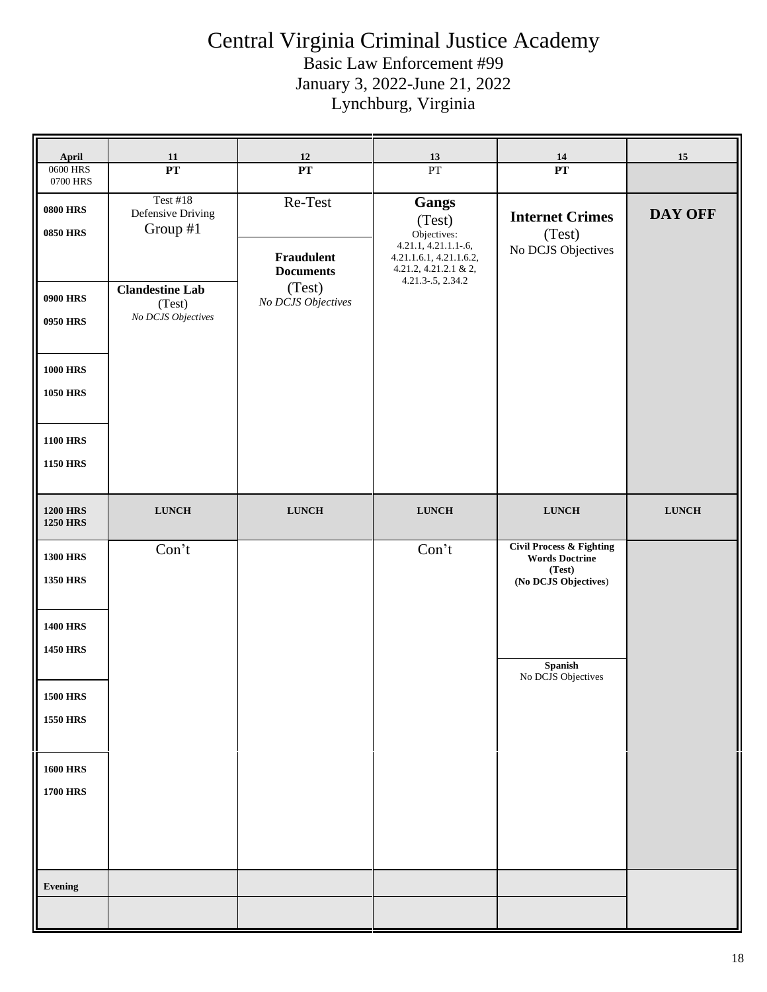| April                                                                                                   | <b>11</b>                                                                                                  | 12                                                                        | 13                                                                                                                              | 14                                                                                             | 15             |
|---------------------------------------------------------------------------------------------------------|------------------------------------------------------------------------------------------------------------|---------------------------------------------------------------------------|---------------------------------------------------------------------------------------------------------------------------------|------------------------------------------------------------------------------------------------|----------------|
| 0600 HRS<br>0700 HRS                                                                                    | $\overline{\mathbf{PT}}$                                                                                   | PT                                                                        | PT                                                                                                                              | PT                                                                                             |                |
| <b>0800 HRS</b><br><b>0850 HRS</b><br><b>0900 HRS</b><br>0950 HRS<br><b>1000 HRS</b><br><b>1050 HRS</b> | <b>Test #18</b><br>Defensive Driving<br>Group #1<br><b>Clandestine Lab</b><br>(Test)<br>No DCJS Objectives | Re-Test<br>Fraudulent<br><b>Documents</b><br>(Test)<br>No DCJS Objectives | Gangs<br>(Test)<br>Objectives:<br>4.21.1, 4.21.1.1-.6,<br>4.21.1.6.1, 4.21.1.6.2,<br>4.21.2, 4.21.2.1 & 2,<br>4.21.3-.5, 2.34.2 | <b>Internet Crimes</b><br>(Test)<br>No DCJS Objectives                                         | <b>DAY OFF</b> |
| <b>1100 HRS</b><br><b>1150 HRS</b>                                                                      |                                                                                                            |                                                                           |                                                                                                                                 |                                                                                                |                |
| <b>1200 HRS</b><br><b>1250 HRS</b>                                                                      | ${\bf L} {\bf U} {\bf N} {\bf C} {\bf H}$                                                                  | ${\bf L} {\bf U} {\bf N} {\bf C} {\bf H}$                                 | ${\bf LUNCH}$                                                                                                                   | <b>LUNCH</b>                                                                                   | <b>LUNCH</b>   |
| <b>1300 HRS</b><br><b>1350 HRS</b>                                                                      | Con't                                                                                                      |                                                                           | Con't                                                                                                                           | <b>Civil Process &amp; Fighting</b><br><b>Words Doctrine</b><br>(Test)<br>(No DCJS Objectives) |                |
| <b>1400 HRS</b><br><b>1450 HRS</b>                                                                      |                                                                                                            |                                                                           |                                                                                                                                 | Spanish<br>No DCJS Objectives                                                                  |                |
| <b>1500 HRS</b><br><b>1550 HRS</b>                                                                      |                                                                                                            |                                                                           |                                                                                                                                 |                                                                                                |                |
| <b>1600 HRS</b><br><b>1700 HRS</b>                                                                      |                                                                                                            |                                                                           |                                                                                                                                 |                                                                                                |                |
| Evening                                                                                                 |                                                                                                            |                                                                           |                                                                                                                                 |                                                                                                |                |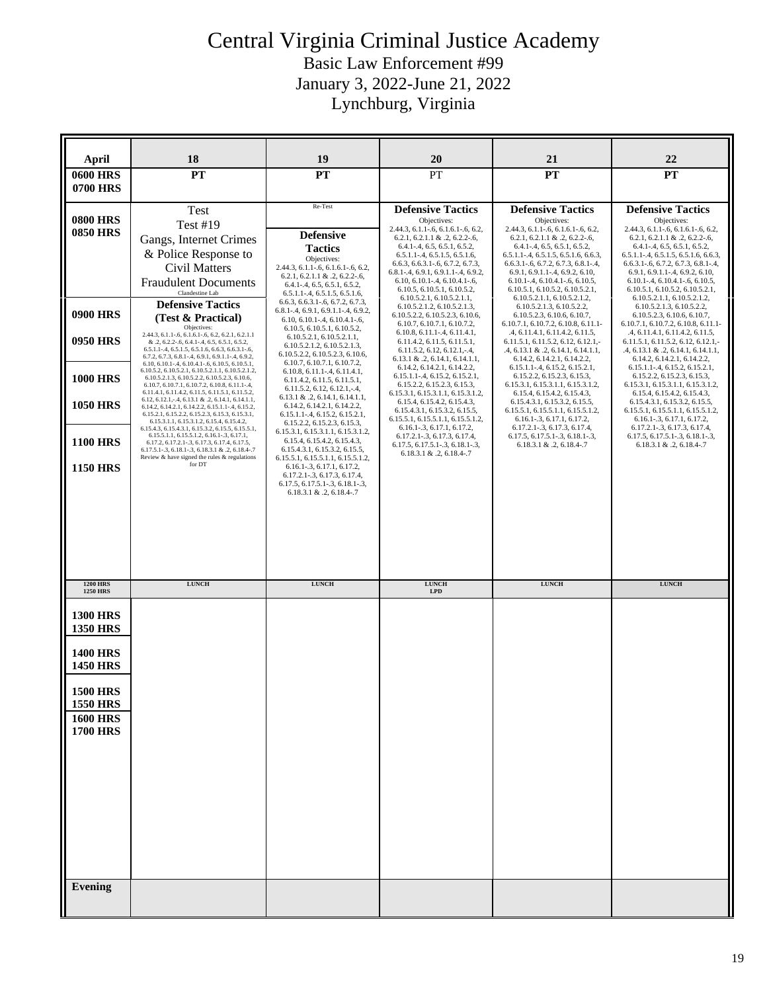Basic Law Enforcement #99 January 3, 2022-June 21, 2022

Lynchburg, Virginia

| April                                                                    | 18                                                                                                                                                                                                                                                                                                                                                                                                                     | 19                                                                                                                                                                                                                                | 20                                                                                                                                                                                                                                                                                                                                                 | 21                                                                                                                                                                                                                                                                                                                                                               | 22                                                                                                                                                                                                                                                                                                                                                            |
|--------------------------------------------------------------------------|------------------------------------------------------------------------------------------------------------------------------------------------------------------------------------------------------------------------------------------------------------------------------------------------------------------------------------------------------------------------------------------------------------------------|-----------------------------------------------------------------------------------------------------------------------------------------------------------------------------------------------------------------------------------|----------------------------------------------------------------------------------------------------------------------------------------------------------------------------------------------------------------------------------------------------------------------------------------------------------------------------------------------------|------------------------------------------------------------------------------------------------------------------------------------------------------------------------------------------------------------------------------------------------------------------------------------------------------------------------------------------------------------------|---------------------------------------------------------------------------------------------------------------------------------------------------------------------------------------------------------------------------------------------------------------------------------------------------------------------------------------------------------------|
| <b>0600 HRS</b><br><b>0700 HRS</b>                                       | <b>PT</b>                                                                                                                                                                                                                                                                                                                                                                                                              | PT                                                                                                                                                                                                                                | PT                                                                                                                                                                                                                                                                                                                                                 | PT                                                                                                                                                                                                                                                                                                                                                               | <b>PT</b>                                                                                                                                                                                                                                                                                                                                                     |
|                                                                          |                                                                                                                                                                                                                                                                                                                                                                                                                        | Re-Test                                                                                                                                                                                                                           |                                                                                                                                                                                                                                                                                                                                                    |                                                                                                                                                                                                                                                                                                                                                                  |                                                                                                                                                                                                                                                                                                                                                               |
| <b>0800 HRS</b><br><b>0850 HRS</b>                                       | Test<br><b>Test #19</b><br>Gangs, Internet Crimes<br>& Police Response to<br>Civil Matters<br><b>Fraudulent Documents</b><br>Clandestine Lab                                                                                                                                                                                                                                                                           | <b>Defensive</b><br><b>Tactics</b><br>Objectives:<br>2.44.3, 6.1.1-.6, 6.1.6.1-.6, 6.2,<br>$6.2.1, 6.2.1.1 \& .2, 6.2.2-.6,$<br>$6.4.1 - .4, 6.5, 6.5.1, 6.5.2,$<br>$6.5.1.1 - .4, 6.5.1.5, 6.5.1.6,$                             | <b>Defensive Tactics</b><br>Objectives:<br>2.44.3, 6.1.1-.6, 6.1.6.1-.6, 6.2,<br>$6.2.1, 6.2.1.1 \& .2, 6.2.2-.6,$<br>$6.4.1 - .4, 6.5, 6.5.1, 6.5.2,$<br>$6.5.1.1 - .4, 6.5.1.5, 6.5.1.6,$<br>6.6.3, 6.6.3.1-.6, 6.7.2, 6.7.3,<br>$6.8.1 - .4, 6.9.1, 6.9.1.1 - .4, 6.9.2,$<br>$6.10, 6.10.1 - .4, 6.10.4.1 - .6,$<br>6.10.5, 6.10.5.1, 6.10.5.2, | <b>Defensive Tactics</b><br>Objectives:<br>2.44.3, 6.1.1-.6, 6.1.6.1-.6, 6.2,<br>$6.2.1, 6.2.1.1 \& .2, 6.2.2-.6,$<br>$6.4.1 - .4, 6.5, 6.5.1, 6.5.2,$<br>$6.5.1.1 - .4, 6.5.1.5, 6.5.1.6, 6.6.3,$<br>$6.6.3.1 - 6, 6.7.2, 6.7.3, 6.8.1 - 4,$<br>$6.9.1, 6.9.1.1 - .4, 6.9.2, 6.10,$<br>$6.10.1 - .4, 6.10.4.1 - .6, 6.10.5,$<br>6.10.5.1, 6.10.5.2, 6.10.5.2.1, | <b>Defensive Tactics</b><br>Objectives:<br>2.44.3, 6.1.1-.6, 6.1.6.1-.6, 6.2,<br>6.2.1, 6.2.1.1 & .2, 6.2.2-.6,<br>$6.4.1 - .4, 6.5, 6.5.1, 6.5.2,$<br>$6.5.1.1 - .4, 6.5.1.5, 6.5.1.6, 6.6.3,$<br>$6.6.3.1 - 6, 6.7.2, 6.7.3, 6.8.1 - 4,$<br>$6.9.1, 6.9.1.1 - .4, 6.9.2, 6.10,$<br>$6.10.1 - .4, 6.10.4.1 - .6, 6.10.5,$<br>6.10.5.1, 6.10.5.2, 6.10.5.2.1, |
| <b>0900 HRS</b>                                                          | <b>Defensive Tactics</b><br>(Test & Practical)<br>Objectives:                                                                                                                                                                                                                                                                                                                                                          | $6.6.3, 6.6.3.1 - 6, 6.7.2, 6.7.3,$<br>$6.8.1 - .4, 6.9.1, 6.9.1.1 - .4, 6.9.2,$<br>$6.10, 6.10.1 - .4, 6.10.4.1 - .6,$<br>6.10.5, 6.10.5.1, 6.10.5.2,                                                                            | 6.10.5.2.1, 6.10.5.2.1.1,<br>6.10.5.2.1.2, 6.10.5.2.1.3,<br>6.10.5.2.2, 6.10.5.2.3, 6.10.6,<br>6.10.7, 6.10.7.1, 6.10.7.2,                                                                                                                                                                                                                         | 6.10.5.2.1.1, 6.10.5.2.1.2,<br>6.10.5.2.1.3, 6.10.5.2.2,<br>6.10.5.2.3, 6.10.6, 6.10.7,<br>6.10.7.1, 6.10.7.2, 6.10.8, 6.11.1-                                                                                                                                                                                                                                   | 6.10.5.2.1.1, 6.10.5.2.1.2,<br>6.10.5.2.1.3, 6.10.5.2.2,<br>6.10.5.2.3, 6.10.6, 6.10.7,<br>6.10.7.1, 6.10.7.2, 6.10.8, 6.11.1-                                                                                                                                                                                                                                |
| 0950 HRS                                                                 | 2.44.3, 6.1.1-.6, 6.1.6.1-.6, 6.2, 6.2.1, 6.2.1.1<br>& .2, 6.2.2-.6, 6.4.1-.4, 6.5, 6.5.1, 6.5.2,<br>$6.5.1.1 - .4, 6.5.1.5, 6.5.1.6, 6.6.3, 6.6.3.1 - .6,$<br>6.7.2, 6.7.3, 6.8.1-.4, 6.9.1, 6.9.1.1-.4, 6.9.2,                                                                                                                                                                                                       | 6.10.5.2.1, 6.10.5.2.1.1,<br>6.10.5.2.1.2, 6.10.5.2.1.3,<br>6.10.5.2.2, 6.10.5.2.3, 6.10.6,                                                                                                                                       | $6.10.8, 6.11.1 - .4, 6.11.4.1,$<br>6.11.4.2, 6.11.5, 6.11.5.1,<br>$6.11.5.2, 6.12, 6.12.1, -4,$<br>$6.13.1 \& .2, 6.14.1, 6.14.1.1,$                                                                                                                                                                                                              | .4, 6.11.4.1, 6.11.4.2, 6.11.5,<br>6.11.5.1, 6.11.5.2, 6.12, 6.12.1,-<br>$.4, 6.13.1 \& .2, 6.14.1, 6.14.1.1,$<br>6.14.2, 6.14.2.1, 6.14.2.2,                                                                                                                                                                                                                    | .4, 6.11.4.1, 6.11.4.2, 6.11.5,<br>6.11.5.1, 6.11.5.2, 6.12, 6.12.1,-<br>$.4, 6.13.1 \& .2, 6.14.1, 6.14.1.1,$<br>6.14.2, 6.14.2.1, 6.14.2.2,                                                                                                                                                                                                                 |
| <b>1000 HRS</b><br><b>1050 HRS</b>                                       | 6.10, 6.10.1-.4, 6.10.4.1-.6, 6.10.5, 6.10.5.1,<br>6.10.5.2, 6.10.5.2.1, 6.10.5.2.1.1, 6.10.5.2.1.2,<br>6.10.5.2.1.3, 6.10.5.2.2, 6.10.5.2.3, 6.10.6,<br>6.10.7, 6.10.7.1, 6.10.7.2, 6.10.8, 6.11.1-.4,<br>6.11.4.1, 6.11.4.2, 6.11.5, 6.11.5.1, 6.11.5.2,<br>6.12, 6.12.1, -.4, 6.13.1 & .2, 6.14.1, 6.14.1.1,<br>6.14.2, 6.14.2.1, 6.14.2.2, 6.15.1.1-.4, 6.15.2,<br>6.15.2.1, 6.15.2.2, 6.15.2.3, 6.15.3, 6.15.3.1, | 6.10.7, 6.10.7.1, 6.10.7.2,<br>6.10.8, 6.11.1-.4, 6.11.4.1,<br>6.11.4.2, 6.11.5, 6.11.5.1,<br>$6.11.5.2, 6.12, 6.12.1, -4,$<br>$6.13.1 \& .2, 6.14.1, 6.14.1.1,$<br>6.14.2, 6.14.2.1, 6.14.2.2,<br>6.15.1.1-.4, 6.15.2, 6.15.2.1, | 6.14.2, 6.14.2.1, 6.14.2.2,<br>$6.15.1.1 - 4, 6.15.2, 6.15.2.1,$<br>6.15.2.2, 6.15.2.3, 6.15.3,<br>6.15.3.1, 6.15.3.1.1, 6.15.3.1.2,<br>6.15.4, 6.15.4.2, 6.15.4.3,<br>6.15.4.3.1, 6.15.3.2, 6.15.5,<br>6.15.5.1, 6.15.5.1.1, 6.15.5.1.2,                                                                                                          | 6.15.1.1-.4, 6.15.2, 6.15.2.1,<br>6.15.2.2, 6.15.2.3, 6.15.3,<br>6.15.3.1, 6.15.3.1.1, 6.15.3.1.2,<br>6.15.4, 6.15.4.2, 6.15.4.3,<br>6.15.4.3.1, 6.15.3.2, 6.15.5,<br>6.15.5.1, 6.15.5.1.1, 6.15.5.1.2,<br>$6.16.1 - 3, 6.17.1, 6.17.2$                                                                                                                          | 6.15.1.1-.4, 6.15.2, 6.15.2.1,<br>6.15.2.2, 6.15.2.3, 6.15.3,<br>6.15.3.1, 6.15.3.1.1, 6.15.3.1.2,<br>6.15.4, 6.15.4.2, 6.15.4.3,<br>6.15.4.3.1, 6.15.3.2, 6.15.5,<br>6.15.5.1, 6.15.5.1.1, 6.15.5.1.2,<br>$6.16.1 - .3, 6.17.1, 6.17.2,$                                                                                                                     |
| <b>1100 HRS</b><br><b>1150 HRS</b>                                       | 6.15.3.1.1, 6.15.3.1.2, 6.15.4, 6.15.4.2,<br>6.15.4.3, 6.15.4.3.1, 6.15.3.2, 6.15.5, 6.15.5.1,<br>6.15.5.1.1, 6.15.5.1.2, 6.16.1-.3, 6.17.1,<br>6.17.2, 6.17.2.1-.3, 6.17.3, 6.17.4, 6.17.5,<br>6.17.5.1-.3, 6.18.1-.3, 6.18.3.1 & .2, 6.18.4-.7<br>Review $\&$ have signed the rules $\&$ regulations<br>for DT                                                                                                       | 6.15.2.2, 6.15.2.3, 6.15.3,<br>6.15.3.1, 6.15.3.1.1, 6.15.3.1.2,<br>6.15.4, 6.15.4.2, 6.15.4.3,<br>6.15.4.3.1, 6.15.3.2, 6.15.5,<br>6.15.5.1, 6.15.5.1.1, 6.15.5.1.2,<br>$6.16.1-.3, 6.17.1, 6.17.2,$                             | $6.16.1-.3, 6.17.1, 6.17.2,$<br>6.17.2.1-.3, 6.17.3, 6.17.4,<br>$6.17.5, 6.17.5.1-.3, 6.18.1-.3,$<br>$6.18.3.1 \& .2, 6.18.4-.7$                                                                                                                                                                                                                   | 6.17.2.1-.3, 6.17.3, 6.17.4,<br>6.17.5, 6.17.5.1-.3, 6.18.1-.3,<br>$6.18.3.1 \& .2, 6.18.4-.7$                                                                                                                                                                                                                                                                   | 6.17.2.1-.3, 6.17.3, 6.17.4,<br>6.17.5, 6.17.5.1-.3, 6.18.1-.3,<br>$6.18.3.1 \& .2, 6.18.4-.7$                                                                                                                                                                                                                                                                |
|                                                                          |                                                                                                                                                                                                                                                                                                                                                                                                                        | 6.17.5, 6.17.5.1 - . 3, 6.18.1 - . 3,<br>$6.18.3.1 \& .2, 6.18.4-.7$                                                                                                                                                              |                                                                                                                                                                                                                                                                                                                                                    |                                                                                                                                                                                                                                                                                                                                                                  |                                                                                                                                                                                                                                                                                                                                                               |
| <b>1200 HRS</b><br><b>1250 HRS</b>                                       | <b>LUNCH</b>                                                                                                                                                                                                                                                                                                                                                                                                           | <b>LUNCH</b>                                                                                                                                                                                                                      | ${\bf L} {\bf U} {\bf N} {\bf C} {\bf H}$<br><b>LPD</b>                                                                                                                                                                                                                                                                                            | ${\bf L} {\bf U} {\bf N} {\bf C} {\bf H}$                                                                                                                                                                                                                                                                                                                        | <b>LUNCH</b>                                                                                                                                                                                                                                                                                                                                                  |
| <b>1300 HRS</b><br><b>1350 HRS</b><br><b>1400 HRS</b><br><b>1450 HRS</b> |                                                                                                                                                                                                                                                                                                                                                                                                                        |                                                                                                                                                                                                                                   |                                                                                                                                                                                                                                                                                                                                                    |                                                                                                                                                                                                                                                                                                                                                                  |                                                                                                                                                                                                                                                                                                                                                               |
| <b>1500 HRS</b><br>1550 HRS                                              |                                                                                                                                                                                                                                                                                                                                                                                                                        |                                                                                                                                                                                                                                   |                                                                                                                                                                                                                                                                                                                                                    |                                                                                                                                                                                                                                                                                                                                                                  |                                                                                                                                                                                                                                                                                                                                                               |
| <b>1600 HRS</b><br><b>1700 HRS</b>                                       |                                                                                                                                                                                                                                                                                                                                                                                                                        |                                                                                                                                                                                                                                   |                                                                                                                                                                                                                                                                                                                                                    |                                                                                                                                                                                                                                                                                                                                                                  |                                                                                                                                                                                                                                                                                                                                                               |
| <b>Evening</b>                                                           |                                                                                                                                                                                                                                                                                                                                                                                                                        |                                                                                                                                                                                                                                   |                                                                                                                                                                                                                                                                                                                                                    |                                                                                                                                                                                                                                                                                                                                                                  |                                                                                                                                                                                                                                                                                                                                                               |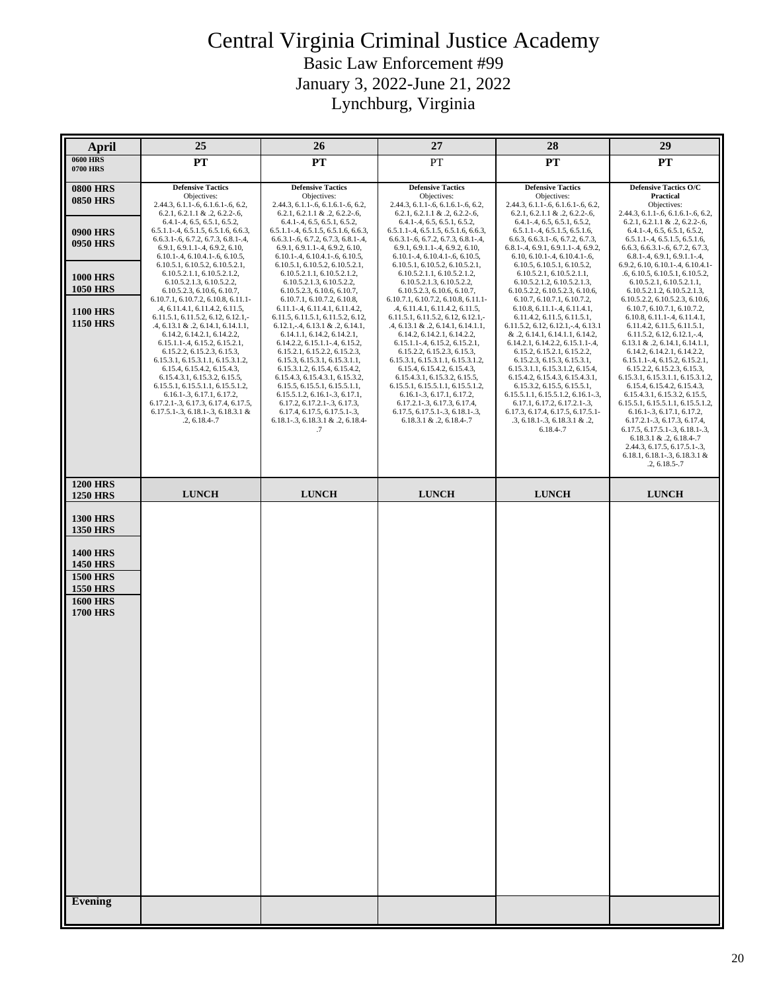#### Central Virginia Criminal Justice Academy Basic Law Enforcement #99 January 3, 2022-June 21, 2022 Lynchburg, Virginia

| <b>April</b>                                                                                                                                                           | 25                                                                                                                                                                                                                                                                                                                                                                                                                                                                                                                                                                                                                                                                                                                                                                                                                                                                                                                                                                                                               | 26                                                                                                                                                                                                                                                                                                                                                                                                                                                                                                                                                                                                                                                                                                                                                                                                                                                                                                                                                                                              | 27                                                                                                                                                                                                                                                                                                                                                                                                                                                                                                                                                                                                                                                                                                                                                                                                                                                                                                                                                                                                      | 28                                                                                                                                                                                                                                                                                                                                                                                                                                                                                                                                                                                                                                                                                                                                                                                                                                                                                                                                                                                        | 29                                                                                                                                                                                                                                                                                                                                                                                                                                                                                                                                                                                                                                                                                                                                                                                                                                                                                                                                                      |
|------------------------------------------------------------------------------------------------------------------------------------------------------------------------|------------------------------------------------------------------------------------------------------------------------------------------------------------------------------------------------------------------------------------------------------------------------------------------------------------------------------------------------------------------------------------------------------------------------------------------------------------------------------------------------------------------------------------------------------------------------------------------------------------------------------------------------------------------------------------------------------------------------------------------------------------------------------------------------------------------------------------------------------------------------------------------------------------------------------------------------------------------------------------------------------------------|-------------------------------------------------------------------------------------------------------------------------------------------------------------------------------------------------------------------------------------------------------------------------------------------------------------------------------------------------------------------------------------------------------------------------------------------------------------------------------------------------------------------------------------------------------------------------------------------------------------------------------------------------------------------------------------------------------------------------------------------------------------------------------------------------------------------------------------------------------------------------------------------------------------------------------------------------------------------------------------------------|---------------------------------------------------------------------------------------------------------------------------------------------------------------------------------------------------------------------------------------------------------------------------------------------------------------------------------------------------------------------------------------------------------------------------------------------------------------------------------------------------------------------------------------------------------------------------------------------------------------------------------------------------------------------------------------------------------------------------------------------------------------------------------------------------------------------------------------------------------------------------------------------------------------------------------------------------------------------------------------------------------|-------------------------------------------------------------------------------------------------------------------------------------------------------------------------------------------------------------------------------------------------------------------------------------------------------------------------------------------------------------------------------------------------------------------------------------------------------------------------------------------------------------------------------------------------------------------------------------------------------------------------------------------------------------------------------------------------------------------------------------------------------------------------------------------------------------------------------------------------------------------------------------------------------------------------------------------------------------------------------------------|---------------------------------------------------------------------------------------------------------------------------------------------------------------------------------------------------------------------------------------------------------------------------------------------------------------------------------------------------------------------------------------------------------------------------------------------------------------------------------------------------------------------------------------------------------------------------------------------------------------------------------------------------------------------------------------------------------------------------------------------------------------------------------------------------------------------------------------------------------------------------------------------------------------------------------------------------------|
| <b>0600 HRS</b><br><b>0700 HRS</b>                                                                                                                                     | PT                                                                                                                                                                                                                                                                                                                                                                                                                                                                                                                                                                                                                                                                                                                                                                                                                                                                                                                                                                                                               | <b>PT</b>                                                                                                                                                                                                                                                                                                                                                                                                                                                                                                                                                                                                                                                                                                                                                                                                                                                                                                                                                                                       | PT                                                                                                                                                                                                                                                                                                                                                                                                                                                                                                                                                                                                                                                                                                                                                                                                                                                                                                                                                                                                      | PT                                                                                                                                                                                                                                                                                                                                                                                                                                                                                                                                                                                                                                                                                                                                                                                                                                                                                                                                                                                        | <b>PT</b>                                                                                                                                                                                                                                                                                                                                                                                                                                                                                                                                                                                                                                                                                                                                                                                                                                                                                                                                               |
| <b>0800 HRS</b><br><b>0850 HRS</b><br>0900 HRS<br>0950 HRS<br><b>1000 HRS</b><br><b>1050 HRS</b><br><b>1100 HRS</b><br><b>1150 HRS</b>                                 | <b>Defensive Tactics</b><br>Objectives:<br>$2.44.3, 6.1.1 - 6, 6.1.6.1 - 6, 6.2,$<br>$6.2.1, 6.2.1.1 \& .2, 6.2.2-.6,$<br>$6.4.1 - .4, 6.5, 6.5.1, 6.5.2,$<br>$6.5.1.1 - .4, 6.5.1.5, 6.5.1.6, 6.6.3,$<br>$6.6.3.1 - .6, 6.7.2, 6.7.3, 6.8.1 - .4,$<br>$6.9.1, 6.9.1.1 - .4, 6.9.2, 6.10,$<br>$6.10.1 - .4, 6.10.4.1 - .6, 6.10.5,$<br>6.10.5.1, 6.10.5.2, 6.10.5.2.1,<br>6.10.5.2.1.1, 6.10.5.2.1.2,<br>6.10.5.2.1.3, 6.10.5.2.2,<br>6.10.5.2.3, 6.10.6, 6.10.7,<br>6.10.7.1, 6.10.7.2, 6.10.8, 6.11.1-<br>.4, 6.11.4.1, 6.11.4.2, 6.11.5,<br>6.11.5.1, 6.11.5.2, 6.12, 6.12.1,<br>$.4, 6.13.1 \& .2, 6.14.1, 6.14.1.1,$<br>6.14.2, 6.14.2.1, 6.14.2.2,<br>$6.15.1.1 - .4, 6.15.2, 6.15.2.1,$<br>6.15.2.2, 6.15.2.3, 6.15.3,<br>6.15.3.1, 6.15.3.1.1, 6.15.3.1.2,<br>6.15.4, 6.15.4.2, 6.15.4.3,<br>6.15.4.3.1, 6.15.3.2, 6.15.5,<br>6.15.5.1, 6.15.5.1.1, 6.15.5.1.2,<br>6.16.1-.3, 6.17.1, 6.17.2,<br>6.17.2.1-.3, 6.17.3, 6.17.4, 6.17.5,<br>$6.17.5.1 - 3$ , $6.18.1 - 3$ , $6.18.3.1$ &<br>$.2, 6.18.4-.7$ | <b>Defensive Tactics</b><br>Objectives:<br>$2.44.3, 6.1.1 - 6, 6.1.6.1 - 6, 6.2,$<br>$6.2.1, 6.2.1.1 \& .2, 6.2.2-.6,$<br>6.4.1-.4, 6.5, 6.5.1, 6.5.2,<br>$6.5.1.1 - .4, 6.5.1.5, 6.5.1.6, 6.6.3,$<br>$6.6.3.1 - 6, 6.7.2, 6.7.3, 6.8.1 - 4,$<br>$6.9.1, 6.9.1.1 - .4, 6.9.2, 6.10,$<br>$6.10.1 - .4, 6.10.4.1 - .6, 6.10.5,$<br>6.10.5.1, 6.10.5.2, 6.10.5.2.1,<br>6.10.5.2.1.1, 6.10.5.2.1.2,<br>6.10.5.2.1.3, 6.10.5.2.2,<br>6.10.5.2.3, 6.10.6, 6.10.7,<br>6.10.7.1, 6.10.7.2, 6.10.8,<br>6.11.1-.4, 6.11.4.1, 6.11.4.2,<br>6.11.5, 6.11.5.1, 6.11.5.2, 6.12,<br>$6.12.1, -4, 6.13.1 \& .2, 6.14.1,$<br>6.14.1.1, 6.14.2, 6.14.2.1,<br>$6.14.2.2, 6.15.1.1-4, 6.15.2,$<br>6.15.2.1, 6.15.2.2, 6.15.2.3,<br>6.15.3, 6.15.3.1, 6.15.3.1.1,<br>6.15.3.1.2, 6.15.4, 6.15.4.2,<br>6.15.4.3, 6.15.4.3.1, 6.15.3.2,<br>6.15.5, 6.15.5.1, 6.15.5.1.1,<br>$6.15.5.1.2, 6.16.1-.3, 6.17.1,$<br>$6.17.2, 6.17.2.1-.3, 6.17.3,$<br>6.17.4, 6.17.5, 6.17.5.1-.3,<br>$6.18.1 - .3, 6.18.3.1 & .2, 6.18.4$ | <b>Defensive Tactics</b><br>Objectives:<br>$2.44.3, 6.1.1 - 6, 6.1.6.1 - 6, 6.2,$<br>$6.2.1, 6.2.1.1 \& .2, 6.2.2-.6,$<br>$6.4.1 - .4, 6.5, 6.5.1, 6.5.2,$<br>$6.5.1.1 - .4, 6.5.1.5, 6.5.1.6, 6.6.3,$<br>$6.6.3.1 - 6, 6.7.2, 6.7.3, 6.8.1 - 4,$<br>$6.9.1, 6.9.1.1 - .4, 6.9.2, 6.10,$<br>$6.10.1 - .4, 6.10.4.1 - .6, 6.10.5,$<br>6.10.5.1, 6.10.5.2, 6.10.5.2.1,<br>6.10.5.2.1.1, 6.10.5.2.1.2,<br>6.10.5.2.1.3, 6.10.5.2.2,<br>6.10.5.2.3, 6.10.6, 6.10.7.<br>6.10.7.1, 6.10.7.2, 6.10.8, 6.11.1-<br>.4, 6.11.4.1, 6.11.4.2, 6.11.5,<br>6.11.5.1, 6.11.5.2, 6.12, 6.12.1,<br>$.4, 6.13.1 \& .2, 6.14.1, 6.14.1.1,$<br>6.14.2, 6.14.2.1, 6.14.2.2,<br>$6.15.1.1 - .4, 6.15.2, 6.15.2.1,$<br>6.15.2.2, 6.15.2.3, 6.15.3,<br>6.15.3.1, 6.15.3.1.1, 6.15.3.1.2,<br>6.15.4, 6.15.4.2, 6.15.4.3,<br>6.15.4.3.1, 6.15.3.2, 6.15.5,<br>6.15.5.1, 6.15.5.1.1, 6.15.5.1.2,<br>6.16.1-.3, 6.17.1, 6.17.2,<br>6.17.2.1-.3, 6.17.3, 6.17.4,<br>$6.17.5, 6.17.5.1-.3, 6.18.1-.3,$<br>$6.18.3.1 \& .2, 6.18.4-.7$ | <b>Defensive Tactics</b><br>Objectives:<br>2.44.3, 6.1.1-.6, 6.1.6.1-.6, 6.2,<br>$6.2.1, 6.2.1.1 \& .2, 6.2.2-.6,$<br>$6.4.1 - .4, 6.5, 6.5.1, 6.5.2,$<br>$6.5.1.1 - .4, 6.5.1.5, 6.5.1.6,$<br>6.6.3, 6.6.3.1-.6, 6.7.2, 6.7.3,<br>$6.8.1 - .4, 6.9.1, 6.9.1.1 - .4, 6.9.2,$<br>$6.10, 6.10.1 - .4, 6.10.4.1 - .6,$<br>6.10.5, 6.10.5.1, 6.10.5.2,<br>6.10.5.2.1, 6.10.5.2.1.1,<br>6.10.5.2.1.2, 6.10.5.2.1.3,<br>6.10.5.2.2, 6.10.5.2.3, 6.10.6,<br>6.10.7, 6.10.7.1, 6.10.7.2,<br>$6.10.8, 6.11.1-4, 6.11.4.1,$<br>6.11.4.2, 6.11.5, 6.11.5.1,<br>6.11.5.2, 6.12, 6.12.1, -.4, 6.13.1<br>& .2, 6.14.1, 6.14.1.1, 6.14.2,<br>$6.14.2.1, 6.14.2.2, 6.15.1.1-.4,$<br>6.15.2, 6.15.2.1, 6.15.2.2,<br>6.15.2.3, 6.15.3, 6.15.3.1,<br>6.15.3.1.1, 6.15.3.1.2, 6.15.4,<br>6.15.4.2, 6.15.4.3, 6.15.4.3.1,<br>6.15.3.2, 6.15.5, 6.15.5.1,<br>$6.15.5.1.1, 6.15.5.1.2, 6.16.1-.3.$<br>$6.17.1, 6.17.2, 6.17.2.1-.3,$<br>6.17.3, 6.17.4, 6.17.5, 6.17.5.1-<br>$.3, 6.18.1 - .3, 6.18.3.1$ & $.2,$ | <b>Defensive Tactics O/C</b><br>Practical<br>Objectives:<br>2.44.3, 6.1.1-.6, 6.1.6.1-.6, 6.2,<br>$6.2.1, 6.2.1.1 \& .2, 6.2.2-.6,$<br>$6.4.1 - .4, 6.5, 6.5.1, 6.5.2,$<br>$6.5.1.1 - .4, 6.5.1.5, 6.5.1.6,$<br>$6.6.3, 6.6.3.1 - 6, 6.7.2, 6.7.3,$<br>$6.8.1 - .4, 6.9.1, 6.9.1.1 - .4,$<br>6.9.2, 6.10, 6.10.1-.4, 6.10.4.1-<br>.6, 6.10.5, 6.10.5.1, 6.10.5.2,<br>6.10.5.2.1, 6.10.5.2.1.1,<br>6.10.5.2.1.2, 6.10.5.2.1.3<br>6.10.5.2.2, 6.10.5.2.3, 6.10.6,<br>6.10.7, 6.10.7.1, 6.10.7.2,<br>$6.10.8, 6.11.1 - .4, 6.11.4.1,$<br>6.11.4.2, 6.11.5, 6.11.5.1,<br>$6.11.5.2, 6.12, 6.12.1, -4,$<br>$6.13.1 \& .2, 6.14.1, 6.14.1.1,$<br>6.14.2, 6.14.2.1, 6.14.2.2,<br>$6.15.1.1 - .4, 6.15.2, 6.15.2.1,$<br>6.15.2.2, 6.15.2.3, 6.15.3,<br>6.15.3.1, 6.15.3.1.1, 6.15.3.1.2,<br>6.15.4, 6.15.4.2, 6.15.4.3,<br>6.15.4.3.1, 6.15.3.2, 6.15.5,<br>6.15.5.1, 6.15.5.1.1, 6.15.5.1.2,<br>$6.16.1 - .3, 6.17.1, 6.17.2,$<br>6.17.2.1-.3, 6.17.3, 6.17.4, |
|                                                                                                                                                                        |                                                                                                                                                                                                                                                                                                                                                                                                                                                                                                                                                                                                                                                                                                                                                                                                                                                                                                                                                                                                                  | .7                                                                                                                                                                                                                                                                                                                                                                                                                                                                                                                                                                                                                                                                                                                                                                                                                                                                                                                                                                                              |                                                                                                                                                                                                                                                                                                                                                                                                                                                                                                                                                                                                                                                                                                                                                                                                                                                                                                                                                                                                         | $6.18.4 - .7$                                                                                                                                                                                                                                                                                                                                                                                                                                                                                                                                                                                                                                                                                                                                                                                                                                                                                                                                                                             | 6.17.5, 6.17.5.1-.3, 6.18.1-.3,<br>$6.18.3.1 \& .2, 6.18.4-.7$<br>2.44.3, 6.17.5, 6.17.5.1-.3,<br>6.18.1, 6.18.1-.3, 6.18.3.1 &<br>$.2, 6.18.5-.7$                                                                                                                                                                                                                                                                                                                                                                                                                                                                                                                                                                                                                                                                                                                                                                                                      |
| <b>1200 HRS</b><br><b>1250 HRS</b>                                                                                                                                     | <b>LUNCH</b>                                                                                                                                                                                                                                                                                                                                                                                                                                                                                                                                                                                                                                                                                                                                                                                                                                                                                                                                                                                                     | <b>LUNCH</b>                                                                                                                                                                                                                                                                                                                                                                                                                                                                                                                                                                                                                                                                                                                                                                                                                                                                                                                                                                                    | <b>LUNCH</b>                                                                                                                                                                                                                                                                                                                                                                                                                                                                                                                                                                                                                                                                                                                                                                                                                                                                                                                                                                                            | <b>LUNCH</b>                                                                                                                                                                                                                                                                                                                                                                                                                                                                                                                                                                                                                                                                                                                                                                                                                                                                                                                                                                              | <b>LUNCH</b>                                                                                                                                                                                                                                                                                                                                                                                                                                                                                                                                                                                                                                                                                                                                                                                                                                                                                                                                            |
| <b>1300 HRS</b><br><b>1350 HRS</b><br><b>1400 HRS</b><br><b>1450 HRS</b><br><b>1500 HRS</b><br><b>1550 HRS</b><br><b>1600 HRS</b><br><b>1700 HRS</b><br><b>Evening</b> |                                                                                                                                                                                                                                                                                                                                                                                                                                                                                                                                                                                                                                                                                                                                                                                                                                                                                                                                                                                                                  |                                                                                                                                                                                                                                                                                                                                                                                                                                                                                                                                                                                                                                                                                                                                                                                                                                                                                                                                                                                                 |                                                                                                                                                                                                                                                                                                                                                                                                                                                                                                                                                                                                                                                                                                                                                                                                                                                                                                                                                                                                         |                                                                                                                                                                                                                                                                                                                                                                                                                                                                                                                                                                                                                                                                                                                                                                                                                                                                                                                                                                                           |                                                                                                                                                                                                                                                                                                                                                                                                                                                                                                                                                                                                                                                                                                                                                                                                                                                                                                                                                         |
|                                                                                                                                                                        |                                                                                                                                                                                                                                                                                                                                                                                                                                                                                                                                                                                                                                                                                                                                                                                                                                                                                                                                                                                                                  |                                                                                                                                                                                                                                                                                                                                                                                                                                                                                                                                                                                                                                                                                                                                                                                                                                                                                                                                                                                                 |                                                                                                                                                                                                                                                                                                                                                                                                                                                                                                                                                                                                                                                                                                                                                                                                                                                                                                                                                                                                         |                                                                                                                                                                                                                                                                                                                                                                                                                                                                                                                                                                                                                                                                                                                                                                                                                                                                                                                                                                                           |                                                                                                                                                                                                                                                                                                                                                                                                                                                                                                                                                                                                                                                                                                                                                                                                                                                                                                                                                         |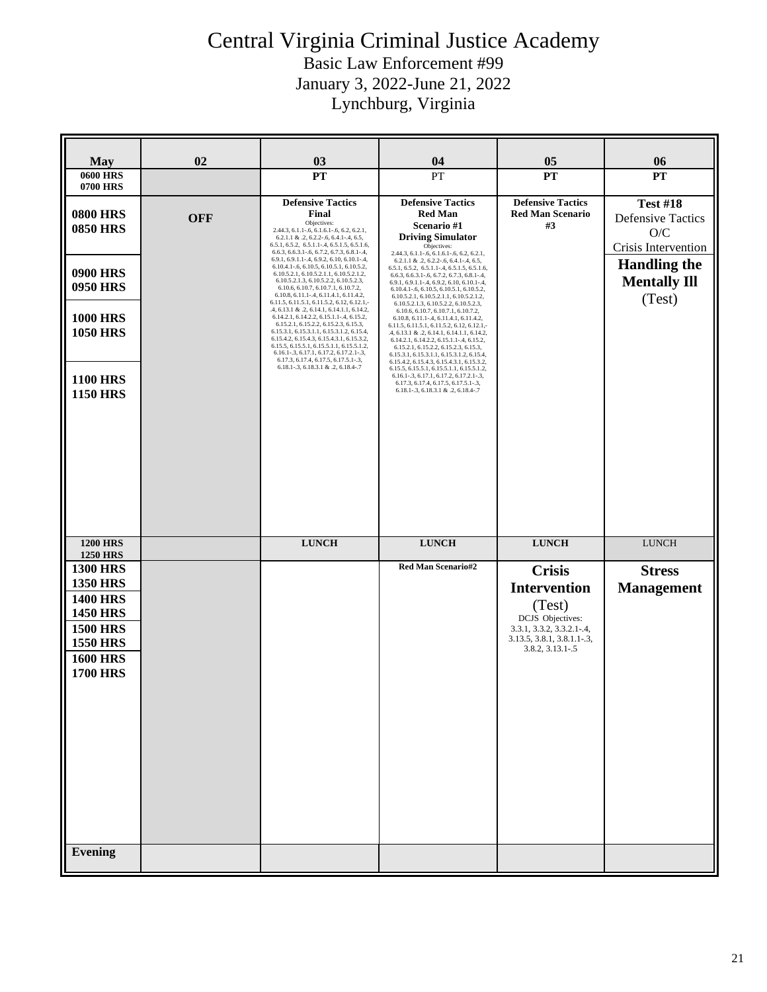| <b>May</b>                                                                                                                                           | 02         | 03                                                                                                                                                                                                                                                                                                                                                                                                                                                                                                                                                                                                                                                                                                                                                                                                                                                                                                                                                               | 04                                                                                                                                                                                                                                                                                                                                                                                                                                                                                                                                                                                                                                                                                                                                                                                                                                                                                                                                                                                                           | 05                                                        | 06                                                                                                                                |
|------------------------------------------------------------------------------------------------------------------------------------------------------|------------|------------------------------------------------------------------------------------------------------------------------------------------------------------------------------------------------------------------------------------------------------------------------------------------------------------------------------------------------------------------------------------------------------------------------------------------------------------------------------------------------------------------------------------------------------------------------------------------------------------------------------------------------------------------------------------------------------------------------------------------------------------------------------------------------------------------------------------------------------------------------------------------------------------------------------------------------------------------|--------------------------------------------------------------------------------------------------------------------------------------------------------------------------------------------------------------------------------------------------------------------------------------------------------------------------------------------------------------------------------------------------------------------------------------------------------------------------------------------------------------------------------------------------------------------------------------------------------------------------------------------------------------------------------------------------------------------------------------------------------------------------------------------------------------------------------------------------------------------------------------------------------------------------------------------------------------------------------------------------------------|-----------------------------------------------------------|-----------------------------------------------------------------------------------------------------------------------------------|
| <b>0600 HRS</b><br><b>0700 HRS</b>                                                                                                                   |            | <b>PT</b>                                                                                                                                                                                                                                                                                                                                                                                                                                                                                                                                                                                                                                                                                                                                                                                                                                                                                                                                                        | PT                                                                                                                                                                                                                                                                                                                                                                                                                                                                                                                                                                                                                                                                                                                                                                                                                                                                                                                                                                                                           | <b>PT</b>                                                 | <b>PT</b>                                                                                                                         |
| <b>0800 HRS</b><br><b>0850 HRS</b><br><b>0900 HRS</b><br><b>0950 HRS</b><br><b>1000 HRS</b><br><b>1050 HRS</b><br><b>1100 HRS</b><br><b>1150 HRS</b> | <b>OFF</b> | <b>Defensive Tactics</b><br>Final<br>Objectives:<br>2.44.3, 6.1.1-.6, 6.1.6.1-.6, 6.2, 6.2.1,<br>$6.2.1.1 \& 0.2, 6.2.2 - 0.6, 6.4.1 - 0.4, 6.5,$<br>$6.5.1, 6.5.2, 6.5.1.1-4, 6.5.1.5, 6.5.1.6,$<br>6.6.3, 6.6.3.1-.6, 6.7.2, 6.7.3, 6.8.1-.4,<br>6.9.1, 6.9.1.1-.4, 6.9.2, 6.10, 6.10.1-.4,<br>6.10.4.1-.6, 6.10.5, 6.10.5.1, 6.10.5.2,<br>6.10.5.2.1, 6.10.5.2.1.1, 6.10.5.2.1.2,<br>6.10.5.2.1.3, 6.10.5.2.2, 6.10.5.2.3,<br>6.10.6, 6.10.7, 6.10.7.1, 6.10.7.2,<br>6.10.8, 6.11.1-.4, 6.11.4.1, 6.11.4.2,<br>6.11.5, 6.11.5.1, 6.11.5.2, 6.12, 6.12.1,-<br>.4, 6.13.1 & .2, 6.14.1, 6.14.1.1, 6.14.2,<br>6.14.2.1, 6.14.2.2, 6.15.1.1-.4, 6.15.2,<br>6.15.2.1, 6.15.2.2, 6.15.2.3, 6.15.3,<br>6.15.3.1, 6.15.3.1.1, 6.15.3.1.2, 6.15.4,<br>6.15.4.2, 6.15.4.3, 6.15.4.3.1, 6.15.3.2,<br>6.15.5, 6.15.5.1, 6.15.5.1.1, 6.15.5.1.2,<br>6.16.1-.3, 6.17.1, 6.17.2, 6.17.2.1-.3,<br>6.17.3, 6.17.4, 6.17.5, 6.17.5.1-.3,<br>6.18.1-.3, 6.18.3.1 & .2, 6.18.4-.7 | <b>Defensive Tactics</b><br><b>Red Man</b><br>Scenario #1<br><b>Driving Simulator</b><br>Objectives:<br>2.44.3, 6.1.1-.6, 6.1.6.1-.6, 6.2, 6.2.1,<br>$6.2.1.1 \& .2, 6.2.2-.6, 6.4.1-.4, 6.5,$<br>6.5.1, 6.5.2, 6.5.1.1-.4, 6.5.1.5, 6.5.1.6,<br>6.6.3, 6.6.3.1-.6, 6.7.2, 6.7.3, 6.8.1-.4,<br>6.9.1, 6.9.1.1-.4, 6.9.2, 6.10, 6.10.1-.4,<br>6.10.4.1-.6, 6.10.5, 6.10.5.1, 6.10.5.2,<br>6.10.5.2.1, 6.10.5.2.1.1, 6.10.5.2.1.2,<br>6.10.5.2.1.3, 6.10.5.2.2, 6.10.5.2.3,<br>6.10.6, 6.10.7, 6.10.7.1, 6.10.7.2,<br>6.10.8, 6.11.1-.4, 6.11.4.1, 6.11.4.2,<br>6.11.5, 6.11.5.1, 6.11.5.2, 6.12, 6.12.1,-<br>.4, 6.13.1 & .2, 6.14.1, 6.14.1.1, 6.14.2,<br>6.14.2.1, 6.14.2.2, 6.15.1.1-.4, 6.15.2,<br>6.15.2.1, 6.15.2.2, 6.15.2.3, 6.15.3,<br>6.15.3.1, 6.15.3.1.1, 6.15.3.1.2, 6.15.4,<br>6.15.4.2, 6.15.4.3, 6.15.4.3.1, 6.15.3.2,<br>6.15.5, 6.15.5.1, 6.15.5.1.1, 6.15.5.1.2,<br>6.16.1-.3, 6.17.1, 6.17.2, 6.17.2.1-.3,<br>6.17.3, 6.17.4, 6.17.5, 6.17.5.1-.3,<br>6.18.1-.3, 6.18.3.1 & .2, 6.18.4-.7 | <b>Defensive Tactics</b><br><b>Red Man Scenario</b><br>#3 | <b>Test #18</b><br><b>Defensive Tactics</b><br>O/C<br>Crisis Intervention<br><b>Handling the</b><br><b>Mentally Ill</b><br>(Test) |
| <b>1200 HRS</b><br><b>1250 HRS</b>                                                                                                                   |            | <b>LUNCH</b>                                                                                                                                                                                                                                                                                                                                                                                                                                                                                                                                                                                                                                                                                                                                                                                                                                                                                                                                                     | <b>LUNCH</b>                                                                                                                                                                                                                                                                                                                                                                                                                                                                                                                                                                                                                                                                                                                                                                                                                                                                                                                                                                                                 | <b>LUNCH</b>                                              | <b>LUNCH</b>                                                                                                                      |
| <b>1300 HRS</b>                                                                                                                                      |            |                                                                                                                                                                                                                                                                                                                                                                                                                                                                                                                                                                                                                                                                                                                                                                                                                                                                                                                                                                  | <b>Red Man Scenario#2</b>                                                                                                                                                                                                                                                                                                                                                                                                                                                                                                                                                                                                                                                                                                                                                                                                                                                                                                                                                                                    | <b>Crisis</b>                                             | <b>Stress</b>                                                                                                                     |
| <b>1350 HRS</b><br><b>1400 HRS</b>                                                                                                                   |            |                                                                                                                                                                                                                                                                                                                                                                                                                                                                                                                                                                                                                                                                                                                                                                                                                                                                                                                                                                  |                                                                                                                                                                                                                                                                                                                                                                                                                                                                                                                                                                                                                                                                                                                                                                                                                                                                                                                                                                                                              | <b>Intervention</b>                                       | <b>Management</b>                                                                                                                 |
| <b>1450 HRS</b>                                                                                                                                      |            |                                                                                                                                                                                                                                                                                                                                                                                                                                                                                                                                                                                                                                                                                                                                                                                                                                                                                                                                                                  |                                                                                                                                                                                                                                                                                                                                                                                                                                                                                                                                                                                                                                                                                                                                                                                                                                                                                                                                                                                                              | (Test)<br>DCJS Objectives:                                |                                                                                                                                   |
| <b>1500 HRS</b>                                                                                                                                      |            |                                                                                                                                                                                                                                                                                                                                                                                                                                                                                                                                                                                                                                                                                                                                                                                                                                                                                                                                                                  |                                                                                                                                                                                                                                                                                                                                                                                                                                                                                                                                                                                                                                                                                                                                                                                                                                                                                                                                                                                                              | 3.3.1, 3.3.2, 3.3.2.1-.4,<br>3.13.5, 3.8.1, 3.8.1.1-.3,   |                                                                                                                                   |
| <b>1550 HRS</b><br><b>1600 HRS</b>                                                                                                                   |            |                                                                                                                                                                                                                                                                                                                                                                                                                                                                                                                                                                                                                                                                                                                                                                                                                                                                                                                                                                  |                                                                                                                                                                                                                                                                                                                                                                                                                                                                                                                                                                                                                                                                                                                                                                                                                                                                                                                                                                                                              | 3.8.2, 3.13.1-.5                                          |                                                                                                                                   |
| <b>1700 HRS</b>                                                                                                                                      |            |                                                                                                                                                                                                                                                                                                                                                                                                                                                                                                                                                                                                                                                                                                                                                                                                                                                                                                                                                                  |                                                                                                                                                                                                                                                                                                                                                                                                                                                                                                                                                                                                                                                                                                                                                                                                                                                                                                                                                                                                              |                                                           |                                                                                                                                   |
| <b>Evening</b>                                                                                                                                       |            |                                                                                                                                                                                                                                                                                                                                                                                                                                                                                                                                                                                                                                                                                                                                                                                                                                                                                                                                                                  |                                                                                                                                                                                                                                                                                                                                                                                                                                                                                                                                                                                                                                                                                                                                                                                                                                                                                                                                                                                                              |                                                           |                                                                                                                                   |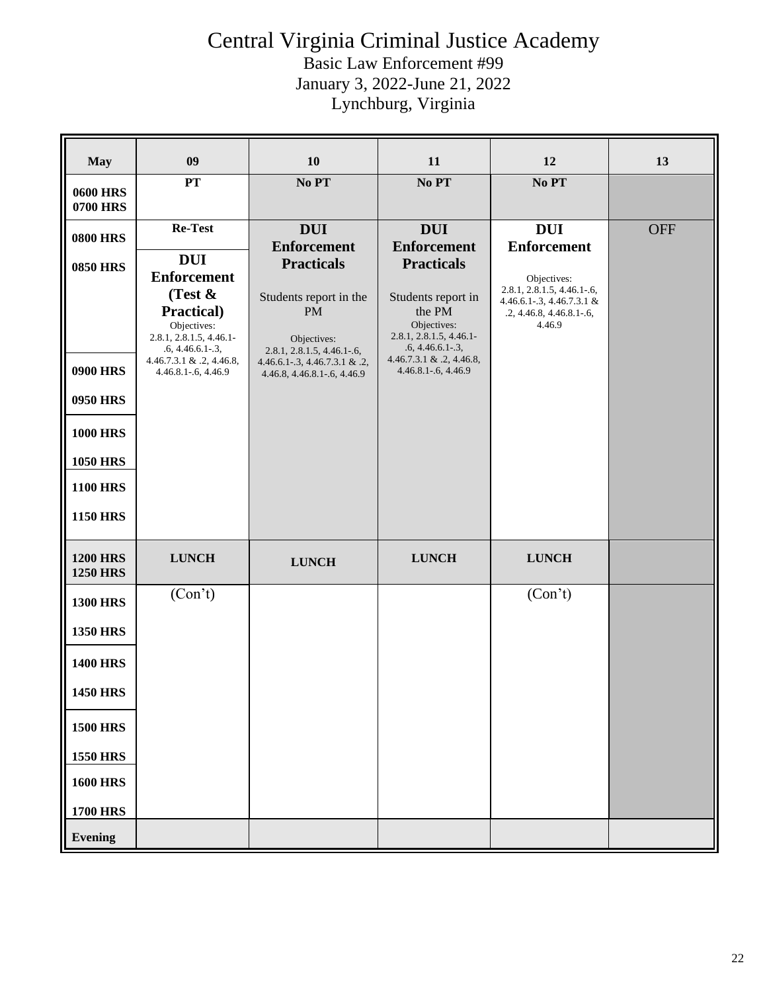| <b>May</b>                         | 09                                                                                                                                                                              | 10                                                                                                                                                                         | 11                                                                                                                                                                      | 12                                                                                                           | 13         |
|------------------------------------|---------------------------------------------------------------------------------------------------------------------------------------------------------------------------------|----------------------------------------------------------------------------------------------------------------------------------------------------------------------------|-------------------------------------------------------------------------------------------------------------------------------------------------------------------------|--------------------------------------------------------------------------------------------------------------|------------|
| <b>0600 HRS</b><br><b>0700 HRS</b> | PT                                                                                                                                                                              | No PT                                                                                                                                                                      | No PT                                                                                                                                                                   | No PT                                                                                                        |            |
| <b>0800 HRS</b>                    | Re-Test                                                                                                                                                                         | <b>DUI</b><br><b>Enforcement</b>                                                                                                                                           | <b>DUI</b><br><b>Enforcement</b>                                                                                                                                        | <b>DUI</b><br><b>Enforcement</b>                                                                             | <b>OFF</b> |
| <b>0850 HRS</b><br><b>0900 HRS</b> | <b>DUI</b><br><b>Enforcement</b><br>(Test $\&$<br>Practical)<br>Objectives:<br>2.8.1, 2.8.1.5, 4.46.1-<br>$.6, 4.46.6.1-.3,$<br>4.46.7.3.1 & .2, 4.46.8,<br>4.46.8.1-.6, 4.46.9 | <b>Practicals</b><br>Students report in the<br><b>PM</b><br>Objectives:<br>$2.8.1, 2.8.1.5, 4.46.1-.6,$<br>$4.46.6.1 - 3, 4.46.7.3.1$ & .2,<br>4.46.8, 4.46.8.1-.6, 4.46.9 | <b>Practicals</b><br>Students report in<br>the PM<br>Objectives:<br>2.8.1, 2.8.1.5, 4.46.1-<br>$.6, 4.46.6.1-.3,$<br>$4.46.7.3.1 \& .2, 4.46.8,$<br>4.46.8.1-.6, 4.46.9 | Objectives:<br>2.8.1, 2.8.1.5, 4.46.1-.6,<br>4.46.6.1-.3, 4.46.7.3.1 &<br>.2, 4.46.8, 4.46.8.1-.6,<br>4.46.9 |            |
| <b>0950 HRS</b>                    |                                                                                                                                                                                 |                                                                                                                                                                            |                                                                                                                                                                         |                                                                                                              |            |
| <b>1000 HRS</b>                    |                                                                                                                                                                                 |                                                                                                                                                                            |                                                                                                                                                                         |                                                                                                              |            |
| <b>1050 HRS</b>                    |                                                                                                                                                                                 |                                                                                                                                                                            |                                                                                                                                                                         |                                                                                                              |            |
| <b>1100 HRS</b>                    |                                                                                                                                                                                 |                                                                                                                                                                            |                                                                                                                                                                         |                                                                                                              |            |
| <b>1150 HRS</b>                    |                                                                                                                                                                                 |                                                                                                                                                                            |                                                                                                                                                                         |                                                                                                              |            |
| <b>1200 HRS</b><br><b>1250 HRS</b> | <b>LUNCH</b>                                                                                                                                                                    | <b>LUNCH</b>                                                                                                                                                               | <b>LUNCH</b>                                                                                                                                                            | <b>LUNCH</b>                                                                                                 |            |
| <b>1300 HRS</b>                    | (Con't)                                                                                                                                                                         |                                                                                                                                                                            |                                                                                                                                                                         | (Con't)                                                                                                      |            |
| <b>1350 HRS</b>                    |                                                                                                                                                                                 |                                                                                                                                                                            |                                                                                                                                                                         |                                                                                                              |            |
| <b>1400 HRS</b>                    |                                                                                                                                                                                 |                                                                                                                                                                            |                                                                                                                                                                         |                                                                                                              |            |
| <b>1450 HRS</b>                    |                                                                                                                                                                                 |                                                                                                                                                                            |                                                                                                                                                                         |                                                                                                              |            |
| <b>1500 HRS</b>                    |                                                                                                                                                                                 |                                                                                                                                                                            |                                                                                                                                                                         |                                                                                                              |            |
| <b>1550 HRS</b>                    |                                                                                                                                                                                 |                                                                                                                                                                            |                                                                                                                                                                         |                                                                                                              |            |
| <b>1600 HRS</b>                    |                                                                                                                                                                                 |                                                                                                                                                                            |                                                                                                                                                                         |                                                                                                              |            |
| <b>1700 HRS</b>                    |                                                                                                                                                                                 |                                                                                                                                                                            |                                                                                                                                                                         |                                                                                                              |            |
| <b>Evening</b>                     |                                                                                                                                                                                 |                                                                                                                                                                            |                                                                                                                                                                         |                                                                                                              |            |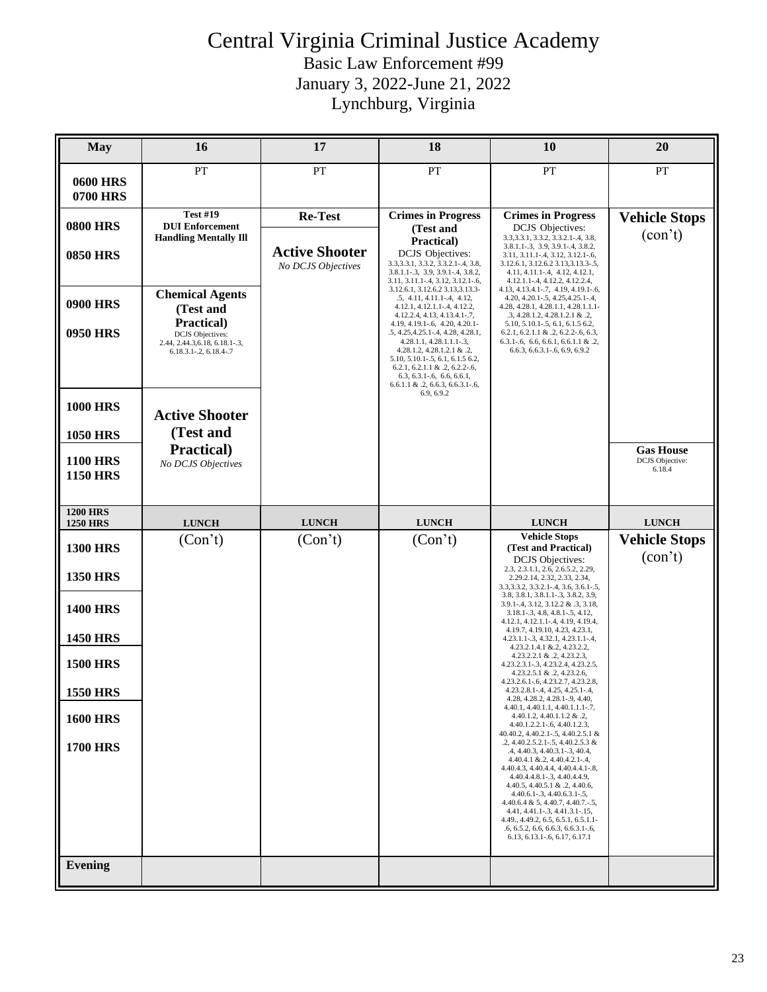| <b>May</b>                         | 16                                                                                                | 17                                          | 18                                                                                                                                                                                                                                                                             | 10                                                                                                                                                                                                                                                                                                                                    | 20                               |
|------------------------------------|---------------------------------------------------------------------------------------------------|---------------------------------------------|--------------------------------------------------------------------------------------------------------------------------------------------------------------------------------------------------------------------------------------------------------------------------------|---------------------------------------------------------------------------------------------------------------------------------------------------------------------------------------------------------------------------------------------------------------------------------------------------------------------------------------|----------------------------------|
| <b>0600 HRS</b><br>0700 HRS        | PT                                                                                                | PT                                          | PT                                                                                                                                                                                                                                                                             | PT                                                                                                                                                                                                                                                                                                                                    | PT                               |
| <b>0800 HRS</b>                    | <b>Test #19</b><br><b>DUI</b> Enforcement<br><b>Handling Mentally Ill</b>                         | Re-Test                                     | <b>Crimes in Progress</b><br>(Test and                                                                                                                                                                                                                                         | <b>Crimes in Progress</b><br><b>DCJS</b> Objectives:<br>3.3, 3.3.1, 3.3.2, 3.3.2.1-.4, 3.8,                                                                                                                                                                                                                                           | <b>Vehicle Stops</b><br>(con't)  |
| <b>0850 HRS</b>                    |                                                                                                   | <b>Active Shooter</b><br>No DCJS Objectives | Practical)<br><b>DCJS</b> Objectives:<br>3.3, 3.3.1, 3.3.2, 3.3.2.1-.4, 3.8,<br>3.8.1.1-.3, 3.9, 3.9.1-.4, 3.8.2,<br>3.11, 3.11.1-.4, 3.12, 3.12.1-.6,                                                                                                                         | 3.8.1.1-.3, 3.9, 3.9.1-.4, 3.8.2,<br>3.11, 3.11.1-.4, 3.12, 3.12.1-.6,<br>3.12.6.1, 3.12.6.2 3.13, 3.13. 3-. 5,<br>4.11, 4.11.1-.4, 4.12, 4.12.1,<br>4.12.1.1-.4, 4.12.2, 4.12.2.4,                                                                                                                                                   |                                  |
| <b>0900 HRS</b>                    | <b>Chemical Agents</b><br>(Test and                                                               |                                             | 3.12.6.1, 3.12.6.2 3.13, 3.13.3-<br>$.5, 4.11, 4.11.1 - .4, 4.12,$<br>4.12.1, 4.12.1.1-.4, 4.12.2,<br>4.12.2.4, 4.13, 4.13.4.1-.7,                                                                                                                                             | 4.13, 4.13.4.1-.7, 4.19, 4.19.1-.6,<br>4.20, 4.20.1-.5, 4.25, 4.25.1-.4,<br>4.28, 4.28.1, 4.28.1.1, 4.28.1.1.1-<br>$.3, 4.28.1.2, 4.28.1.2.1 \& .2,$                                                                                                                                                                                  |                                  |
| <b>0950 HRS</b>                    | Practical)<br><b>DCJS</b> Objectives:<br>2.44, 2.44.3, 6.18, 6.18.1-.3,<br>6.18.3.1-.2, 6.18.4-.7 |                                             | 4.19, 4.19.1-.6, 4.20, 4.20.1-<br>.5, 4.25, 4.25.1 -. 4, 4.28, 4.28.1,<br>4.28.1.1, 4.28.1.1.1-.3,<br>4.28.1.2, 4.28.1.2.1 & .2,<br>5.10, 5.10.1-.5, 6.1, 6.1.5 6.2,<br>6.2.1, 6.2.1.1 & .2, 6.2.2-.6,<br>$6.3, 6.3.1 - 6, 6.6, 6.6.1,$<br>$6.6.1.1 \& .2, 6.6.3, 6.6.3.1-.6,$ | 5.10, 5.10.1-.5, 6.1, 6.1.5 6.2,<br>$6.2.1, 6.2.1.1 \& .2, 6.2.2-.6, 6.3,$<br>$6.3.1-.6$ , $6.6$ , $6.6.1$ , $6.6.1.1$ & .2,<br>6.6.3, 6.6.3.1-.6, 6.9, 6.9.2                                                                                                                                                                         |                                  |
| <b>1000 HRS</b>                    | <b>Active Shooter</b>                                                                             |                                             | 6.9, 6.9.2                                                                                                                                                                                                                                                                     |                                                                                                                                                                                                                                                                                                                                       |                                  |
| <b>1050 HRS</b>                    | (Test and<br>Practical)                                                                           |                                             |                                                                                                                                                                                                                                                                                |                                                                                                                                                                                                                                                                                                                                       | <b>Gas House</b>                 |
| <b>1100 HRS</b><br><b>1150 HRS</b> | No DCJS Objectives                                                                                |                                             |                                                                                                                                                                                                                                                                                |                                                                                                                                                                                                                                                                                                                                       | <b>DCJS</b> Objective:<br>6.18.4 |
| <b>1200 HRS</b><br><b>1250 HRS</b> | <b>LUNCH</b>                                                                                      | <b>LUNCH</b>                                | <b>LUNCH</b>                                                                                                                                                                                                                                                                   | <b>LUNCH</b>                                                                                                                                                                                                                                                                                                                          | <b>LUNCH</b>                     |
| <b>1300 HRS</b>                    | (Con't)                                                                                           | (Con't)                                     | (Con't)                                                                                                                                                                                                                                                                        | <b>Vehicle Stops</b><br>(Test and Practical)                                                                                                                                                                                                                                                                                          | <b>Vehicle Stops</b>             |
| <b>1350 HRS</b>                    |                                                                                                   |                                             |                                                                                                                                                                                                                                                                                | <b>DCJS</b> Objectives:<br>2.3, 2.3.1.1, 2.6, 2.6.5.2, 2.29,<br>2.29.2.14, 2.32, 2.33, 2.34,<br>3.3, 3.3. 2, 3.3. 2.1 - . 4, 3.6, 3.6. 1 - . 5,                                                                                                                                                                                       | (con't)                          |
| <b>1400 HRS</b>                    |                                                                                                   |                                             |                                                                                                                                                                                                                                                                                | 3.8, 3.8.1, 3.8.1.1 - .3, 3.8.2, 3.9,<br>3.9.1-.4, 3.12, 3.12.2 & .3, 3.18,<br>3.18.1-.3, 4.8, 4.8.1-.5, 4.12,<br>4.12.1, 4.12.1.1-.4, 4.19, 4.19.4,                                                                                                                                                                                  |                                  |
| <b>1450 HRS</b>                    |                                                                                                   |                                             |                                                                                                                                                                                                                                                                                | 4.19.7, 4.19.10, 4.23, 4.23.1,<br>$4.23.1.1 - .3, 4.32.1, 4.23.1.1 - .4,$<br>4.23.2.1.4.1 & 2, 4.23.2.2,                                                                                                                                                                                                                              |                                  |
| <b>1500 HRS</b>                    |                                                                                                   |                                             |                                                                                                                                                                                                                                                                                | 4.23.2.2.1 & .2, 4.23.2.3,<br>4.23.2.3.1-.3, 4.23.2.4, 4.23.2.5,<br>4.23.2.5.1 & .2, 4.23.2.6,                                                                                                                                                                                                                                        |                                  |
| <b>1550 HRS</b>                    |                                                                                                   |                                             |                                                                                                                                                                                                                                                                                | 4.23.2.6.1-.6, 4.23.2.7, 4.23.2.8,<br>4.23.2.8.1-.4, 4.25, 4.25.1-.4,<br>4.28, 4.28.2, 4.28.1-.9, 4.40,                                                                                                                                                                                                                               |                                  |
| <b>1600 HRS</b>                    |                                                                                                   |                                             |                                                                                                                                                                                                                                                                                | 4.40.1, 4.40.1.1, 4.40.1.1.1-.7,<br>4.40.1.2, 4.40.1.1.2 & .2,<br>4.40.1.2.2.1-.6, 4.40.1.2.3,                                                                                                                                                                                                                                        |                                  |
| <b>1700 HRS</b>                    |                                                                                                   |                                             |                                                                                                                                                                                                                                                                                | 40.40.2, 4.40.2.1 - . 5, 4.40.2.5.1 &<br>$.2, 4.40.2.5.2.1-.5, 4.40.2.5.3$ &<br>.4, 4.40.3, 4.40.3.1-.3, 40.4,<br>$4.40.4.1 \& 2, 4.40.4.2.1 - .4,$                                                                                                                                                                                   |                                  |
|                                    |                                                                                                   |                                             |                                                                                                                                                                                                                                                                                | 4.40.4.3, 4.40.4.4, 4.40.4.4.1-.8,<br>4.40.4.4.8.1-.3, 4.40.4.4.9,<br>4.40.5, 4.40.5.1 & .2, 4.40.6,<br>$4.40.6.1 - .3, 4.40.6.3.1 - .5,$<br>$4.40.6.4 \& 5, 4.40.7, 4.40.7 - 5,$<br>4.41, 4.41.1-.3, 4.41.3.1-.15,<br>4.49., 4.49.2, 6.5, 6.5.1, 6.5.1.1-<br>$.6, 6.5.2, 6.6, 6.6.3, 6.6.3.1 - .6,$<br>6.13, 6.13.1-.6, 6.17, 6.17.1 |                                  |
| <b>Evening</b>                     |                                                                                                   |                                             |                                                                                                                                                                                                                                                                                |                                                                                                                                                                                                                                                                                                                                       |                                  |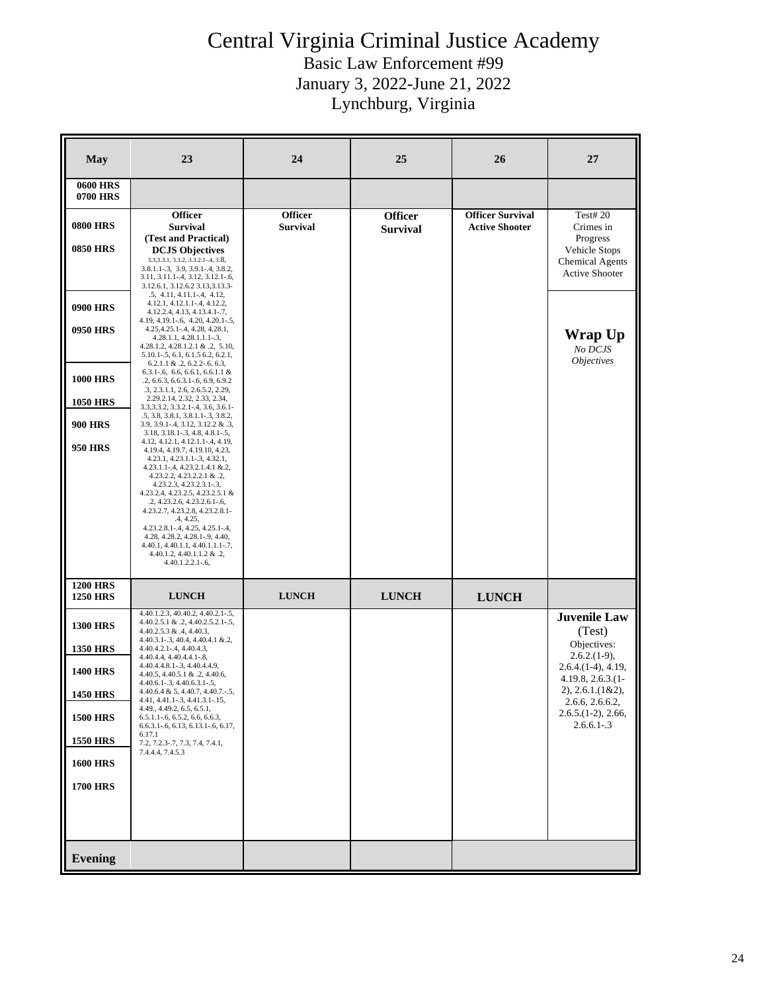| <b>May</b>                         | 23                                                                                                                                                                                                                                                                                                                                                                                                                                               | 24                                | 25                                | 26                                               | 27                                                                           |
|------------------------------------|--------------------------------------------------------------------------------------------------------------------------------------------------------------------------------------------------------------------------------------------------------------------------------------------------------------------------------------------------------------------------------------------------------------------------------------------------|-----------------------------------|-----------------------------------|--------------------------------------------------|------------------------------------------------------------------------------|
| <b>0600 HRS</b><br>0700 HRS        |                                                                                                                                                                                                                                                                                                                                                                                                                                                  |                                   |                                   |                                                  |                                                                              |
| <b>0800 HRS</b>                    | <b>Officer</b><br><b>Survival</b>                                                                                                                                                                                                                                                                                                                                                                                                                | <b>Officer</b><br><b>Survival</b> | <b>Officer</b><br><b>Survival</b> | <b>Officer Survival</b><br><b>Active Shooter</b> | <b>Test#20</b><br>Crimes in                                                  |
| <b>0850 HRS</b>                    | (Test and Practical)<br><b>DCJS Objectives</b><br>3.3, 3.3.1, 3.3.2, 3.3.2.1-.4, 3.8,<br>3.8.1.1-.3, 3.9, 3.9.1-.4, 3.8.2,<br>3.11, 3.11.1-.4, 3.12, 3.12.1-.6,<br>3.12.6.1, 3.12.6.2 3.13,3.13.3-                                                                                                                                                                                                                                               |                                   |                                   |                                                  | Progress<br>Vehicle Stops<br><b>Chemical Agents</b><br><b>Active Shooter</b> |
| <b>0900 HRS</b>                    | $.5, 4.11, 4.11.1 - .4, 4.12,$<br>4.12.1, 4.12.1.1-.4, 4.12.2,<br>4.12.2.4, 4.13, 4.13.4.1-.7,                                                                                                                                                                                                                                                                                                                                                   |                                   |                                   |                                                  |                                                                              |
| <b>0950 HRS</b>                    | 4.19, 4.19.1-.6, 4.20, 4.20.1-.5,<br>4.25, 4.25.1 - . 4, 4.28, 4.28.1,<br>$4.28.1.1, 4.28.1.1.1-.3,$<br>4.28.1.2, 4.28.1.2.1 & .2, 5.10,<br>5.10.1-.5, 6.1, 6.1.5 6.2, 6.2.1,<br>$6.2.1.1 \& .2, 6.2.2-.6, 6.3,$                                                                                                                                                                                                                                 |                                   |                                   |                                                  | Wrap Up<br>No DCJS<br><b>Objectives</b>                                      |
| <b>1000 HRS</b><br><b>1050 HRS</b> | $6.3.1 - 6$ , $6.6$ , $6.6.1$ , $6.6.1.1$ &<br>.2, 6.6.3, 6.6.3.1 - .6, 6.9, 6.9.2<br>.3, 2.3.1.1, 2.6, 2.6.5.2, 2.29,<br>2.29.2.14, 2.32, 2.33, 2.34,                                                                                                                                                                                                                                                                                           |                                   |                                   |                                                  |                                                                              |
|                                    | 3.3, 3.3. 2, 3.3. 2.1 - . 4, 3.6, 3.6. 1 -<br>.5, 3.8, 3.8.1, 3.8.1.1-.3, 3.8.2,                                                                                                                                                                                                                                                                                                                                                                 |                                   |                                   |                                                  |                                                                              |
| <b>900 HRS</b>                     | 3.9, 3.9.1-.4, 3.12, 3.12.2 & .3,<br>3.18, 3.18.1-.3, 4.8, 4.8.1-.5,<br>4.12, 4.12.1, 4.12.1.1-.4, 4.19,                                                                                                                                                                                                                                                                                                                                         |                                   |                                   |                                                  |                                                                              |
| <b>950 HRS</b>                     | 4.19.4, 4.19.7, 4.19.10, 4.23,<br>$4.23.1, 4.23.1.1-.3, 4.32.1,$<br>4.23.1.1-.4, 4.23.2.1.4.1 &.2,<br>4.23.2.2, 4.23.2.2.1 & .2,<br>4.23.2.3, 4.23.2.3.1-.3,<br>4.23.2.4, 4.23.2.5, 4.23.2.5.1 &<br>.2, 4.23.2.6, 4.23.2.6.1-.6,<br>4.23.2.7, 4.23.2.8, 4.23.2.8.1-<br>.4, 4.25,<br>4.23.2.8.1-.4, 4.25, 4.25.1-.4,<br>4.28, 4.28.2, 4.28.1-.9, 4.40,<br>4.40.1, 4.40.1.1, 4.40.1.1.1-.7,<br>4.40.1.2, 4.40.1.1.2 & .2,<br>$4.40.1.2.2.1 - .6$ , |                                   |                                   |                                                  |                                                                              |
| <b>1200 HRS</b><br><b>1250 HRS</b> | <b>LUNCH</b>                                                                                                                                                                                                                                                                                                                                                                                                                                     | <b>LUNCH</b>                      | <b>LUNCH</b>                      | <b>LUNCH</b>                                     |                                                                              |
| <b>1300 HRS</b>                    | 4.40.1.2.3, 40.40.2, 4.40.2.1-.5,<br>$4.40.2.5.1 \& .2, 4.40.2.5.2.1-.5,$<br>$4.40.2.5.3 \& .4, 4.40.3,$<br>$4.40.3.1 - .3, 40.4, 4.40.4.1 \& .2,$                                                                                                                                                                                                                                                                                               |                                   |                                   |                                                  | <b>Juvenile Law</b><br>(Test)<br>Objectives:                                 |
| <b>1350 HRS</b>                    | $4.40.4.2.1 - .4, 4.40.4.3,$<br>4.40.4.4, 4.40.4.4.1-.8,                                                                                                                                                                                                                                                                                                                                                                                         |                                   |                                   |                                                  | $2.6.2(1-9),$                                                                |
| <b>1400 HRS</b>                    | 4.40.4.4.8.1 - 3, 4.40.4.4.9,<br>4.40.5, 4.40.5.1 & .2, 4.40.6,<br>$4.40.6.1 - 3, 4.40.6.3.1 - 5,$                                                                                                                                                                                                                                                                                                                                               |                                   |                                   |                                                  | $2.6.4(1-4), 4.19,$<br>$4.19.8, 2.6.3(1-$<br>$2)$ , 2.6.1.(1&2),             |
| <b>1450 HRS</b>                    | $4.40.6.4 \& 5, 4.40.7, 4.40.7, -5,$<br>4.41, 4.41.1-.3, 4.41.3.1-.15,<br>4.49., 4.49.2, 6.5, 6.5.1,                                                                                                                                                                                                                                                                                                                                             |                                   |                                   |                                                  | 2.6.6, 2.6.6.2,                                                              |
| <b>1500 HRS</b>                    | $6.5.1.1 - 6, 6.5.2, 6.6, 6.6.3,$<br>$6.6.3.1 - 6, 6.13, 6.13.1 - 6, 6.17,$<br>6.17.1                                                                                                                                                                                                                                                                                                                                                            |                                   |                                   |                                                  | $2.6.5(1-2), 2.66,$<br>$2.6.6.1 - .3$                                        |
| <b>1550 HRS</b>                    | 7.2, 7.2.3-.7, 7.3, 7.4, 7.4.1,<br>7.4.4.4, 7.4.5.3                                                                                                                                                                                                                                                                                                                                                                                              |                                   |                                   |                                                  |                                                                              |
| <b>1600 HRS</b>                    |                                                                                                                                                                                                                                                                                                                                                                                                                                                  |                                   |                                   |                                                  |                                                                              |
| <b>1700 HRS</b>                    |                                                                                                                                                                                                                                                                                                                                                                                                                                                  |                                   |                                   |                                                  |                                                                              |
|                                    |                                                                                                                                                                                                                                                                                                                                                                                                                                                  |                                   |                                   |                                                  |                                                                              |
| <b>Evening</b>                     |                                                                                                                                                                                                                                                                                                                                                                                                                                                  |                                   |                                   |                                                  |                                                                              |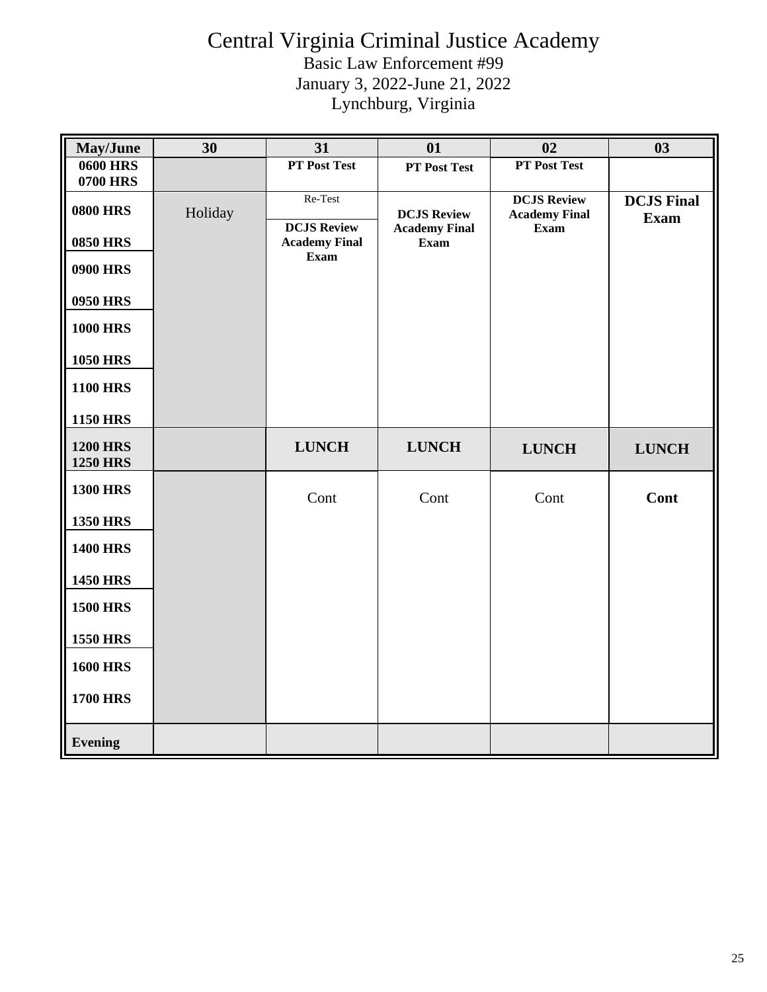| May/June                                                                                                                                      | 30      | 31                                                            | 01                                                        | 02                                                        | 03                               |
|-----------------------------------------------------------------------------------------------------------------------------------------------|---------|---------------------------------------------------------------|-----------------------------------------------------------|-----------------------------------------------------------|----------------------------------|
| <b>0600 HRS</b>                                                                                                                               |         | PT Post Test                                                  | <b>PT Post Test</b>                                       | PT Post Test                                              |                                  |
| <b>0700 HRS</b><br><b>0800 HRS</b><br><b>0850 HRS</b><br><b>0900 HRS</b><br>0950 HRS<br><b>1000 HRS</b><br><b>1050 HRS</b><br><b>1100 HRS</b> | Holiday | Re-Test<br><b>DCJS Review</b><br><b>Academy Final</b><br>Exam | <b>DCJS Review</b><br><b>Academy Final</b><br><b>Exam</b> | <b>DCJS Review</b><br><b>Academy Final</b><br><b>Exam</b> | <b>DCJS Final</b><br><b>Exam</b> |
| <b>1150 HRS</b>                                                                                                                               |         |                                                               |                                                           |                                                           |                                  |
| <b>1200 HRS</b><br><b>1250 HRS</b>                                                                                                            |         | <b>LUNCH</b>                                                  | <b>LUNCH</b>                                              | <b>LUNCH</b>                                              | <b>LUNCH</b>                     |
| <b>1300 HRS</b>                                                                                                                               |         | Cont                                                          | Cont                                                      | Cont                                                      | Cont                             |
| <b>1350 HRS</b>                                                                                                                               |         |                                                               |                                                           |                                                           |                                  |
| <b>1400 HRS</b>                                                                                                                               |         |                                                               |                                                           |                                                           |                                  |
| <b>1450 HRS</b>                                                                                                                               |         |                                                               |                                                           |                                                           |                                  |
| <b>1500 HRS</b>                                                                                                                               |         |                                                               |                                                           |                                                           |                                  |
| <b>1550 HRS</b>                                                                                                                               |         |                                                               |                                                           |                                                           |                                  |
| <b>1600 HRS</b>                                                                                                                               |         |                                                               |                                                           |                                                           |                                  |
| <b>1700 HRS</b>                                                                                                                               |         |                                                               |                                                           |                                                           |                                  |
| <b>Evening</b>                                                                                                                                |         |                                                               |                                                           |                                                           |                                  |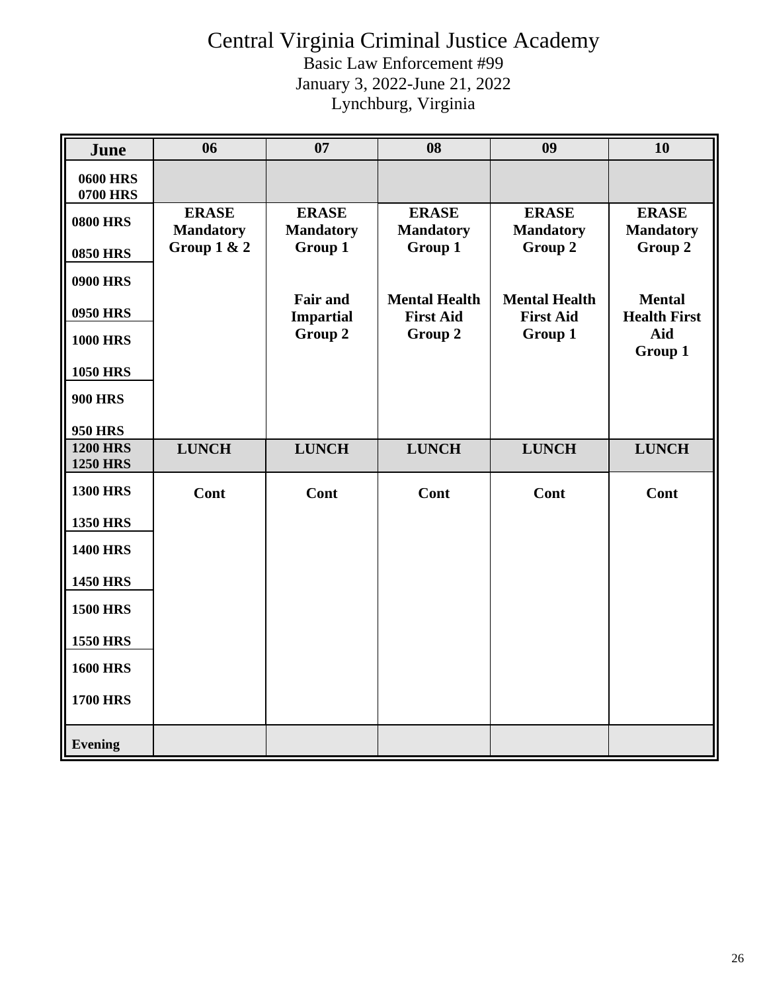| <b>June</b>                        | 06                               | 07                                  | 08                                       | 09                                       | 10                                   |
|------------------------------------|----------------------------------|-------------------------------------|------------------------------------------|------------------------------------------|--------------------------------------|
| <b>0600 HRS</b><br><b>0700 HRS</b> |                                  |                                     |                                          |                                          |                                      |
| <b>0800 HRS</b>                    | <b>ERASE</b><br><b>Mandatory</b> | <b>ERASE</b><br><b>Mandatory</b>    | <b>ERASE</b><br><b>Mandatory</b>         | <b>ERASE</b><br><b>Mandatory</b>         | <b>ERASE</b><br><b>Mandatory</b>     |
| <b>0850 HRS</b>                    | Group $1 & 2$                    | Group 1                             | Group 1                                  | Group 2                                  | Group 2                              |
| <b>0900 HRS</b>                    |                                  |                                     |                                          |                                          |                                      |
| <b>0950 HRS</b>                    |                                  | <b>Fair and</b><br><b>Impartial</b> | <b>Mental Health</b><br><b>First Aid</b> | <b>Mental Health</b><br><b>First Aid</b> | <b>Mental</b><br><b>Health First</b> |
| <b>1000 HRS</b>                    |                                  | Group 2                             | Group 2                                  | Group 1                                  | Aid<br>Group 1                       |
| <b>1050 HRS</b>                    |                                  |                                     |                                          |                                          |                                      |
| <b>900 HRS</b>                     |                                  |                                     |                                          |                                          |                                      |
| <b>950 HRS</b>                     |                                  |                                     |                                          |                                          |                                      |
| <b>1200 HRS</b><br><b>1250 HRS</b> | <b>LUNCH</b>                     | <b>LUNCH</b>                        | <b>LUNCH</b>                             | <b>LUNCH</b>                             | <b>LUNCH</b>                         |
| <b>1300 HRS</b>                    | Cont                             | Cont                                | Cont                                     | Cont                                     | Cont                                 |
| <b>1350 HRS</b>                    |                                  |                                     |                                          |                                          |                                      |
| <b>1400 HRS</b>                    |                                  |                                     |                                          |                                          |                                      |
| <b>1450 HRS</b>                    |                                  |                                     |                                          |                                          |                                      |
| <b>1500 HRS</b>                    |                                  |                                     |                                          |                                          |                                      |
| <b>1550 HRS</b>                    |                                  |                                     |                                          |                                          |                                      |
| <b>1600 HRS</b>                    |                                  |                                     |                                          |                                          |                                      |
| <b>1700 HRS</b>                    |                                  |                                     |                                          |                                          |                                      |
| <b>Evening</b>                     |                                  |                                     |                                          |                                          |                                      |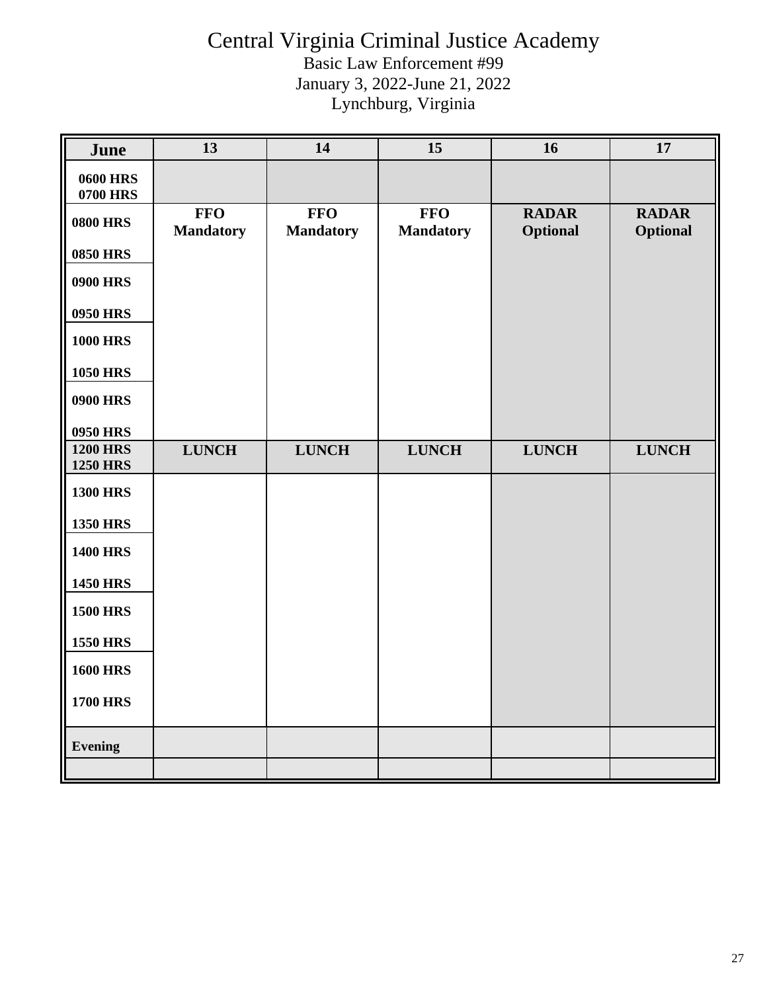| June                               | 13                             | 14                             | 15                             | 16                       | 17                              |
|------------------------------------|--------------------------------|--------------------------------|--------------------------------|--------------------------|---------------------------------|
| <b>0600 HRS</b><br><b>0700 HRS</b> |                                |                                |                                |                          |                                 |
| <b>0800 HRS</b>                    | <b>FFO</b><br><b>Mandatory</b> | <b>FFO</b><br><b>Mandatory</b> | <b>FFO</b><br><b>Mandatory</b> | <b>RADAR</b><br>Optional | <b>RADAR</b><br><b>Optional</b> |
| <b>0850 HRS</b>                    |                                |                                |                                |                          |                                 |
| <b>0900 HRS</b>                    |                                |                                |                                |                          |                                 |
| <b>0950 HRS</b>                    |                                |                                |                                |                          |                                 |
| <b>1000 HRS</b>                    |                                |                                |                                |                          |                                 |
| <b>1050 HRS</b>                    |                                |                                |                                |                          |                                 |
| <b>0900 HRS</b>                    |                                |                                |                                |                          |                                 |
| <b>0950 HRS</b>                    |                                |                                |                                |                          |                                 |
| <b>1200 HRS</b><br><b>1250 HRS</b> | <b>LUNCH</b>                   | <b>LUNCH</b>                   | <b>LUNCH</b>                   | <b>LUNCH</b>             | <b>LUNCH</b>                    |
| <b>1300 HRS</b>                    |                                |                                |                                |                          |                                 |
| <b>1350 HRS</b>                    |                                |                                |                                |                          |                                 |
| <b>1400 HRS</b>                    |                                |                                |                                |                          |                                 |
| <b>1450 HRS</b>                    |                                |                                |                                |                          |                                 |
| <b>1500 HRS</b>                    |                                |                                |                                |                          |                                 |
| <b>1550 HRS</b>                    |                                |                                |                                |                          |                                 |
| <b>1600 HRS</b>                    |                                |                                |                                |                          |                                 |
| <b>1700 HRS</b>                    |                                |                                |                                |                          |                                 |
| <b>Evening</b>                     |                                |                                |                                |                          |                                 |
|                                    |                                |                                |                                |                          |                                 |